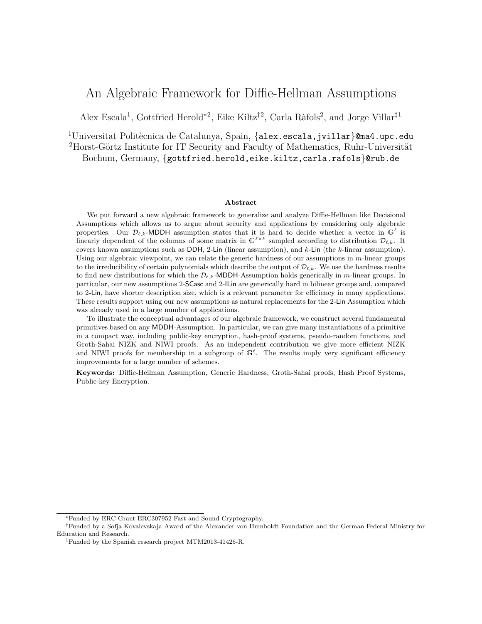# <span id="page-0-0"></span>An Algebraic Framework for Diffie-Hellman Assumptions

Alex Escala<sup>1</sup>, Gottfried Herold<sup>\*2</sup>, Eike Kiltz<sup>†2</sup>, Carla Ràfols<sup>2</sup>, and Jorge Villar<sup>‡1</sup>

<sup>1</sup>Universitat Politècnica de Catalunya, Spain, {alex.escala,jvillar}@ma4.upc.edu <sup>2</sup>Horst-Görtz Institute for IT Security and Faculty of Mathematics, Ruhr-Universität Bochum, Germany, {gottfried.herold,eike.kiltz,carla.rafols}@rub.de

#### Abstract

We put forward a new algebraic framework to generalize and analyze Diffie-Hellman like Decisional Assumptions which allows us to argue about security and applications by considering only algebraic properties. Our  $\mathcal{D}_{\ell,k}$ -MDDH assumption states that it is hard to decide whether a vector in  $\mathbb{G}^{\ell}$  is linearly dependent of the columns of some matrix in  $\mathbb{G}^{\ell \times k}$  sampled according to distribution  $\mathcal{D}_{\ell,k}$ . It covers known assumptions such as DDH, 2-Lin (linear assumption), and k-Lin (the k-linear assumption). Using our algebraic viewpoint, we can relate the generic hardness of our assumptions in m-linear groups to the irreducibility of certain polynomials which describe the output of  $\mathcal{D}_{\ell,k}$ . We use the hardness results to find new distributions for which the  $\mathcal{D}_{\ell,k}$ -MDDH-Assumption holds generically in m-linear groups. In particular, our new assumptions 2-SCasc and 2-ILin are generically hard in bilinear groups and, compared to 2-Lin, have shorter description size, which is a relevant parameter for efficiency in many applications. These results support using our new assumptions as natural replacements for the 2-Lin Assumption which was already used in a large number of applications.

To illustrate the conceptual advantages of our algebraic framework, we construct several fundamental primitives based on any MDDH-Assumption. In particular, we can give many instantiations of a primitive in a compact way, including public-key encryption, hash-proof systems, pseudo-random functions, and Groth-Sahai NIZK and NIWI proofs. As an independent contribution we give more efficient NIZK and NIWI proofs for membership in a subgroup of  $\mathbb{G}^{\ell}$ . The results imply very significant efficiency improvements for a large number of schemes.

Keywords: Diffie-Hellman Assumption, Generic Hardness, Groth-Sahai proofs, Hash Proof Systems, Public-key Encryption.

<sup>∗</sup>Funded by ERC Grant ERC307952 Fast and Sound Cryptography.

<sup>†</sup>Funded by a Sofja Kovalevskaja Award of the Alexander von Humboldt Foundation and the German Federal Ministry for Education and Research.

<sup>‡</sup>Funded by the Spanish research project MTM2013-41426-R.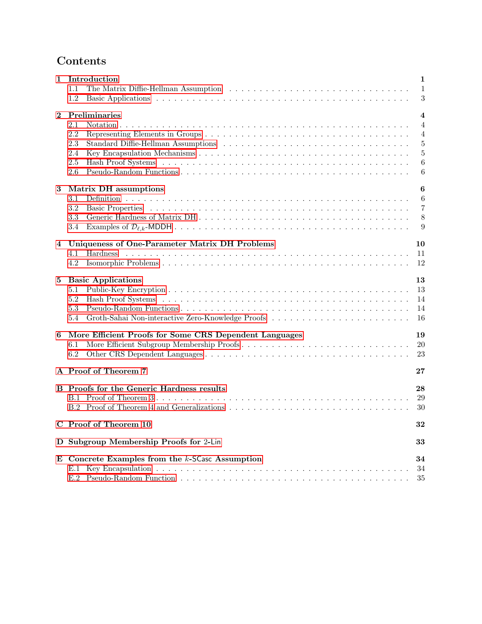# <span id="page-1-0"></span>Contents

| 1.1<br>$\mathbf{1}$<br>3<br>1.2<br>Preliminaries<br>$\bf{2}$<br>$\overline{\mathbf{4}}$<br>2.1<br>Notation.<br>$\overline{4}$<br>2.2<br>$\overline{4}$<br>2.3<br>$\overline{5}$<br>$\overline{5}$<br>2.4<br>2.5<br>6<br>2.6<br>6<br>Matrix DH assumptions<br>6<br>3<br>$3.1\,$<br>6<br>3.2<br>$\overline{7}$<br>3.3<br>8<br>3.4<br>9<br>Uniqueness of One-Parameter Matrix DH Problems<br>10<br>4<br>4.1<br>Hardness<br>11<br>4.2<br>12<br><b>Basic Applications</b><br>13<br>5<br>13<br>5.1<br>5.2<br>14<br>5.3<br>14<br>16<br>5.4<br>More Efficient Proofs for Some CRS Dependent Languages<br>19<br>6<br>More Efficient Subgroup Membership Proofs<br>20<br>6.1<br>6.2<br>23<br>A Proof of Theorem 7<br>$\bf 27$<br><b>B</b> Proofs for the Generic Hardness results<br>28<br>29<br>30<br>C Proof of Theorem 10<br>32<br>D Subgroup Membership Proofs for 2-Lin<br>33<br>E Concrete Examples from the $k$ -SCasc Assumption<br>34<br>34<br>35<br>E.2 | $\mathbf 1$ | Introduction | 1 |
|---------------------------------------------------------------------------------------------------------------------------------------------------------------------------------------------------------------------------------------------------------------------------------------------------------------------------------------------------------------------------------------------------------------------------------------------------------------------------------------------------------------------------------------------------------------------------------------------------------------------------------------------------------------------------------------------------------------------------------------------------------------------------------------------------------------------------------------------------------------------------------------------------------------------------------------------------------|-------------|--------------|---|
|                                                                                                                                                                                                                                                                                                                                                                                                                                                                                                                                                                                                                                                                                                                                                                                                                                                                                                                                                         |             |              |   |
|                                                                                                                                                                                                                                                                                                                                                                                                                                                                                                                                                                                                                                                                                                                                                                                                                                                                                                                                                         |             |              |   |
|                                                                                                                                                                                                                                                                                                                                                                                                                                                                                                                                                                                                                                                                                                                                                                                                                                                                                                                                                         |             |              |   |
|                                                                                                                                                                                                                                                                                                                                                                                                                                                                                                                                                                                                                                                                                                                                                                                                                                                                                                                                                         |             |              |   |
|                                                                                                                                                                                                                                                                                                                                                                                                                                                                                                                                                                                                                                                                                                                                                                                                                                                                                                                                                         |             |              |   |
|                                                                                                                                                                                                                                                                                                                                                                                                                                                                                                                                                                                                                                                                                                                                                                                                                                                                                                                                                         |             |              |   |
|                                                                                                                                                                                                                                                                                                                                                                                                                                                                                                                                                                                                                                                                                                                                                                                                                                                                                                                                                         |             |              |   |
|                                                                                                                                                                                                                                                                                                                                                                                                                                                                                                                                                                                                                                                                                                                                                                                                                                                                                                                                                         |             |              |   |
|                                                                                                                                                                                                                                                                                                                                                                                                                                                                                                                                                                                                                                                                                                                                                                                                                                                                                                                                                         |             |              |   |
|                                                                                                                                                                                                                                                                                                                                                                                                                                                                                                                                                                                                                                                                                                                                                                                                                                                                                                                                                         |             |              |   |
|                                                                                                                                                                                                                                                                                                                                                                                                                                                                                                                                                                                                                                                                                                                                                                                                                                                                                                                                                         |             |              |   |
|                                                                                                                                                                                                                                                                                                                                                                                                                                                                                                                                                                                                                                                                                                                                                                                                                                                                                                                                                         |             |              |   |
|                                                                                                                                                                                                                                                                                                                                                                                                                                                                                                                                                                                                                                                                                                                                                                                                                                                                                                                                                         |             |              |   |
|                                                                                                                                                                                                                                                                                                                                                                                                                                                                                                                                                                                                                                                                                                                                                                                                                                                                                                                                                         |             |              |   |
|                                                                                                                                                                                                                                                                                                                                                                                                                                                                                                                                                                                                                                                                                                                                                                                                                                                                                                                                                         |             |              |   |
|                                                                                                                                                                                                                                                                                                                                                                                                                                                                                                                                                                                                                                                                                                                                                                                                                                                                                                                                                         |             |              |   |
|                                                                                                                                                                                                                                                                                                                                                                                                                                                                                                                                                                                                                                                                                                                                                                                                                                                                                                                                                         |             |              |   |
|                                                                                                                                                                                                                                                                                                                                                                                                                                                                                                                                                                                                                                                                                                                                                                                                                                                                                                                                                         |             |              |   |
|                                                                                                                                                                                                                                                                                                                                                                                                                                                                                                                                                                                                                                                                                                                                                                                                                                                                                                                                                         |             |              |   |
|                                                                                                                                                                                                                                                                                                                                                                                                                                                                                                                                                                                                                                                                                                                                                                                                                                                                                                                                                         |             |              |   |
|                                                                                                                                                                                                                                                                                                                                                                                                                                                                                                                                                                                                                                                                                                                                                                                                                                                                                                                                                         |             |              |   |
|                                                                                                                                                                                                                                                                                                                                                                                                                                                                                                                                                                                                                                                                                                                                                                                                                                                                                                                                                         |             |              |   |
|                                                                                                                                                                                                                                                                                                                                                                                                                                                                                                                                                                                                                                                                                                                                                                                                                                                                                                                                                         |             |              |   |
|                                                                                                                                                                                                                                                                                                                                                                                                                                                                                                                                                                                                                                                                                                                                                                                                                                                                                                                                                         |             |              |   |
|                                                                                                                                                                                                                                                                                                                                                                                                                                                                                                                                                                                                                                                                                                                                                                                                                                                                                                                                                         |             |              |   |
|                                                                                                                                                                                                                                                                                                                                                                                                                                                                                                                                                                                                                                                                                                                                                                                                                                                                                                                                                         |             |              |   |
|                                                                                                                                                                                                                                                                                                                                                                                                                                                                                                                                                                                                                                                                                                                                                                                                                                                                                                                                                         |             |              |   |
|                                                                                                                                                                                                                                                                                                                                                                                                                                                                                                                                                                                                                                                                                                                                                                                                                                                                                                                                                         |             |              |   |
|                                                                                                                                                                                                                                                                                                                                                                                                                                                                                                                                                                                                                                                                                                                                                                                                                                                                                                                                                         |             |              |   |
|                                                                                                                                                                                                                                                                                                                                                                                                                                                                                                                                                                                                                                                                                                                                                                                                                                                                                                                                                         |             |              |   |
|                                                                                                                                                                                                                                                                                                                                                                                                                                                                                                                                                                                                                                                                                                                                                                                                                                                                                                                                                         |             |              |   |
|                                                                                                                                                                                                                                                                                                                                                                                                                                                                                                                                                                                                                                                                                                                                                                                                                                                                                                                                                         |             |              |   |
|                                                                                                                                                                                                                                                                                                                                                                                                                                                                                                                                                                                                                                                                                                                                                                                                                                                                                                                                                         |             |              |   |
|                                                                                                                                                                                                                                                                                                                                                                                                                                                                                                                                                                                                                                                                                                                                                                                                                                                                                                                                                         |             |              |   |
|                                                                                                                                                                                                                                                                                                                                                                                                                                                                                                                                                                                                                                                                                                                                                                                                                                                                                                                                                         |             |              |   |
|                                                                                                                                                                                                                                                                                                                                                                                                                                                                                                                                                                                                                                                                                                                                                                                                                                                                                                                                                         |             |              |   |
|                                                                                                                                                                                                                                                                                                                                                                                                                                                                                                                                                                                                                                                                                                                                                                                                                                                                                                                                                         |             |              |   |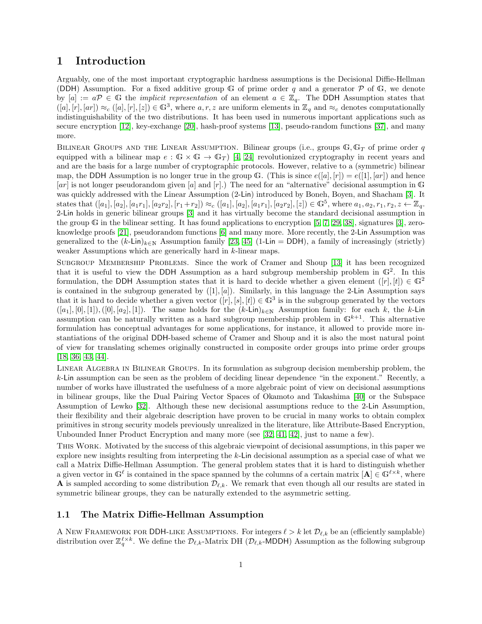## <span id="page-2-0"></span>1 Introduction

Arguably, one of the most important cryptographic hardness assumptions is the Decisional Diffie-Hellman (DDH) Assumption. For a fixed additive group G of prime order q and a generator  $\mathcal P$  of G, we denote by  $[a] := a\mathcal{P} \in \mathbb{G}$  the *implicit representation* of an element  $a \in \mathbb{Z}_q$ . The DDH Assumption states that  $([a],[r],[ar]) \approx_c ([a],[r],[z]) \in \mathbb{G}^3$ , where  $a,r,z$  are uniform elements in  $\mathbb{Z}_q$  and  $\approx_c$  denotes computationally indistinguishability of the two distributions. It has been used in numerous important applications such as secure encryption [\[12\]](#page-25-0), key-exchange [\[20\]](#page-26-0), hash-proof systems [\[13\]](#page-25-1), pseudo-random functions [\[37\]](#page-27-0), and many more.

BILINEAR GROUPS AND THE LINEAR ASSUMPTION. Bilinear groups (i.e., groups  $\mathbb{G}, \mathbb{G}_T$  of prime order q equipped with a bilinear map  $e : \mathbb{G} \times \mathbb{G} \to \mathbb{G}_T$  [\[4,](#page-25-2) [24\]](#page-26-1) revolutionized cryptography in recent years and and are the basis for a large number of cryptographic protocols. However, relative to a (symmetric) bilinear map, the DDH Assumption is no longer true in the group G. (This is since  $e([a], [r]) = e([1], [ar])$  and hence  $[a\tau]$  is not longer pseudorandom given  $[a]$  and  $[r]$ .) The need for an "alternative" decisional assumption in G was quickly addressed with the Linear Assumption (2-Lin) introduced by Boneh, Boyen, and Shacham [\[3\]](#page-25-3). It states that  $([a_1], [a_2], [a_1r_1], [a_2r_2], [r_1+r_2]) \approx_c ([a_1], [a_2], [a_1r_1], [a_2r_2], [z]) \in \mathbb{G}^5$ , where  $a_1, a_2, r_1, r_2, z \leftarrow \mathbb{Z}_q$ . 2-Lin holds in generic bilinear groups [\[3\]](#page-25-3) and it has virtually become the standard decisional assumption in the group G in the bilinear setting. It has found applications to encryption  $[5, 7, 29, 38]$  $[5, 7, 29, 38]$  $[5, 7, 29, 38]$  $[5, 7, 29, 38]$ , signatures  $[3]$ , zeroknowledge proofs [\[21\]](#page-26-3), pseudorandom functions [\[6\]](#page-25-6) and many more. More recently, the 2-Lin Assumption was generalized to the  $(k-\text{Lin})_{k\in\mathbb{N}}$  Assumption family [\[23,](#page-26-4) [45\]](#page-27-2) (1-Lin = DDH), a family of increasingly (strictly) weaker Assumptions which are generically hard in k-linear maps.

Subgroup Membership Problems. Since the work of Cramer and Shoup [\[13\]](#page-25-1) it has been recognized that it is useful to view the DDH Assumption as a hard subgroup membership problem in  $\mathbb{G}^2$ . In this formulation, the DDH Assumption states that it is hard to decide whether a given element  $([r], [t]) \in \mathbb{G}^2$ is contained in the subgroup generated by  $([1], [a])$ . Similarly, in this language the 2-Lin Assumption says that it is hard to decide whether a given vector  $([r], [s], [t]) \in \mathbb{G}^3$  is in the subgroup generated by the vectors  $([a_1], [0], [1]), ([0], [a_2], [1])$ . The same holds for the  $(k\text{-Lin})_{k\in\mathbb{N}}$  Assumption family: for each k, the k-Lin assumption can be naturally written as a hard subgroup membership problem in  $\mathbb{G}^{k+1}$ . This alternative formulation has conceptual advantages for some applications, for instance, it allowed to provide more instantiations of the original DDH-based scheme of Cramer and Shoup and it is also the most natural point of view for translating schemes originally constructed in composite order groups into prime order groups [\[18,](#page-26-5) [36,](#page-27-3) [43,](#page-27-4) [44\]](#page-27-5).

Linear Algebra in Bilinear Groups. In its formulation as subgroup decision membership problem, the k-Lin assumption can be seen as the problem of deciding linear dependence "in the exponent." Recently, a number of works have illustrated the usefulness of a more algebraic point of view on decisional assumptions in bilinear groups, like the Dual Pairing Vector Spaces of Okamoto and Takashima [\[40\]](#page-27-6) or the Subspace Assumption of Lewko [\[32\]](#page-27-7). Although these new decisional assumptions reduce to the 2-Lin Assumption, their flexibility and their algebraic description have proven to be crucial in many works to obtain complex primitives in strong security models previously unrealized in the literature, like Attribute-Based Encryption, Unbounded Inner Product Encryption and many more (see [\[32,](#page-27-7) [41,](#page-27-8) [42\]](#page-27-9), just to name a few).

This Work. Motivated by the success of this algebraic viewpoint of decisional assumptions, in this paper we explore new insights resulting from interpreting the k-Lin decisional assumption as a special case of what we call a Matrix Diffie-Hellman Assumption. The general problem states that it is hard to distinguish whether a given vector in  $\mathbb{G}^{\ell}$  is contained in the space spanned by the columns of a certain matrix  $[\mathbf{A}] \in \mathbb{G}^{\ell \times k}$ , where **A** is sampled according to some distribution  $\mathcal{D}_{\ell,k}$ . We remark that even though all our results are stated in symmetric bilinear groups, they can be naturally extended to the asymmetric setting.

#### <span id="page-2-1"></span>1.1 The Matrix Diffie-Hellman Assumption

A NEW FRAMEWORK FOR DDH-LIKE ASSUMPTIONS. For integers  $\ell > k$  let  $\mathcal{D}_{\ell,k}$  be an (efficiently samplable) distribution over  $\mathbb{Z}_q^{\ell\times k}$ . We define the  $\mathcal{D}_{\ell,k}$ -Matrix DH ( $\mathcal{D}_{\ell,k}$ -MDDH) Assumption as the following subgroup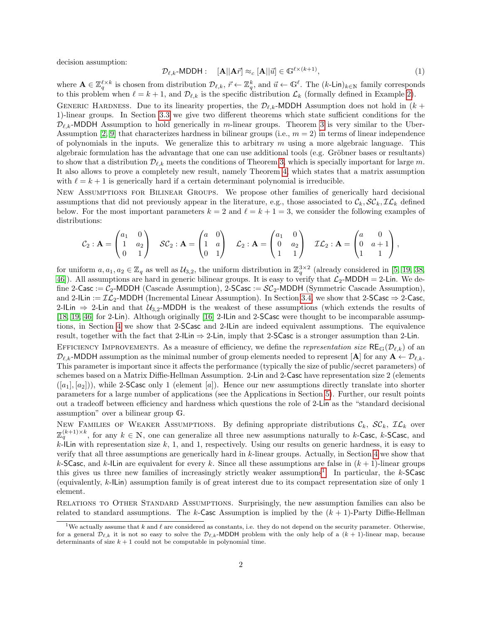decision assumption:

$$
\mathcal{D}_{\ell,k}\text{-MDDH}: \quad [\mathbf{A}||\mathbf{A}\vec{r}] \approx_c [\mathbf{A}||\vec{u}] \in \mathbb{G}^{\ell \times (k+1)},\tag{1}
$$

where  $\mathbf{A} \in \mathbb{Z}_q^{\ell \times k}$  is chosen from distribution  $\mathcal{D}_{\ell,k}$ ,  $\vec{r} \leftarrow \mathbb{Z}_q^k$ , and  $\vec{u} \leftarrow \mathbb{G}^{\ell}$ . The  $(k\text{-Lin})_{k\in\mathbb{N}}$  family corresponds to this problem when  $\ell = k + 1$ , and  $\mathcal{D}_{\ell,k}$  is the specific distribution  $\mathcal{L}_k$  (formally defined in Example [2\)](#page-10-1).

GENERIC HARDNESS. Due to its linearity properties, the  $\mathcal{D}_{\ell,k}$ -MDDH Assumption does not hold in  $(k +$ 1)-linear groups. In Section [3.3](#page-9-0) we give two different theorems which state sufficient conditions for the  $\mathcal{D}_{\ell,k}$ -MDDH Assumption to hold generically in m-linear groups. Theorem [3](#page-9-1) is very similar to the Uber-Assumption [\[2,](#page-25-7) [9\]](#page-25-8) that characterizes hardness in bilinear groups (i.e.,  $m = 2$ ) in terms of linear independence of polynomials in the inputs. We generalize this to arbitrary  $m$  using a more algebraic language. This algebraic formulation has the advantage that one can use additional tools (e.g. Gröbner bases or resultants) to show that a distribution  $\mathcal{D}_{\ell,k}$  meets the conditions of Theorem [3,](#page-9-1) which is specially important for large m. It also allows to prove a completely new result, namely Theorem [4,](#page-9-2) which states that a matrix assumption with  $\ell = k + 1$  is generically hard if a certain determinant polynomial is irreducible.

New Assumptions for Bilinear Groups. We propose other families of generically hard decisional assumptions that did not previously appear in the literature, e.g., those associated to  $\mathcal{C}_k$ ,  $\mathcal{SC}_k$ ,  $\mathcal{IL}_k$  defined below. For the most important parameters  $k = 2$  and  $\ell = k + 1 = 3$ , we consider the following examples of distributions:

$$
\mathcal{C}_2: \mathbf{A} = \begin{pmatrix} a_1 & 0 \\ 1 & a_2 \\ 0 & 1 \end{pmatrix} \quad \mathcal{SC}_2: \mathbf{A} = \begin{pmatrix} a & 0 \\ 1 & a \\ 0 & 1 \end{pmatrix} \quad \mathcal{L}_2: \mathbf{A} = \begin{pmatrix} a_1 & 0 \\ 0 & a_2 \\ 1 & 1 \end{pmatrix} \quad \mathcal{IL}_2: \mathbf{A} = \begin{pmatrix} a & 0 \\ 0 & a+1 \\ 1 & 1 \end{pmatrix},
$$

for uniform  $a, a_1, a_2 \in \mathbb{Z}_q$  as well as  $\mathcal{U}_{3,2}$ , the uniform distribution in  $\mathbb{Z}_q^{3\times 2}$  (already considered in [\[5,](#page-25-4) [19,](#page-26-6) [38,](#page-27-1) [46\]](#page-28-1)). All assumptions are hard in generic bilinear groups. It is easy to verify that  $\mathcal{L}_2$ -MDDH = 2-Lin. We define 2-Casc :=  $C_2$ -MDDH (Cascade Assumption), 2-SCasc :=  $SC_2$ -MDDH (Symmetric Cascade Assumption), and 2-ILin :=  $\mathcal{IL}_2$ -MDDH (Incremental Linear Assumption). In Section [3.4,](#page-10-0) we show that 2-SCasc  $\Rightarrow$  2-Casc, 2-ILin  $\Rightarrow$  2-Lin and that  $\mathcal{U}_{3,2}$ -MDDH is the weakest of these assumptions (which extends the results of [\[18,](#page-26-5) [19,](#page-26-6) [46\]](#page-28-1) for 2-Lin). Although originally [\[16\]](#page-25-9) 2-ILin and 2-SCasc were thought to be incomparable assumptions, in Section [4](#page-11-0) we show that 2-SCasc and 2-ILin are indeed equivalent assumptions. The equivalence result, together with the fact that 2-ILin  $\Rightarrow$  2-Lin, imply that 2-SCasc is a stronger assumption than 2-Lin.

EFFICIENCY IMPROVEMENTS. As a measure of efficiency, we define the *representation size*  $RE_{\mathbb{G}}(\mathcal{D}_{\ell,k})$  of an  $\mathcal{D}_{\ell,k}$ -MDDH assumption as the minimal number of group elements needed to represent [A] for any  $\mathbf{A} \leftarrow \mathcal{D}_{\ell,k}$ . This parameter is important since it affects the performance (typically the size of public/secret parameters) of schemes based on a Matrix Diffie-Hellman Assumption. 2-Lin and 2-Casc have representation size 2 (elements  $([a_1], [a_2])$ , while 2-SCasc only 1 (element [a]). Hence our new assumptions directly translate into shorter parameters for a large number of applications (see the Applications in Section [5\)](#page-14-0). Further, our result points out a tradeoff between efficiency and hardness which questions the role of 2-Lin as the "standard decisional assumption" over a bilinear group G.

NEW FAMILIES OF WEAKER ASSUMPTIONS. By defining appropriate distributions  $\mathcal{C}_k$ ,  $\mathcal{SC}_k$ ,  $\mathcal{IL}_k$  over  $\mathbb{Z}_q^{(k+1)\times k}$ , for any  $k \in \mathbb{N}$ , one can generalize all three new assumptions naturally to k-Casc, k-SCasc, and  $k$ -ILin with representation size k, 1, and 1, respectively. Using our results on generic hardness, it is easy to verify that all three assumptions are generically hard in k-linear groups. Actually, in Section [4](#page-11-0) we show that k-SCasc, and k-ILin are equivalent for every k. Since all these assumptions are false in  $(k+1)$ -linear groups this gives us three new families of increasingly strictly weaker assumptions<sup>[1](#page-3-0)</sup>. In particular, the  $k$ -SCasc (equivalently, k-ILin) assumption family is of great interest due to its compact representation size of only 1 element.

Relations to Other Standard Assumptions. Surprisingly, the new assumption families can also be related to standard assumptions. The k-Casc Assumption is implied by the  $(k + 1)$ -Party Diffie-Hellman

<span id="page-3-0"></span><sup>&</sup>lt;sup>1</sup>We actually assume that k and  $\ell$  are considered as constants, i.e. they do not depend on the security parameter. Otherwise, for a general  $\mathcal{D}_{\ell,k}$  it is not so easy to solve the  $\mathcal{D}_{\ell,k}$ -MDDH problem with the only help of a  $(k + 1)$ -linear map, because determinants of size  $k + 1$  could not be computable in polynomial time.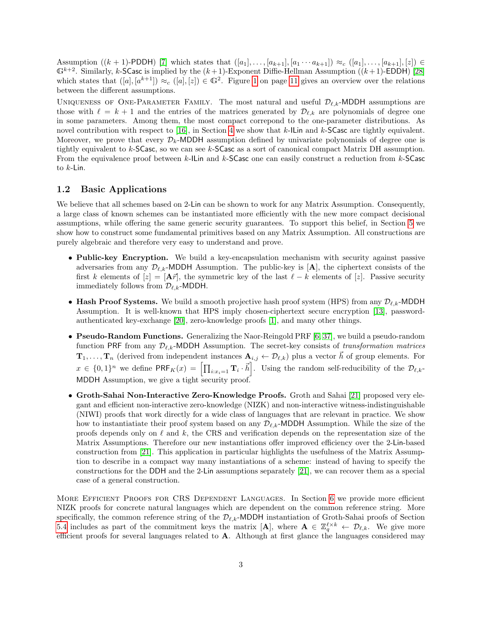<span id="page-4-1"></span>Assumption  $((k + 1)$ -PDDH) [\[7\]](#page-25-5) which states that  $([a_1], ..., [a_{k+1}], [a_1 \cdots a_{k+1}]) \approx_c ([a_1], ..., [a_{k+1}], [z]) \in$  $\mathbb{G}^{k+2}$ . Similarly, k-SCasc is implied by the  $(k+1)$ -Exponent Diffie-Hellman Assumption  $((k+1)$ -EDDH) [\[28\]](#page-26-7) which states that  $([a], [a^{k+1}]) \approx_c ([a], [z]) \in \mathbb{G}^2$ . Figure [1](#page-12-1) on page [11](#page-12-1) gives an overview over the relations between the different assumptions.

UNIQUENESS OF ONE-PARAMETER FAMILY. The most natural and useful  $\mathcal{D}_{\ell,k}$ -MDDH assumptions are those with  $\ell = k + 1$  and the entries of the matrices generated by  $\mathcal{D}_{\ell,k}$  are polynomials of degree one in some parameters. Among them, the most compact correpond to the one-parameter distributions. As novel contribution with respect to [\[16\]](#page-25-9), in Section [4](#page-11-0) we show that k-ILin and k-SCasc are tightly equivalent. Moreover, we prove that every  $\mathcal{D}_k$ -MDDH assumption defined by univariate polynomials of degree one is tightly equivalent to k-SCasc, so we can see k-SCasc as a sort of canonical compact Matrix DH assumption. From the equivalence proof between  $k$ -ILin and  $k$ -SCasc one can easily construct a reduction from  $k$ -SCasc to  $k$ -Lin.

#### <span id="page-4-0"></span>1.2 Basic Applications

We believe that all schemes based on 2-Lin can be shown to work for any Matrix Assumption. Consequently, a large class of known schemes can be instantiated more efficiently with the new more compact decisional assumptions, while offering the same generic security guarantees. To support this belief, in Section [5](#page-14-0) we show how to construct some fundamental primitives based on any Matrix Assumption. All constructions are purely algebraic and therefore very easy to understand and prove.

- Public-key Encryption. We build a key-encapsulation mechanism with security against passive adversaries from any  $\mathcal{D}_{\ell,k}$ -MDDH Assumption. The public-key is [A], the ciphertext consists of the first k elements of  $[z] = [\mathbf{A}\vec{r}]$ , the symmetric key of the last  $\ell - k$  elements of [z]. Passive security immediately follows from  $\mathcal{D}_{\ell,k}$ -MDDH.
- Hash Proof Systems. We build a smooth projective hash proof system (HPS) from any  $\mathcal{D}_{\ell,k}$ -MDDH Assumption. It is well-known that HPS imply chosen-ciphertext secure encryption [\[13\]](#page-25-1), passwordauthenticated key-exchange [\[20\]](#page-26-0), zero-knowledge proofs [\[1\]](#page-24-1), and many other things.
- Pseudo-Random Functions. Generalizing the Naor-Reingold PRF [\[6,](#page-25-6) [37\]](#page-27-0), we build a pseudo-random function PRF from any  $\mathcal{D}_{\ell,k}$ -MDDH Assumption. The secret-key consists of transformation matrices  $\mathbf{T}_1, \ldots, \mathbf{T}_n$  (derived from independent instances  $\mathbf{A}_{i,j} \leftarrow \mathcal{D}_{\ell,k}$ ) plus a vector  $\vec{h}$  of group elements. For  $x \in \{0,1\}^n$  we define  $\mathsf{PRF}_K(x) = \left[\prod_{i:x_i=1} \mathbf{T}_i \cdot \vec{h}\right]$ . Using the random self-reducibility of the  $\mathcal{D}_{\ell,k-1}$ MDDH Assumption, we give a tight security proof.
- Groth-Sahai Non-Interactive Zero-Knowledge Proofs. Groth and Sahai [\[21\]](#page-26-3) proposed very elegant and efficient non-interactive zero-knowledge (NIZK) and non-interactive witness-indistinguishable (NIWI) proofs that work directly for a wide class of languages that are relevant in practice. We show how to instantiatiate their proof system based on any  $\mathcal{D}_{\ell,k}$ -MDDH Assumption. While the size of the proofs depends only on  $\ell$  and k, the CRS and verification depends on the representation size of the Matrix Assumptions. Therefore our new instantiations offer improved efficiency over the 2-Lin-based construction from [\[21\]](#page-26-3). This application in particular highlights the usefulness of the Matrix Assumption to describe in a compact way many instantiations of a scheme: instead of having to specify the constructions for the DDH and the 2-Lin assumptions separately [\[21\]](#page-26-3), we can recover them as a special case of a general construction.

More Efficient Proofs for CRS Dependent Languages. In Section [6](#page-20-0) we provide more efficient NIZK proofs for concrete natural languages which are dependent on the common reference string. More specifically, the common reference string of the  $\mathcal{D}_{\ell,k}$ -MDDH instantiation of Groth-Sahai proofs of Section [5.4](#page-17-0) includes as part of the commitment keys the matrix  $[\mathbf{A}]$ , where  $\mathbf{A} \in \mathbb{Z}_q^{\ell \times k} \leftarrow \mathcal{D}_{\ell,k}$ . We give more efficient proofs for several languages related to  $A$ . Although at first glance the languages considered may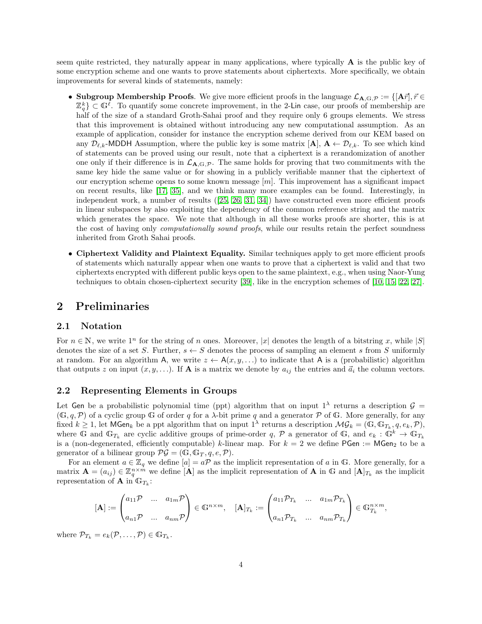<span id="page-5-3"></span>seem quite restricted, they naturally appear in many applications, where typically A is the public key of some encryption scheme and one wants to prove statements about ciphertexts. More specifically, we obtain improvements for several kinds of statements, namely:

- Subgroup Membership Proofs. We give more efficient proofs in the language  $\mathcal{L}_{A,G,P} := \{ [A\vec{r}], \vec{r} \in$  $\mathbb{Z}_q^k$   $\subset \mathbb{G}^{\ell}$ . To quantify some concrete improvement, in the 2-Lin case, our proofs of membership are half of the size of a standard Groth-Sahai proof and they require only 6 groups elements. We stress that this improvement is obtained without introducing any new computational assumption. As an example of application, consider for instance the encryption scheme derived from our KEM based on any  $\mathcal{D}_{\ell,k}$ -MDDH Assumption, where the public key is some matrix  $[\mathbf{A}], \mathbf{A} \leftarrow \mathcal{D}_{\ell,k}$ . To see which kind of statements can be proved using our result, note that a ciphertext is a rerandomization of another one only if their difference is in  $\mathcal{L}_{A, G, \mathcal{P}}$ . The same holds for proving that two commitments with the same key hide the same value or for showing in a publicly verifiable manner that the ciphertext of our encryption scheme opens to some known message  $[m]$ . This improvement has a significant impact on recent results, like [\[17,](#page-26-8) [35\]](#page-27-10), and we think many more examples can be found. Interestingly, in independent work, a number of results ([\[25,](#page-26-9) [26,](#page-26-10) [31,](#page-26-11) [34\]](#page-27-11)) have constructed even more efficient proofs in linear subspaces by also exploiting the dependency of the common reference string and the matrix which generates the space. We note that although in all these works proofs are shorter, this is at the cost of having only *computationally sound proofs*, while our results retain the perfect soundness inherited from Groth Sahai proofs.
- Ciphertext Validity and Plaintext Equality. Similar techniques apply to get more efficient proofs of statements which naturally appear when one wants to prove that a ciphertext is valid and that two ciphertexts encrypted with different public keys open to the same plaintext, e.g., when using Naor-Yung techniques to obtain chosen-ciphertext security [\[39\]](#page-27-12), like in the encryption schemes of [\[10,](#page-25-10) [15,](#page-25-11) [22,](#page-26-12) [27\]](#page-26-13).

### <span id="page-5-0"></span>2 Preliminaries

#### <span id="page-5-1"></span>2.1 Notation

For  $n \in \mathbb{N}$ , we write  $1^n$  for the string of n ones. Moreover, |x| denotes the length of a bitstring x, while  $|S|$ denotes the size of a set S. Further,  $s \leftarrow S$  denotes the process of sampling an element s from S uniformly at random. For an algorithm A, we write  $z \leftarrow A(x, y, ...)$  to indicate that A is a (probabilistic) algorithm that outputs z on input  $(x, y, \ldots)$ . If **A** is a matrix we denote by  $a_{ij}$  the entries and  $\vec{a}_i$  the column vectors.

#### <span id="page-5-2"></span>2.2 Representing Elements in Groups

Let Gen be a probabilistic polynomial time (ppt) algorithm that on input  $1^{\lambda}$  returns a description  $\mathcal{G}$  =  $(\mathbb{G}, q, \mathcal{P})$  of a cyclic group G of order q for a  $\lambda$ -bit prime q and a generator  $\mathcal P$  of G. More generally, for any fixed  $k \geq 1$ , let  $\mathsf{MGen}_k$  be a ppt algorithm that on input  $1^{\lambda}$  returns a description  $\mathcal{MG}_k = (\mathbb{G}, \mathbb{G}_{T_k}, q, e_k, \mathcal{P})$ , where G and  $\mathbb{G}_{T_k}$  are cyclic additive groups of prime-order q, P a generator of G, and  $e_k : \mathbb{G}^k \to \mathbb{G}_{T_k}$ is a (non-degenerated, efficiently computable) k-linear map. For  $k = 2$  we define PGen := MGen<sub>2</sub> to be a generator of a bilinear group  $\mathcal{PG} = (\mathbb{G}, \mathbb{G}_T, q, e, \mathcal{P}).$ 

For an element  $a \in \mathbb{Z}_q$  we define  $[a] = a\mathcal{P}$  as the implicit representation of a in G. More generally, for a matrix  $\mathbf{A} = (a_{ij}) \in \mathbb{Z}_q^{n \times \hat{m}}$  we define  $[\mathbf{A}]$  as the implicit representation of  $\mathbf{A}$  in G and  $[\mathbf{A}]_{T_k}$  as the implicit representation of **A** in  $\mathbb{G}_{T_k}$ :

$$
[\mathbf{A}] := \begin{pmatrix} a_{11} \mathcal{P} & \dots & a_{1m} \mathcal{P} \\ a_{n1} \mathcal{P} & \dots & a_{nm} \mathcal{P} \end{pmatrix} \in \mathbb{G}^{n \times m}, \quad [\mathbf{A}]_{T_k} := \begin{pmatrix} a_{11} \mathcal{P}_{T_k} & \dots & a_{1m} \mathcal{P}_{T_k} \\ a_{n1} \mathcal{P}_{T_k} & \dots & a_{nm} \mathcal{P}_{T_k} \end{pmatrix} \in \mathbb{G}_{T_k}^{n \times m},
$$

where  $\mathcal{P}_{T_k} = e_k(\mathcal{P}, \dots, \mathcal{P}) \in \mathbb{G}_{T_k}$ .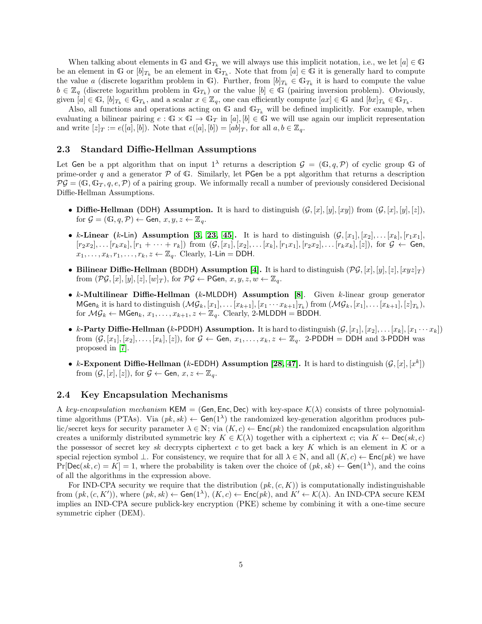<span id="page-6-2"></span>When talking about elements in G and  $\mathbb{G}_{T_k}$  we will always use this implicit notation, i.e., we let  $[a] \in \mathbb{G}$ be an element in  $\mathbb{G}$  or  $[b]_{T_k}$  be an element in  $\mathbb{G}_{T_k}$ . Note that from  $[a] \in \mathbb{G}$  it is generally hard to compute the value a (discrete logarithm problem in G). Further, from  $[b]_{T_k} \in \mathbb{G}_{T_k}$  it is hard to compute the value  $b \in \mathbb{Z}_q$  (discrete logarithm problem in  $\mathbb{G}_{T_k}$ ) or the value  $[b] \in \mathbb{G}$  (pairing inversion problem). Obviously, given  $[a] \in \mathbb{G}$ ,  $[b]_{T_k} \in \mathbb{G}_{T_k}$ , and a scalar  $x \in \mathbb{Z}_q$ , one can efficiently compute  $[ax] \in \mathbb{G}$  and  $[bx]_{T_k} \in \mathbb{G}_{T_k}$ .

Also, all functions and operations acting on G and  $\mathbb{G}_{T_k}$  will be defined implicitly. For example, when evaluating a bilinear pairing  $e : \mathbb{G} \times \mathbb{G} \to \mathbb{G}_T$  in [a], [b]  $\in \mathbb{G}$  we will use again our implicit representation and write  $[z]_T := e([a], [b])$ . Note that  $e([a], [b]) = [ab]_T$ , for all  $a, b \in \mathbb{Z}_q$ .

#### <span id="page-6-0"></span>2.3 Standard Diffie-Hellman Assumptions

Let Gen be a ppt algorithm that on input  $1^{\lambda}$  returns a description  $\mathcal{G} = (\mathbb{G}, q, \mathcal{P})$  of cyclic group  $\mathbb{G}$  of prime-order q and a generator  $\mathcal P$  of  $\mathbb G$ . Similarly, let PGen be a ppt algorithm that returns a description  $\mathcal{PG} = (\mathbb{G}, \mathbb{G}_T, q, e, \mathcal{P})$  of a pairing group. We informally recall a number of previously considered Decisional Diffie-Hellman Assumptions.

- Diffie-Hellman (DDH) Assumption. It is hard to distinguish  $(G, [x], [y], [xy])$  from  $(G, [x], [y], [z])$ , for  $\mathcal{G} = (\mathbb{G}, q, \mathcal{P}) \leftarrow$  Gen,  $x, y, z \leftarrow \mathbb{Z}_q$ .
- k-Linear (k-Lin) Assumption [\[3,](#page-25-3) [23,](#page-26-4) [45\]](#page-27-2). It is hard to distinguish  $(\mathcal{G}, [x_1], [x_2], \ldots, [x_k], [r_1x_1],$  $[r_2x_2], \ldots [r_kx_k], [r_1 + \cdots + r_k]$  from  $(G, [x_1], [x_2], \ldots [x_k], [r_1x_1], [r_2x_2], \ldots [r_kx_k], [z])$ , for  $G \leftarrow$  Gen,  $x_1, \ldots, x_k, r_1, \ldots, r_k, z \leftarrow \mathbb{Z}_q$ . Clearly, 1-Lin = DDH.
- Bilinear Diffie-Hellman (BDDH) Assumption [\[4\]](#page-25-2). It is hard to distinguish  $(\mathcal{PG}, [x], [y], [z], [xyz]_T)$ from  $(\mathcal{PG}, [x], [y], [z], [w]_T)$ , for  $\mathcal{PG} \leftarrow \mathsf{PGen}, x, y, z, w \leftarrow \mathbb{Z}_q$ .
- $k$ -Multilinear Diffie-Hellman ( $k$ -MLDDH) Assumption [\[8\]](#page-25-12). Given  $k$ -linear group generator  $\mathsf{MGen}_k$  it is hard to distinguish  $(\mathcal{MG}_k,[x_1],\ldots[x_{k+1}],[x_1\cdots x_{k+1}]_{T_k})$  from  $(\mathcal{MG}_k,[x_1],\ldots[x_{k+1}],[z]_{T_k}),$ for  $MG_k \leftarrow \mathsf{MGen}_k, x_1, \ldots, x_{k+1}, z \leftarrow \mathbb{Z}_q$ . Clearly, 2-MLDDH = BDDH.
- k-Party Diffie-Hellman (k-PDDH) Assumption. It is hard to distinguish  $(G, [x_1], [x_2], \ldots, [x_k], [x_1 \cdots x_k])$ from  $(\mathcal{G}, [x_1], [x_2], \ldots, [x_k], [z])$ , for  $\mathcal{G} \leftarrow$  Gen,  $x_1, \ldots, x_k, z \leftarrow \mathbb{Z}_q$ . 2-PDDH = DDH and 3-PDDH was proposed in [\[7\]](#page-25-5).
- k-Exponent Diffie-Hellman (k-EDDH) Assumption [\[28,](#page-26-7) [47\]](#page-28-2). It is hard to distinguish  $(G, [x], [x^k])$ from  $(\mathcal{G}, [x], [z])$ , for  $\mathcal{G} \leftarrow$  Gen,  $x, z \leftarrow \mathbb{Z}_q$ .

#### <span id="page-6-1"></span>2.4 Key Encapsulation Mechanisms

A key-encapsulation mechanism KEM = (Gen, Enc, Dec) with key-space  $\mathcal{K}(\lambda)$  consists of three polynomialtime algorithms (PTAs). Via  $(pk, sk) \leftarrow Gen(1^{\lambda})$  the randomized key-generation algorithm produces public/secret keys for security parameter  $\lambda \in \mathbb{N}$ ; via  $(K, c) \leftarrow \mathsf{Enc}(pk)$  the randomized encapsulation algorithm creates a uniformly distributed symmetric key  $K \in \mathcal{K}(\lambda)$  together with a ciphertext c; via  $K \leftarrow \mathsf{Dec}(sk, c)$ the possessor of secret key sk decrypts ciphertext c to get back a key K which is an element in K or a special rejection symbol  $\bot$ . For consistency, we require that for all  $\lambda \in \mathbb{N}$ , and all  $(K, c) \leftarrow \mathsf{Enc}(pk)$  we have  $Pr[Dec(sk, c) = K] = 1$ , where the probability is taken over the choice of  $(pk, sk) \leftarrow Gen(1^{\lambda})$ , and the coins of all the algorithms in the expression above.

For IND-CPA security we require that the distribution  $(pk, (c, K))$  is computationally indistinguishable from  $(pk, (c, K'))$ , where  $(pk, sk) \leftarrow Gen(1^{\lambda}), (K, c) \leftarrow Enc(pk),$  and  $K' \leftarrow K(\lambda)$ . An IND-CPA secure KEM implies an IND-CPA secure publick-key encryption (PKE) scheme by combining it with a one-time secure symmetric cipher (DEM).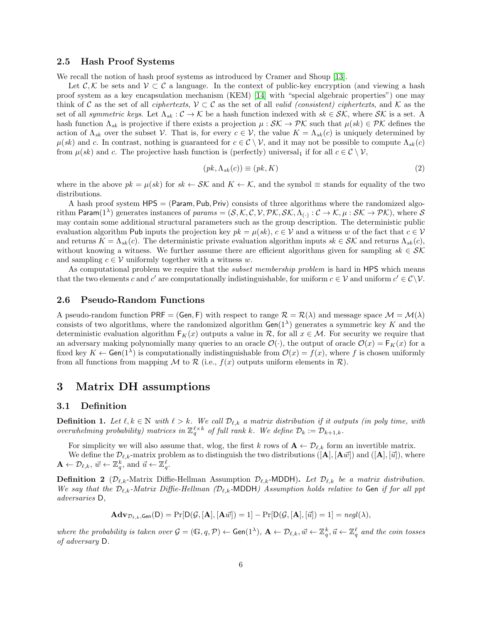#### <span id="page-7-6"></span><span id="page-7-0"></span>2.5 Hash Proof Systems

We recall the notion of hash proof systems as introduced by Cramer and Shoup [\[13\]](#page-25-1).

Let  $\mathcal{C}, \mathcal{K}$  be sets and  $\mathcal{V} \subset \mathcal{C}$  a language. In the context of public-key encryption (and viewing a hash proof system as a key encapsulation mechanism (KEM) [\[14\]](#page-25-13) with "special algebraic properties") one may think of C as the set of all *ciphertexts*,  $V \subset C$  as the set of all *valid (consistent) ciphertexts*, and K as the set of all symmetric keys. Let  $\Lambda_{sk} : C \to \mathcal{K}$  be a hash function indexed with  $sk \in \mathcal{SK}$ , where  $\mathcal{SK}$  is a set. A hash function  $\Lambda_{sk}$  is projective if there exists a projection  $\mu : \mathcal{SK} \to \mathcal{PK}$  such that  $\mu(sk) \in \mathcal{PK}$  defines the action of  $\Lambda_{sk}$  over the subset V. That is, for every  $c \in V$ , the value  $K = \Lambda_{sk}(c)$  is uniquely determined by  $\mu(sk)$  and c. In contrast, nothing is guaranteed for  $c \in \mathcal{C} \setminus \mathcal{V}$ , and it may not be possible to compute  $\Lambda_{sk}(c)$ from  $\mu(sk)$  and c. The projective hash function is (perfectly) universal<sub>1</sub> if for all  $c \in \mathcal{C} \setminus \mathcal{V}$ ,

$$
(pk, \Lambda_{sk}(c)) \equiv (pk, K) \tag{2}
$$

where in the above  $pk = \mu(sk)$  for  $sk \leftarrow SK$  and  $K \leftarrow K$ , and the symbol  $\equiv$  stands for equality of the two distributions.

A hash proof system HPS = (Param, Pub, Priv) consists of three algorithms where the randomized algorithm Param $(1^{\lambda})$  generates instances of params =  $(S, K, C, V, \mathcal{PK}, \mathcal{SK}, \Lambda_{(\cdot)} : C \to \mathcal{K}, \mu : \mathcal{SK} \to \mathcal{PK})$ , where  $\mathcal S$ may contain some additional structural parameters such as the group description. The deterministic public evaluation algorithm Pub inputs the projection key  $pk = \mu(sk)$ ,  $c \in V$  and a witness w of the fact that  $c \in V$ and returns  $K = \Lambda_{sk}(c)$ . The deterministic private evaluation algorithm inputs  $sk \in \mathcal{SK}$  and returns  $\Lambda_{sk}(c)$ , without knowing a witness. We further assume there are efficient algorithms given for sampling  $sk \in \mathcal{SK}$ and sampling  $c \in V$  uniformly together with a witness w.

As computational problem we require that the *subset membership problem* is hard in HPS which means that the two elements c and c' are computationally indistinguishable, for uniform  $c \in V$  and uniform  $c' \in \mathcal{C} \backslash V$ .

#### <span id="page-7-1"></span>2.6 Pseudo-Random Functions

A pseudo-random function PRF = (Gen, F) with respect to range  $\mathcal{R} = \mathcal{R}(\lambda)$  and message space  $\mathcal{M} = \mathcal{M}(\lambda)$ consists of two algorithms, where the randomized algorithm  $Gen(1^{\lambda})$  generates a symmetric key K and the deterministic evaluation algorithm  $F_K(x)$  outputs a value in  $\mathcal{R}$ , for all  $x \in \mathcal{M}$ . For security we require that an adversary making polynomially many queries to an oracle  $\mathcal{O}(\cdot)$ , the output of oracle  $\mathcal{O}(x) = F_K(x)$  for a fixed key  $K \leftarrow$  Gen(1<sup> $\lambda$ </sup>) is computationally indistinguishable from  $\mathcal{O}(x) = f(x)$ , where f is chosen uniformly from all functions from mapping M to R (i.e.,  $f(x)$  outputs uniform elements in R).

# <span id="page-7-2"></span>3 Matrix DH assumptions

#### <span id="page-7-3"></span>3.1 Definition

<span id="page-7-5"></span>**Definition 1.** Let  $\ell, k \in \mathbb{N}$  with  $\ell > k$ . We call  $\mathcal{D}_{\ell,k}$  a matrix distribution if it outputs (in poly time, with overwhelming probability) matrices in  $\mathbb{Z}_q^{\ell \times k}$  of full rank k. We define  $\mathcal{D}_k := \mathcal{D}_{k+1,k}$ .

For simplicity we will also assume that, wlog, the first k rows of  $A \leftarrow \mathcal{D}_{\ell,k}$  form an invertible matrix. We define the  $\mathcal{D}_{\ell,k}$ -matrix problem as to distinguish the two distributions  $([\mathbf{A}], [\mathbf{A}\vec{w}])$  and  $([\mathbf{A}], [\vec{u}])$ , where  $\mathbf{A} \leftarrow \mathcal{D}_{\ell,k}, \, \vec{w} \leftarrow \mathbb{Z}_q^k, \, \text{and } \, \vec{u} \leftarrow \mathbb{Z}_q^{\ell}.$ 

<span id="page-7-4"></span>**Definition 2** ( $\mathcal{D}_{\ell,k}$ -Matrix Diffie-Hellman Assumption  $\mathcal{D}_{\ell,k}$ -MDDH). Let  $\mathcal{D}_{\ell,k}$  be a matrix distribution. We say that the  $\mathcal{D}_{\ell,k}$ -Matrix Diffie-Hellman ( $\mathcal{D}_{\ell,k}$ -MDDH) Assumption holds relative to Gen if for all ppt adversaries D,

$$
\mathbf{Adv}_{\mathcal{D}_{\ell,k},\mathsf{Gen}}(\mathsf{D}) = \Pr[\mathsf{D}(\mathcal{G},[\mathbf{A}],[\mathbf{A}\vec{w}]) = 1] - \Pr[\mathsf{D}(\mathcal{G},[\mathbf{A}],[\vec{u}]) = 1] = \mathit{negl}(\lambda),
$$

where the probability is taken over  $\mathcal{G} = (\mathbb{G}, q, \mathcal{P}) \leftarrow \mathsf{Gen}(1^{\lambda}), \, \mathbf{A} \leftarrow \mathcal{D}_{\ell,k}, \vec{w} \leftarrow \mathbb{Z}_q^k, \vec{u} \leftarrow \mathbb{Z}_q^{\ell}$  and the coin tosses of adversary D.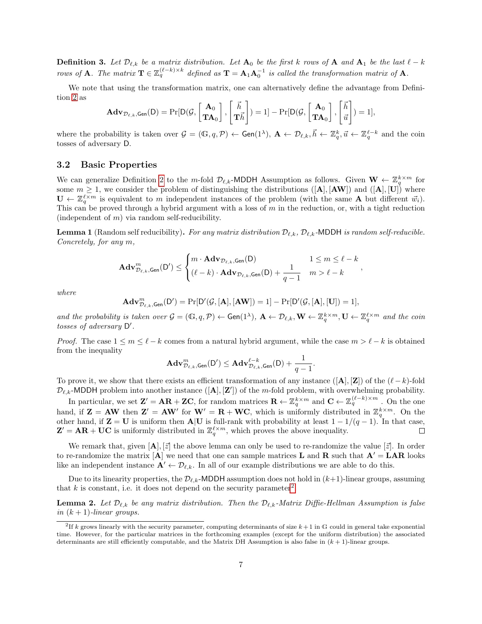<span id="page-8-3"></span>**Definition 3.** Let  $\mathcal{D}_{\ell,k}$  be a matrix distribution. Let  $\mathbf{A}_0$  be the first k rows of  $\mathbf{A}$  and  $\mathbf{A}_1$  be the last  $\ell - k$ rows of **A**. The matrix  $\mathbf{T} \in \mathbb{Z}_q^{(\ell-k)\times k}$  defined as  $\mathbf{T} = \mathbf{A}_1 \mathbf{A}_0^{-1}$  is called the transformation matrix of **A**.

We note that using the transformation matrix, one can alternatively define the advantage from Definition [2](#page-7-4) as

$$
\mathbf{Adv}_{\mathcal{D}_{\ell,k},\mathsf{Gen}}(\mathsf{D}) = \Pr[\mathsf{D}(\mathcal{G},\begin{bmatrix} \mathbf{A}_0 \\ \mathbf{TA}_0 \end{bmatrix},\begin{bmatrix} \vec{h} \\ \mathbf{T}\vec{h} \end{bmatrix}) = 1] - \Pr[\mathsf{D}(\mathcal{G},\begin{bmatrix} \mathbf{A}_0 \\ \mathbf{TA}_0 \end{bmatrix},\begin{bmatrix} \vec{h} \\ \vec{u} \end{bmatrix}) = 1],
$$

where the probability is taken over  $\mathcal{G} = (\mathbb{G}, q, \mathcal{P}) \leftarrow \mathsf{Gen}(1^{\lambda}), \, \mathbf{A} \leftarrow \mathcal{D}_{\ell,k}, \vec{h} \leftarrow \mathbb{Z}_q^k, \vec{u} \leftarrow \mathbb{Z}_q^{\ell-k}$  and the coin tosses of adversary D.

#### <span id="page-8-0"></span>3.2 Basic Properties

We can generalize Definition [2](#page-7-4) to the m-fold  $\mathcal{D}_{\ell,k}$ -MDDH Assumption as follows. Given  $\mathbf{W} \leftarrow \mathbb{Z}_q^{k \times m}$  for some  $m \geq 1$ , we consider the problem of distinguishing the distributions ([A], [AW]) and ([A], [U]) where  $\mathbf{U} \leftarrow \mathbb{Z}_q^{\ell \times m}$  is equivalent to m independent instances of the problem (with the same **A** but different  $\vec{w}_i$ ). This can be proved through a hybrid argument with a loss of  $m$  in the reduction, or, with a tight reduction (independent of  $m$ ) via random self-reducibility.

<span id="page-8-4"></span>**Lemma 1** (Random self reducibility). For any matrix distribution  $\mathcal{D}_{\ell,k}$ ,  $\mathcal{D}_{\ell,k}$ -MDDH is random self-reducible. Concretely, for any m,

$$
\mathbf{Adv}_{\mathcal{D}_{\ell,k},\mathsf{Gen}}^m(\mathsf{D}') \leq \begin{cases} m \cdot \mathbf{Adv}_{\mathcal{D}_{\ell,k},\mathsf{Gen}}(\mathsf{D}) & 1 \leq m \leq \ell - k \\ (\ell - k) \cdot \mathbf{Adv}_{\mathcal{D}_{\ell,k},\mathsf{Gen}}(\mathsf{D}) + \frac{1}{q - 1} & m > \ell - k \end{cases}
$$

,

where

$$
\mathbf{Adv}^{m}_{\mathcal{D}_{\ell,k},\mathsf{Gen}}(\mathsf{D}') = \Pr[\mathsf{D}'(\mathcal{G},[\mathbf{A}],[\mathbf{AW}]) = 1] - \Pr[\mathsf{D}'(\mathcal{G},[\mathbf{A}],[\mathbf{U}]) = 1],
$$

and the probability is taken over  $\mathcal{G} = (\mathbb{G}, q, \mathcal{P}) \leftarrow \text{Gen}(1^{\lambda}), \ \mathbf{A} \leftarrow \mathcal{D}_{\ell,k}, \mathbf{W} \leftarrow \mathbb{Z}_q^{\ell \times m}, \mathbf{U} \leftarrow \mathbb{Z}_q^{\ell \times m}$  and the coin tosses of adversary  $D'$ .

*Proof.* The case  $1 \leq m \leq \ell - k$  comes from a natural hybrid argument, while the case  $m > \ell - k$  is obtained from the inequality

$$
\mathbf{Adv}^m_{\mathcal{D}_{\ell,k},\mathsf{Gen}}(\mathsf{D}')\leq \mathbf{Adv}^{\ell-k}_{\mathcal{D}_{\ell,k},\mathsf{Gen}}(\mathsf{D})+\frac{1}{q-1}.
$$

To prove it, we show that there exists an efficient transformation of any instance ([A], [Z]) of the  $(\ell-k)$ -fold  $\mathcal{D}_{\ell,k}$ -MDDH problem into another instance  $([\mathbf{A}], [\mathbf{Z}'])$  of the m-fold problem, with overwhelming probability.

In particular, we set  $\mathbf{Z}' = \mathbf{AR} + \mathbf{Z}\mathbf{C}$ , for random matrices  $\mathbf{R} \leftarrow \mathbb{Z}_q^{k \times m}$  and  $\mathbf{C} \leftarrow \mathbb{Z}_q^{(\ell-k) \times m}$ . On the one hand, if  $\mathbf{Z} = \mathbf{A}\mathbf{W}$  then  $\mathbf{Z}' = \mathbf{A}\mathbf{W}'$  for  $\mathbf{W}' = \mathbf{R} + \mathbf{W}\mathbf{C}$ , which is uniformly distributed in  $\mathbb{Z}_q^{k \times m}$ . On the other hand, if  $\mathbf{Z} = \mathbf{U}$  is uniform then  $\mathbf{A}|\mathbf{U}$  is full-rank with probability at least  $1 - 1/(q - 1)$ . In that case,  $\mathbf{Z}' = \mathbf{AR} + \mathbf{UC}$  is uniformly distributed in  $\mathbb{Z}_q^{\ell \times m}$ , which proves the above inequality.  $\Box$ 

We remark that, given  $[\mathbf{A}], [\vec{z}]$  the above lemma can only be used to re-randomize the value  $[\vec{z}]$ . In order to re-randomize the matrix  $[A]$  we need that one can sample matrices **L** and **R** such that  $A' = LAR$  looks like an independent instance  $\mathbf{A}' \leftarrow \mathcal{D}_{\ell,k}$ . In all of our example distributions we are able to do this.

Due to its linearity properties, the  $\mathcal{D}_{\ell,k}$ -MDDH assumption does not hold in  $(k+1)$ -linear groups, assuming that k is constant, i.e. it does not depend on the security parameter<sup>[2](#page-8-1)</sup>.

<span id="page-8-2"></span>**Lemma 2.** Let  $\mathcal{D}_{\ell,k}$  be any matrix distribution. Then the  $\mathcal{D}_{\ell,k}$ -Matrix Diffie-Hellman Assumption is false in  $(k + 1)$ -linear groups.

<span id="page-8-1"></span><sup>&</sup>lt;sup>2</sup>If k grows linearly with the security parameter, computing determinants of size  $k+1$  in G could in general take exponential time. However, for the particular matrices in the forthcoming examples (except for the uniform distribution) the associated determinants are still efficiently computable, and the Matrix DH Assumption is also false in  $(k + 1)$ -linear groups.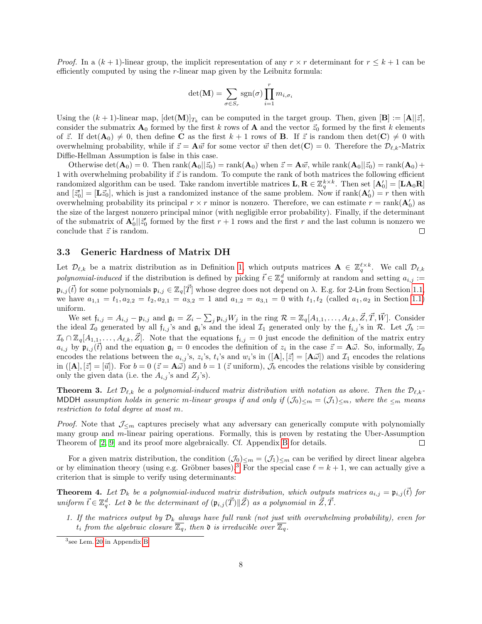<span id="page-9-4"></span>*Proof.* In a  $(k + 1)$ -linear group, the implicit representation of any  $r \times r$  determinant for  $r \times k + 1$  can be efficiently computed by using the r-linear map given by the Leibnitz formula:

$$
\det(\mathbf{M}) = \sum_{\sigma \in S_r} \text{sgn}(\sigma) \prod_{i=1}^r m_{i, \sigma_i}
$$

Using the  $(k+1)$ -linear map,  $[\det(\mathbf{M})]_{T_k}$  can be computed in the target group. Then, given  $[\mathbf{B}] := [\mathbf{A} || \vec{z}]$ , consider the submatrix  $\mathbf{A}_0$  formed by the first k rows of  $\mathbf{A}$  and the vector  $\vec{z}_0$  formed by the first k elements of  $\vec{z}$ . If  $\det(\mathbf{A}_0) \neq 0$ , then define **C** as the first  $k + 1$  rows of **B**. If  $\vec{z}$  is random then  $\det(\mathbf{C}) \neq 0$  with overwhelming probability, while if  $\vec{z} = \mathbf{A}\vec{w}$  for some vector  $\vec{w}$  then det(**C**) = 0. Therefore the  $\mathcal{D}_{\ell,k}$ -Matrix Diffie-Hellman Assumption is false in this case.

Otherwise  $\det(\mathbf{A}_0) = 0$ . Then  $\text{rank}(\mathbf{A}_0 || \vec{z}_0) = \text{rank}(\mathbf{A}_0)$  when  $\vec{z} = \mathbf{A}\vec{w}$ , while  $\text{rank}(\mathbf{A}_0 || \vec{z}_0) = \text{rank}(\mathbf{A}_0) + \vec{w}$ 1 with overwhelming probability if  $\vec{z}$  is random. To compute the rank of both matrices the following efficient randomized algorithm can be used. Take random invertible matrices  $\mathbf{L}, \mathbf{R} \in \mathbb{Z}_q^{k \times k}$ . Then set  $[\mathbf{A}'_0] = [\mathbf{L} \mathbf{A}_0 \mathbf{R}]$ and  $[\vec{z}'_0] = [\mathbf{L}\vec{z}_0]$ , which is just a randomized instance of the same problem. Now if  $\text{rank}(\mathbf{A}'_0) = r$  then with overwhelming probability its principal  $r \times r$  minor is nonzero. Therefore, we can estimate  $r = \text{rank}(\mathbf{A}'_0)$  as the size of the largest nonzero principal minor (with negligible error probability). Finally, if the determinant of the submatrix of  $\mathbf{A}'_0 || \vec{z}'_0$  formed by the first  $r + 1$  rows and the first r and the last column is nonzero we conclude that  $\vec{z}$  is random.  $\Box$ 

#### <span id="page-9-0"></span>3.3 Generic Hardness of Matrix DH

Let  $\mathcal{D}_{\ell,k}$  be a matrix distribution as in Definition [1,](#page-7-5) which outputs matrices  $\mathbf{A} \in \mathbb{Z}_q^{\ell \times k}$ . We call  $\mathcal{D}_{\ell,k}$ polynomial-induced if the distribution is defined by picking  $\vec{t} \in \mathbb{Z}_q^d$  uniformly at random and setting  $a_{i,j}$ :=  $\mathfrak{p}_{i,j}(\vec{t})$  for some polynomials  $\mathfrak{p}_{i,j} \in \mathbb{Z}_q[\vec{T}]$  whose degree does not depend on  $\lambda$ . E.g. for 2-Lin from Section [1.1,](#page-2-1) we have  $a_{1,1} = t_1, a_{2,2} = t_2, a_{2,1} = a_{3,2} = 1$  and  $a_{1,2} = a_{3,1} = 0$  with  $t_1, t_2$  (called  $a_1, a_2$  in Section [1.1\)](#page-2-1) uniform.

We set  $\mathfrak{f}_{i,j} = A_{i,j} - \mathfrak{p}_{i,j}$  and  $\mathfrak{g}_i = Z_i - \sum_j \mathfrak{p}_{i,j} W_j$  in the ring  $\mathcal{R} = \mathbb{Z}_q[A_{1,1}, \ldots, A_{\ell,k}, \vec{Z}, \vec{T}, \vec{W}]$ . Consider the ideal  $\mathcal{I}_0$  generated by all  $f_{i,j}$ 's and  $g_i$ 's and the ideal  $\mathcal{I}_1$  generated only by the  $f_{i,j}$ 's in  $\mathcal{R}$ . Let  $\mathcal{J}_b :=$  $\mathcal{I}_b \cap \mathbb{Z}_q[A_{1,1},\ldots,A_{\ell,k},\vec{Z}].$  Note that the equations  $f_{i,j} = 0$  just encode the definition of the matrix entry  $a_{i,j}$  by  $\mathfrak{p}_{i,j}(\vec{t})$  and the equation  $\mathfrak{g}_i = 0$  encodes the definition of  $z_i$  in the case  $\vec{z} = \mathbf{A}\vec{\omega}$ . So, informally,  $\mathcal{I}_0$ encodes the relations between the  $a_{i,j}$ 's,  $z_i$ 's,  $t_i$ 's and  $w_i$ 's in  $([\mathbf{A}], [\vec{z}] = [\mathbf{A}\vec{\omega}])$  and  $\mathcal{I}_1$  encodes the relations in  $([A], [\bar{z}] = [\bar{u}])$ . For  $b = 0$   $(\bar{z} = A\vec{\omega})$  and  $b = 1$  ( $\bar{z}$  uniform),  $\mathcal{J}_b$  encodes the relations visible by considering only the given data (i.e. the  $A_{i,j}$ 's and  $Z_j$ 's).

<span id="page-9-1"></span>**Theorem 3.** Let  $\mathcal{D}_{\ell,k}$  be a polynomial-induced matrix distribution with notation as above. Then the  $\mathcal{D}_{\ell,k}$ -MDDH assumption holds in generic m-linear groups if and only if  $(\mathcal{J}_0)_{\leq m} = (\mathcal{J}_1)_{\leq m}$ , where the  $_{\leq m}$  means restriction to total degree at most m.

*Proof.* Note that  $\mathcal{J}_{\leq m}$  captures precisely what any adversary can generically compute with polynomially many group and m-linear pairing operations. Formally, this is proven by restating the Uber-Assumption Theorem of [\[2,](#page-25-7) [9\]](#page-25-8) and its proof more algebraically. Cf. Appendix [B](#page-29-0) for details.  $\Box$ 

For a given matrix distribution, the condition  $(\mathcal{J}_0)_{\leq m} = (\mathcal{J}_1)_{\leq m}$  can be verified by direct linear algebra or by elimination theory (using e.g. Gröbner bases).<sup>[3](#page-9-3)</sup> For the special case  $\ell = k + 1$ , we can actually give a criterion that is simple to verify using determinants:

<span id="page-9-2"></span>**Theorem 4.** Let  $\mathcal{D}_k$  be a polynomial-induced matrix distribution, which outputs matrices  $a_{i,j} = \mathfrak{p}_{i,j}(\vec{t})$  for uniform  $\vec{t} \in \mathbb{Z}_q^d$ . Let  $\mathfrak d$  be the determinant of  $(\mathfrak p_{i,j}(\vec{T})\|\vec{Z})$  as a polynomial in  $\vec{Z}, \vec{T}$ .

1. If the matrices output by  $\mathcal{D}_k$  always have full rank (not just with overwhelming probability), even for  $t_i$  from the algebraic closure  $\overline{\mathbb{Z}_q}$ , then  $\mathfrak d$  is irreducible over  $\overline{\mathbb{Z}_q}$ .

<span id="page-9-3"></span><sup>3</sup> see Lem. [20](#page-31-1) in Appendix [B](#page-29-0)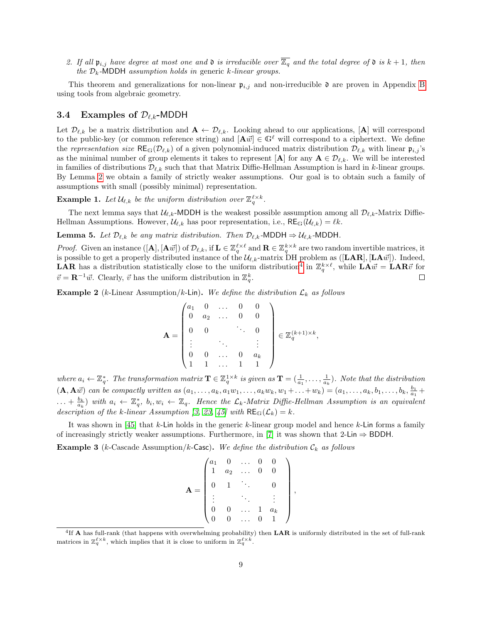<span id="page-10-3"></span>2. If all  $\mathfrak{p}_{i,j}$  have degree at most one and  $\mathfrak{d}$  is irreducible over  $\overline{\mathbb{Z}_q}$  and the total degree of  $\mathfrak{d}$  is  $k+1$ , then the  $\mathcal{D}_k$ -MDDH assumption holds in generic k-linear groups.

This theorem and generalizations for non-linear  $\mathfrak{p}_{i,j}$  and non-irreducible  $\mathfrak{d}$  are proven in Appendix [B](#page-29-0) using tools from algebraic geometry.

#### <span id="page-10-0"></span>3.4 Examples of  $\mathcal{D}_{\ell,k}$ -MDDH

Let  $\mathcal{D}_{\ell,k}$  be a matrix distribution and  $\mathbf{A} \leftarrow \mathcal{D}_{\ell,k}$ . Looking ahead to our applications,  $[\mathbf{A}]$  will correspond to the public-key (or common reference string) and  $[\mathbf{A}\vec{w}] \in \mathbb{G}^{\ell}$  will correspond to a ciphertext. We define the representation size  $RE_G(\mathcal{D}_{\ell,k})$  of a given polynomial-induced matrix distribution  $\mathcal{D}_{\ell,k}$  with linear  $\mathfrak{p}_{i,j}$ 's as the minimal number of group elements it takes to represent [A] for any  $A \in \mathcal{D}_{\ell,k}$ . We will be interested in families of distributions  $\mathcal{D}_{\ell,k}$  such that that Matrix Diffie-Hellman Assumption is hard in k-linear groups. By Lemma [2](#page-8-2) we obtain a family of strictly weaker assumptions. Our goal is to obtain such a family of assumptions with small (possibly minimal) representation.

**Example 1.** Let  $\mathcal{U}_{\ell,k}$  be the uniform distribution over  $\mathbb{Z}_q^{\ell \times k}$ .

The next lemma says that  $\mathcal{U}_{\ell,k}$ -MDDH is the weakest possible assumption among all  $\mathcal{D}_{\ell,k}$ -Matrix Diffie-Hellman Assumptions. However,  $\mathcal{U}_{\ell,k}$  has poor representation, i.e.,  $RE_{\mathbb{G}}(\mathcal{U}_{\ell,k}) = \ell k$ .

**Lemma 5.** Let  $\mathcal{D}_{\ell,k}$  be any matrix distribution. Then  $\mathcal{D}_{\ell,k}$ -MDDH  $\Rightarrow \mathcal{U}_{\ell,k}$ -MDDH.

*Proof.* Given an instance  $([\mathbf{A}], [\mathbf{A}\vec{w}])$  of  $\mathcal{D}_{\ell,k}$ , if  $\mathbf{L} \in \mathbb{Z}_q^{\ell \times \ell}$  and  $\mathbf{R} \in \mathbb{Z}_q^{k \times k}$  are two random invertible matrices, it is possible to get a properly distributed instance of the  $\mathcal{U}_{\ell,k}$ -matrix DH problem as ([LAR], [LA $\vec{w}$ ]). Indeed, **LAR** has a distribution statistically close to the uniform distribution<sup>[4](#page-10-2)</sup> in  $\mathbb{Z}_q^{k\times\ell}$ , while  $\mathbf{L}\mathbf{A}\vec{w} = \mathbf{L}\mathbf{A}\mathbf{R}\vec{v}$  for  $\vec{v} = \mathbf{R}^{-1}\vec{w}$ . Clearly,  $\vec{v}$  has the uniform distribution in  $\mathbb{Z}_q^k$ .  $\Box$ 

<span id="page-10-1"></span>**Example 2** (k-Linear Assumption/k-Lin). We define the distribution  $\mathcal{L}_k$  as follows

$$
\mathbf{A} = \begin{pmatrix} a_1 & 0 & \dots & 0 & 0 \\ 0 & a_2 & \dots & 0 & 0 \\ 0 & 0 & & \ddots & 0 \\ \vdots & & \ddots & & \vdots \\ 0 & 0 & \dots & 0 & a_k \\ 1 & 1 & \dots & 1 & 1 \end{pmatrix} \in \mathbb{Z}_q^{(k+1)\times k},
$$

where  $a_i \leftarrow \mathbb{Z}_q^*$ . The transformation matrix  $\mathbf{T} \in \mathbb{Z}_q^{1 \times k}$  is given as  $\mathbf{T} = (\frac{1}{a_1}, \dots, \frac{1}{a_k})$ . Note that the distribution  $(A, A\vec{w})$  can be compactly written as  $(a_1, ..., a_k, a_1w_1, ..., a_kw_k, w_1 + ... + w_k) = (a_1, ..., a_k, b_1, ..., b_k, \frac{b_1}{a_1} + ... + b_k)$  $\ldots + \frac{b_k}{a_k}$ ) with  $a_i \leftarrow \mathbb{Z}_q^*$ ,  $b_i, w_i \leftarrow \mathbb{Z}_q$ . Hence the  $\mathcal{L}_k$ -Matrix Diffie-Hellman Assumption is an equivalent description of the k-linear Assumption [\[3,](#page-25-3) [23,](#page-26-4) [45\]](#page-27-2) with  $RE_{\mathbb{G}}(\mathcal{L}_k) = k$ .

It was shown in  $[45]$  that k-Lin holds in the generic k-linear group model and hence k-Lin forms a family of increasingly strictly weaker assumptions. Furthermore, in [\[7\]](#page-25-5) it was shown that 2-Lin  $\Rightarrow$  BDDH.

**Example 3** (k-Cascade Assumption/k-Casc). We define the distribution  $\mathcal{C}_k$  as follows

$$
\mathbf{A} = \begin{pmatrix} a_1 & 0 & \dots & 0 & 0 \\ 1 & a_2 & \dots & 0 & 0 \\ 0 & 1 & \ddots & & 0 \\ \vdots & & \ddots & & \vdots \\ 0 & 0 & \dots & 1 & a_k \\ 0 & 0 & \dots & 0 & 1 \end{pmatrix}
$$

,

<span id="page-10-2"></span> ${}^{4}$ If **A** has full-rank (that happens with overwhelming probability) then LAR is uniformly distributed in the set of full-rank matrices in  $\mathbb{Z}_q^{\ell \times k}$ , which implies that it is close to uniform in  $\mathbb{Z}_q^{\ell \times k}$ .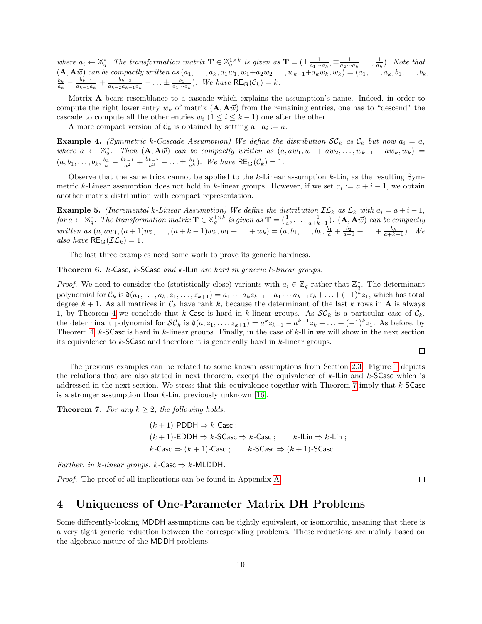<span id="page-11-2"></span>where  $a_i \leftarrow \mathbb{Z}_q^*$ . The transformation matrix  $\mathbf{T} \in \mathbb{Z}_q^{1 \times k}$  is given as  $\mathbf{T} = (\pm \frac{1}{a_1 \cdots a_k}, \mp \frac{1}{a_2 \cdots a_k} \dots, \frac{1}{a_k})$ . Note that  $(A, A\vec{w})$  can be compactly written as  $(a_1, \ldots, a_k, a_1w_1, w_1+a_2w_2 \ldots, w_{k-1}+a_kw_k, w_k) = (a_1, \ldots, a_k, b_1, \ldots, b_k, b_k)$  $\frac{b_k}{a_k} - \frac{b_{k-1}}{a_{k-1}a}$  $\frac{b_{k-1}}{a_{k-1}a_k} + \frac{b_{k-2}}{a_{k-2}a_{k-1}}$  $\frac{b_{k-2}}{a_{k-2}a_{k-1}a_k} - \ldots \pm \frac{b_1}{a_1\cdots a_k}$ . We have  $\mathsf{RE}_{\mathbb{G}}(\mathcal{C}_k) = k$ .

Matrix  $\bf{A}$  bears resemblance to a cascade which explains the assumption's name. Indeed, in order to compute the right lower entry  $w_k$  of matrix  $(\mathbf{A}, \mathbf{A}\vec{w})$  from the remaining entries, one has to "descend" the cascade to compute all the other entries  $w_i$  ( $1 \le i \le k-1$ ) one after the other.

A more compact version of  $\mathcal{C}_k$  is obtained by setting all  $a_i := a$ .

<span id="page-11-4"></span>**Example 4.** (Symmetric k-Cascade Assumption) We define the distribution  $SC_k$  as  $C_k$  but now  $a_i = a$ , where  $a \leftarrow \mathbb{Z}_q^*$ . Then  $(A, A\vec{w})$  can be compactly written as  $(a, aw_1, w_1 + aw_2, \ldots, w_{k-1} + aw_k, w_k)$  $(a, b_1, \ldots, b_k, \frac{b_k}{a} - \frac{b_{k-1}}{a^2} + \frac{b_{k-2}}{a^3} - \ldots \pm \frac{b_1}{a^k}).$  We have  $RE_{\mathbb{G}}(\mathcal{C}_k) = 1$ .

Observe that the same trick cannot be applied to the  $k$ -Linear assumption  $k$ -Lin, as the resulting Symmetric k-Linear assumption does not hold in k-linear groups. However, if we set  $a_i := a + i - 1$ , we obtain another matrix distribution with compact representation.

**Example 5.** (Incremental k-Linear Assumption) We define the distribution  $\mathcal{IL}_k$  as  $\mathcal{L}_k$  with  $a_i = a + i - 1$ , for  $a \leftarrow \mathbb{Z}_q^*$ . The transformation matrix  $\mathbf{T} \in \mathbb{Z}_q^{1 \times k}$  is given as  $\mathbf{T} = (\frac{1}{a}, \dots, \frac{1}{a+k-1})$ .  $(\mathbf{A}, \mathbf{A}\vec{w})$  can be compactly written as  $(a, aw_1, (a+1)w_2, \ldots, (a+k-1)w_k, w_1 + \ldots + w_k) = (a, b_1, \ldots, b_k, \frac{b_1}{a} + \frac{b_2}{a+1} + \ldots + \frac{b_k}{a+k-1})$ . We also have  $RE_{\mathbb{G}}(\mathcal{IL}_k) = 1$ .

The last three examples need some work to prove its generic hardness.

<span id="page-11-3"></span>Theorem 6. k-Casc, k-SCasc and k-ILin are hard in generic k-linear groups.

*Proof.* We need to consider the (statistically close) variants with  $a_i \in \mathbb{Z}_q$  rather that  $\mathbb{Z}_q^*$ . The determinant polynomial for  $\mathcal{C}_k$  is  $\mathfrak{d}(a_1,\ldots,a_k,z_1,\ldots,z_{k+1}) = a_1\cdots a_kz_{k+1} - a_1\cdots a_{k-1}z_k + \ldots + (-1)^k z_1$ , which has total degree  $k + 1$ . As all matrices in  $\mathcal{C}_k$  have rank k, because the determinant of the last k rows in **A** is always 1, by Theorem [4](#page-9-2) we conclude that k-Casc is hard in k-linear groups. As  $\mathcal{SC}_k$  is a particular case of  $\mathcal{C}_k$ , the determinant polynomial for  $\mathcal{SC}_k$  is  $\mathfrak{d}(a, z_1, \ldots, z_{k+1}) = a^k z_{k+1} - a^{k-1} z_k + \ldots + (-1)^k z_1$ . As before, by Theorem [4,](#page-9-2) k-SCasc is hard in k-linear groups. Finally, in the case of k-ILin we will show in the next section its equivalence to k-SCasc and therefore it is generically hard in k-linear groups.

 $\Box$ 

The previous examples can be related to some known assumptions from Section [2.3.](#page-6-0) Figure [1](#page-12-1) depicts the relations that are also stated in next theorem, except the equivalence of  $k$ -ILin and  $k$ -SCasc which is addressed in the next section. We stress that this equivalence together with Theorem [7](#page-11-1) imply that k-SCasc is a stronger assumption than  $k$ -Lin, previously unknown [\[16\]](#page-25-9).

<span id="page-11-1"></span>**Theorem 7.** For any  $k \geq 2$ , the following holds:

$$
(k+1)\text{-PDDH} \Rightarrow k\text{-Case};
$$
  

$$
(k+1)\text{-EDDH} \Rightarrow k\text{-SCase} \Rightarrow k\text{-Case};
$$
  

$$
k\text{-Case} \Rightarrow (k+1)\text{-Case};
$$
  

$$
k\text{-SCase} \Rightarrow (k+1)\text{-SCase}
$$

Further, in k-linear groups, k-Casc  $\Rightarrow$  k-MLDDH.

Proof. The proof of all implications can be found in Appendix [A.](#page-28-0)

 $\Box$ 

### <span id="page-11-0"></span>4 Uniqueness of One-Parameter Matrix DH Problems

Some differently-looking MDDH assumptions can be tightly equivalent, or isomorphic, meaning that there is a very tight generic reduction between the corresponding problems. These reductions are mainly based on the algebraic nature of the MDDH problems.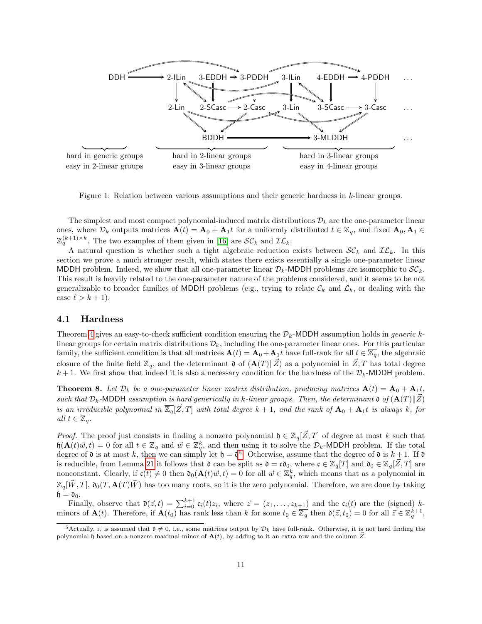<span id="page-12-4"></span>

<span id="page-12-1"></span>Figure 1: Relation between various assumptions and their generic hardness in k-linear groups.

The simplest and most compact polynomial-induced matrix distributions  $\mathcal{D}_k$  are the one-parameter linear ones, where  $\mathcal{D}_k$  outputs matrices  $\mathbf{A}(t) = \mathbf{A}_0 + \mathbf{A}_1 t$  for a uniformly distributed  $t \in \mathbb{Z}_q$ , and fixed  $\mathbf{A}_0, \mathbf{A}_1 \in$  $\mathbb{Z}_q^{(k+1)\times k}$ . The two examples of them given in [\[16\]](#page-25-9) are  $\mathcal{SC}_k$  and  $\mathcal{IL}_k$ .

A natural question is whether such a tight algebraic reduction exists between  $SC_k$  and  $IL_k$ . In this section we prove a much stronger result, which states there exists essentially a single one-parameter linear MDDH problem. Indeed, we show that all one-parameter linear  $\mathcal{D}_k$ -MDDH problems are isomorphic to  $\mathcal{SC}_k$ . This result is heavily related to the one-parameter nature of the problems considered, and it seems to be not generalizable to broader families of MDDH problems (e.g., trying to relate  $\mathcal{C}_k$  and  $\mathcal{L}_k$ , or dealing with the case  $\ell > k + 1$ .

#### <span id="page-12-0"></span>4.1 Hardness

Theorem [4](#page-9-2) gives an easy-to-check sufficient condition ensuring the  $\mathcal{D}_k$ -MDDH assumption holds in generic klinear groups for certain matrix distributions  $\mathcal{D}_k$ , including the one-parameter linear ones. For this particular family, the sufficient condition is that all matrices  $\mathbf{A}(t) = \mathbf{A}_0 + \mathbf{A}_1 t$  have full-rank for all  $t \in \overline{\mathbb{Z}_q}$ , the algebraic closure of the finite field  $\mathbb{Z}_q$ , and the determinant  $\mathfrak{d}$  of  $(\mathbf{A}(T)\|\mathbf{Z})$  as a polynomial in  $\mathbf{Z}, T$  has total degree  $k+1$ . We first show that indeed it is also a necessary condition for the hardness of the  $\mathcal{D}_k$ -MDDH problem.

<span id="page-12-3"></span>**Theorem 8.** Let  $\mathcal{D}_k$  be a one-parameter linear matrix distribution, producing matrices  $\mathbf{A}(t) = \mathbf{A}_0 + \mathbf{A}_1 t$ , such that  $\mathcal{D}_k$ -MDDH assumption is hard generically in k-linear groups. Then, the determinant  $\mathfrak{d}(\mathbf{A}(T)\|\mathbf{Z})$ is an irreducible polynomial in  $\overline{\mathbb{Z}_9}[\mathbb{Z},T]$  with total degree  $k+1$ , and the rank of  $\mathbf{A}_0 + \mathbf{A}_1t$  is always k, for all  $t \in \overline{\mathbb{Z}_q}$ .

*Proof.* The proof just consists in finding a nonzero polynomial  $\mathfrak{h} \in \mathbb{Z}_q[\mathcal{Z},T]$  of degree at most k such that  $h(\mathbf{A}(t)\vec{w}, t) = 0$  for all  $t \in \mathbb{Z}_q$  and  $\vec{w} \in \mathbb{Z}_q^k$ , and then using it to solve the  $\mathcal{D}_k$ -MDDH problem. If the total degree of  $\mathfrak d$  is at most k, then we can simply let  $\mathfrak h = \mathfrak d^5$  $\mathfrak h = \mathfrak d^5$ . Otherwise, assume that the degree of  $\mathfrak d$  is  $k+1$ . If  $\mathfrak d$ is reducible, from Lemma [21](#page-31-2) it follows that  $\mathfrak d$  can be split as  $\mathfrak d = \mathfrak c \mathfrak d_0$ , where  $\mathfrak c \in \mathbb Z_q[[T]]$  and  $\mathfrak d_0 \in \mathbb Z_q[[Z,T]]$  are nonconstant. Clearly, if  $c(t) \neq 0$  then  $\mathfrak{d}_0(\mathbf{A}(t)\vec{w}, t) = 0$  for all  $\vec{w} \in \mathbb{Z}_q^k$ , which means that as a polynomial in  $\mathbb{Z}_q[\vec{W},T], \mathfrak{d}_0(T, \mathbf{A}(T)\vec{W})$  has too many roots, so it is the zero polynomial. Therefore, we are done by taking  $\mathfrak{h} = \mathfrak{d}_0.$ 

Finally, observe that  $\mathfrak{d}(\vec{z},t) = \sum_{i=0}^{k+1} \mathfrak{c}_i(t) z_i$ , where  $\vec{z} = (z_1,\ldots,z_{k+1})$  and the  $\mathfrak{c}_i(t)$  are the (signed) kminors of  $\mathbf{A}(t)$ . Therefore, if  $\mathbf{A}(t_0)$  has rank less than k for some  $t_0 \in \overline{\mathbb{Z}_q}$  then  $\mathfrak{d}(\vec{z}, t_0) = 0$  for all  $\vec{z} \in \mathbb{Z}_q^{k+1}$ ,

<span id="page-12-2"></span><sup>&</sup>lt;sup>5</sup>Actually, it is assumed that  $\mathfrak{d} \neq 0$ , i.e., some matrices output by  $\mathcal{D}_k$  have full-rank. Otherwise, it is not hard finding the polynomial h based on a nonzero maximal minor of  $A(t)$ , by adding to it an extra row and the column  $\vec{Z}$ .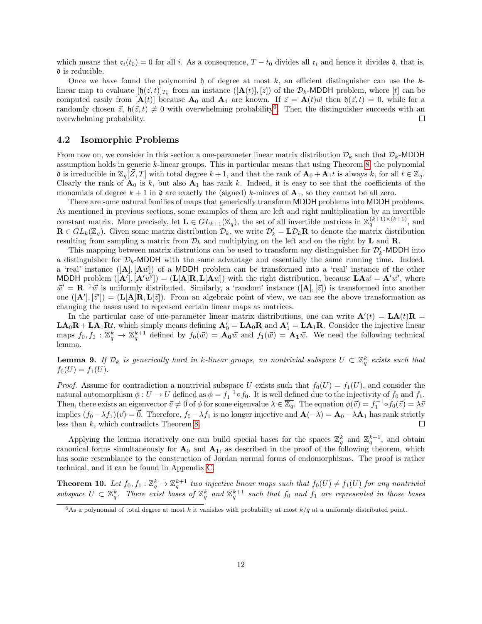which means that  $c_i(t_0) = 0$  for all i. As a consequence,  $T - t_0$  divides all  $c_i$  and hence it divides  $\mathfrak{d}$ , that is,  $\mathfrak d$  is reducible.

Once we have found the polynomial h of degree at most  $k$ , an efficient distinguisher can use the  $k$ linear map to evaluate  $[\mathfrak{h}(\vec{z},t)]_{T_k}$  from an instance  $([\mathbf{A}(t)],[\vec{z}])$  of the  $\mathcal{D}_k$ -MDDH problem, where [t] can be computed easily from  $[{\bf A}(t)]$  because  ${\bf A}_0$  and  ${\bf A}_1$  are known. If  $\vec{z} = {\bf A}(t)\vec{w}$  then  $\mathfrak{h}(\vec{z}, t) = 0$ , while for a randomly chosen  $\vec{z}$ ,  $\mathfrak{h}(\vec{z},t) \neq 0$  with overwhelming probability<sup>[6](#page-13-2)</sup>. Then the distinguisher succeeds with an overwhelming probability.  $\Box$ 

#### <span id="page-13-0"></span>4.2 Isomorphic Problems

From now on, we consider in this section a one-parameter linear matrix distribution  $\mathcal{D}_k$  such that  $\mathcal{D}_k$ -MDDH assumption holds in generic k-linear groups. This in particular means that using Theorem [8,](#page-12-3) the polynomial **d** is irreducible in  $\overline{\mathbb{Z}_q}[\vec{Z},T]$  with total degree  $k+1$ , and that the rank of  $\mathbf{A}_0 + \mathbf{A}_1 t$  is always k, for all  $t \in \overline{\mathbb{Z}_q}$ . Clearly the rank of  $A_0$  is k, but also  $A_1$  has rank k. Indeed, it is easy to see that the coefficients of the monomials of degree  $k + 1$  in  $\mathfrak d$  are exactly the (signed) k-minors of  $A_1$ , so they cannot be all zero.

There are some natural families of maps that generically transform MDDH problems into MDDH problems. As mentioned in previous sections, some examples of them are left and right multiplication by an invertible constant matrix. More precisely, let  $\mathbf{L} \in GL_{k+1}(\mathbb{Z}_q)$ , the set of all invertible matrices in  $\mathbb{Z}_q^{(k+1)\times (k+1)}$ , and  $\mathbf{R} \in GL_k(\mathbb{Z}_q)$ . Given some matrix distribution  $\mathcal{D}_k$ , we write  $\mathcal{D}'_k = \mathbf{L}\mathcal{D}_k\mathbf{R}$  to denote the matrix distribution resulting from sampling a matrix from  $\mathcal{D}_k$  and multiplying on the left and on the right by **L** and **R**.

This mapping between matrix distrutions can be used to transform any distinguisher for  $\mathcal{D}'_k$ -MDDH into a distinguisher for  $\mathcal{D}_k$ -MDDH with the same advantage and essentially the same running time. Indeed, a 'real' instance  $([\mathbf{A}], [\mathbf{A}\vec{w}] )$  of a MDDH problem can be transformed into a 'real' instance of the other MDDH problem  $([\mathbf{A}'], [\mathbf{A'}\vec{w}']) = (\mathbf{L}[\mathbf{A}]\mathbf{R}, \mathbf{L}[\mathbf{A}\vec{w}])$  with the right distribution, because  $\mathbf{L}\mathbf{A}\vec{w} = \mathbf{A'}\vec{w}',$  where  $\vec{w}' = \mathbf{R}^{-1}\vec{w}$  is uniformly distributed. Similarly, a 'random' instance  $([\mathbf{A}], [\vec{z}] )$  is transformed into another one  $([\mathbf{A}'], [\vec{z}']) = (\mathbf{L}[\mathbf{A}]\mathbf{R}, \mathbf{L}[\vec{z}])$ . From an algebraic point of view, we can see the above transformation as changing the bases used to represent certain linear maps as matrices.

In the particular case of one-parameter linear matrix distributions, one can write  $\mathbf{A}'(t) = \mathbf{L}\mathbf{A}(t)\mathbf{R}$  $LA_0R+LA_1Rt$ , which simply means defining  $A'_0=LA_0R$  and  $A'_1=LA_1R$ . Consider the injective linear maps  $f_0, f_1 : \mathbb{Z}_q^k \to \mathbb{Z}_q^{k+1}$  defined by  $f_0(\vec{w}) = \mathbf{A}_0 \vec{w}$  and  $f_1(\vec{w}) = \mathbf{A}_1 \vec{w}$ . We need the following technical lemma.

<span id="page-13-3"></span>**Lemma 9.** If  $\mathcal{D}_k$  is generically hard in k-linear groups, no nontrivial subspace  $U \subset \mathbb{Z}_q^k$  exists such that  $f_0(U) = f_1(U)$ .

*Proof.* Assume for contradiction a nontrivial subspace U exists such that  $f_0(U) = f_1(U)$ , and consider the natural automorphism  $\phi: U \to U$  defined as  $\phi = f_1^{-1} \circ f_0$ . It is well defined due to the injectivity of  $f_0$  and  $f_1$ . Then, there exists an eigenvector  $\vec{v} \neq \vec{0}$  of  $\phi$  for some eigenvalue  $\lambda \in \overline{\mathbb{Z}_q}$ . The equation  $\phi(\vec{v}) = f_1^{-1} \circ f_0(\vec{v}) = \lambda \vec{v}$ implies  $(f_0 - \lambda f_1)(\vec{v}) = 0$ . Therefore,  $f_0 - \lambda f_1$  is no longer injective and  $\mathbf{A}(-\lambda) = \mathbf{A}_0 - \lambda \mathbf{A}_1$  has rank strictly less than k, which contradicts Theorem [8.](#page-12-3)  $\Box$ 

Applying the lemma iteratively one can build special bases for the spaces  $\mathbb{Z}_q^k$  and  $\mathbb{Z}_q^{k+1}$ , and obtain canonical forms simultaneously for  $A_0$  and  $A_1$ , as described in the proof of the following theorem, which has some resemblance to the construction of Jordan normal forms of endomorphisms. The proof is rather technical, and it can be found in Appendix [C.](#page-33-0)

<span id="page-13-1"></span>**Theorem 10.** Let  $f_0, f_1 : \mathbb{Z}_q^k \to \mathbb{Z}_q^{k+1}$  two injective linear maps such that  $f_0(U) \neq f_1(U)$  for any nontrivial subspace  $U \subset \mathbb{Z}_q^k$ . There exist bases of  $\mathbb{Z}_q^k$  and  $\mathbb{Z}_q^{k+1}$  such that  $f_0$  and  $f_1$  are represented in those bases

<span id="page-13-2"></span><sup>&</sup>lt;sup>6</sup>As a polynomial of total degree at most k it vanishes with probability at most  $k/q$  at a uniformly distributed point.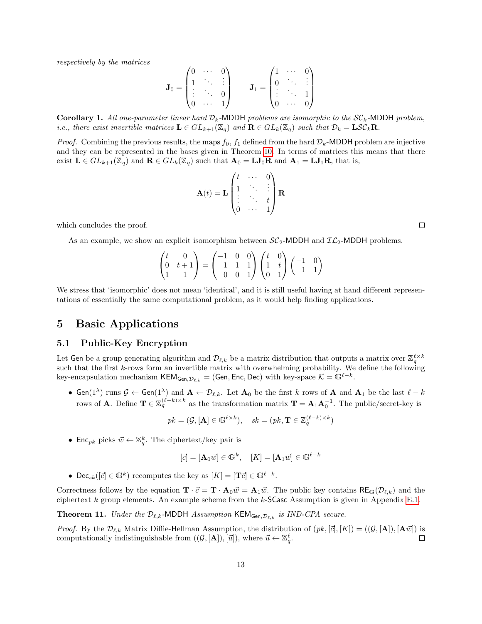respectively by the matrices

$$
\mathbf{J}_0 = \begin{pmatrix} 0 & \cdots & 0 \\ 1 & \ddots & \vdots \\ \vdots & \ddots & 0 \\ 0 & \cdots & 1 \end{pmatrix} \qquad \mathbf{J}_1 = \begin{pmatrix} 1 & \cdots & 0 \\ 0 & \ddots & \vdots \\ \vdots & \ddots & 1 \\ 0 & \cdots & 0 \end{pmatrix}
$$

**Corollary 1.** All one-parameter linear hard  $\mathcal{D}_k$ -MDDH problems are isomorphic to the  $\mathcal{SC}_k$ -MDDH problem, *i.e.*, there exist invertible matrices  $\mathbf{L} \in GL_{k+1}(\mathbb{Z}_q)$  and  $\mathbf{R} \in GL_k(\mathbb{Z}_q)$  such that  $\mathcal{D}_k = \mathbf{LSC}_k\mathbf{R}$ .

*Proof.* Combining the previous results, the maps  $f_0$ ,  $f_1$  defined from the hard  $D_k$ -MDDH problem are injective and they can be represented in the bases given in Theorem [10.](#page-13-1) In terms of matrices this means that there exist  $\mathbf{L} \in GL_{k+1}(\mathbb{Z}_q)$  and  $\mathbf{R} \in GL_k(\mathbb{Z}_q)$  such that  $\mathbf{A}_0 = \mathbf{L} \mathbf{J}_0 \mathbf{R}$  and  $\mathbf{A}_1 = \mathbf{L} \mathbf{J}_1 \mathbf{R}$ , that is,

$$
\mathbf{A}(t) = \mathbf{L} \begin{pmatrix} t & \cdots & 0 \\ 1 & \ddots & \vdots \\ \vdots & \ddots & t \\ 0 & \cdots & 1 \end{pmatrix} \mathbf{R}
$$

which concludes the proof.

As an example, we show an explicit isomorphism between  $SC_2$ -MDDH and  $IL_2$ -MDDH problems.

$$
\begin{pmatrix} t & 0 \\ 0 & t+1 \\ 1 & 1 \end{pmatrix} = \begin{pmatrix} -1 & 0 & 0 \\ 1 & 1 & 1 \\ 0 & 0 & 1 \end{pmatrix} \begin{pmatrix} t & 0 \\ 1 & t \\ 0 & 1 \end{pmatrix} \begin{pmatrix} -1 & 0 \\ 1 & 1 \end{pmatrix}
$$

We stress that 'isomorphic' does not mean 'identical', and it is still useful having at hand different representations of essentially the same computational problem, as it would help finding applications.

### <span id="page-14-0"></span>5 Basic Applications

#### <span id="page-14-1"></span>5.1 Public-Key Encryption

Let Gen be a group generating algorithm and  $\mathcal{D}_{\ell,k}$  be a matrix distribution that outputs a matrix over  $\mathbb{Z}_q^{\ell\times k}$ such that the first k-rows form an invertible matrix with overwhelming probability. We define the following key-encapsulation mechanism KEM<sub>Gen, $\mathcal{D}_{\ell,k} = (\mathsf{Gen}, \mathsf{Enc}, \mathsf{Dec})$  with key-space  $\mathcal{K} = \mathbb{G}^{\ell-k}$ .</sub>

• Gen(1<sup> $\lambda$ </sup>) runs  $\mathcal{G} \leftarrow$  Gen(1<sup> $\lambda$ </sup>) and  $\mathbf{A} \leftarrow \mathcal{D}_{\ell,k}$ . Let  $\mathbf{A}_0$  be the first k rows of  $\mathbf{A}$  and  $\mathbf{A}_1$  be the last  $\ell - k$ rows of **A**. Define  $\mathbf{T} \in \mathbb{Z}_q^{(\ell-k)\times k}$  as the transformation matrix  $\mathbf{T} = \mathbf{A}_1 \mathbf{A}_0^{-1}$ . The public/secret-key is

$$
pk = (\mathcal{G}, [\mathbf{A}] \in \mathbb{G}^{\ell \times k}), \quad sk = (pk, \mathbf{T} \in \mathbb{Z}_q^{(\ell - k) \times k})
$$

• Enc<sub>pk</sub> picks  $\vec{w} \leftarrow \mathbb{Z}_q^k$ . The ciphertext/key pair is

$$
[\vec{c}] = [\mathbf{A}_0 \vec{w}] \in \mathbb{G}^k, \quad [K] = [\mathbf{A}_1 \vec{w}] \in \mathbb{G}^{\ell - k}
$$

• Dec<sub>sk</sub>( $[\vec{c}] \in \mathbb{G}^k$ ) recomputes the key as  $[K] = [\mathbf{T}\vec{c}] \in \mathbb{G}^{\ell-k}$ .

Correctness follows by the equation  $\mathbf{T} \cdot \vec{c} = \mathbf{T} \cdot \mathbf{A}_0 \vec{w} = \mathbf{A}_1 \vec{w}$ . The public key contains  $\mathsf{RE}_{\mathbb{G}}(\mathcal{D}_{\ell,k})$  and the ciphertext  $k$  group elements. An example scheme from the  $k$ -SCasc Assumption is given in Appendix [E.1.](#page-35-1)

<span id="page-14-2"></span>**Theorem 11.** Under the  $\mathcal{D}_{\ell,k}$ -MDDH Assumption KEM<sub>Gen, $\mathcal{D}_{\ell,k}$  is IND-CPA secure.</sub>

*Proof.* By the  $\mathcal{D}_{\ell,k}$  Matrix Diffie-Hellman Assumption, the distribution of  $(pk, [\vec{c}], [K]) = ((\mathcal{G}, [\mathbf{A}]), [\mathbf{A}\vec{w}])$  is computationally indistinguishable from  $((\mathcal{G}, [\mathbf{A}]), [\vec{u}]),$  where  $\vec{u} \leftarrow \mathbb{Z}_q^{\ell}$ .  $\Box$ 

 $\Box$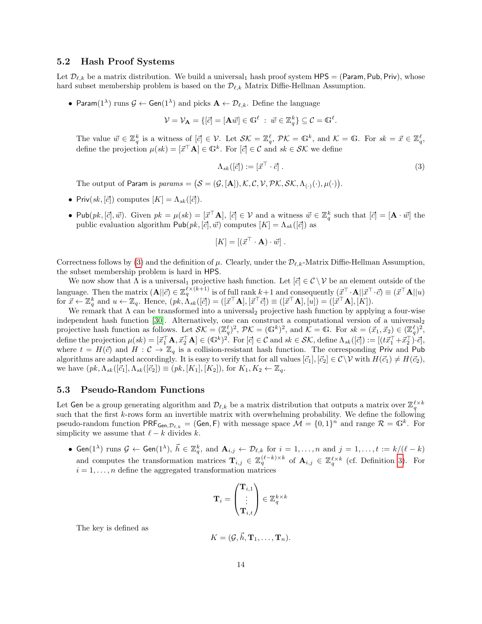#### <span id="page-15-3"></span><span id="page-15-0"></span>5.2 Hash Proof Systems

Let  $\mathcal{D}_{\ell,k}$  be a matrix distribution. We build a universal<sub>1</sub> hash proof system HPS = (Param, Pub, Priv), whose hard subset membership problem is based on the  $\mathcal{D}_{\ell,k}$  Matrix Diffie-Hellman Assumption.

• Param(1<sup> $\lambda$ </sup>) runs  $\mathcal{G} \leftarrow$  Gen(1<sup> $\lambda$ </sup>) and picks  $\mathbf{A} \leftarrow \mathcal{D}_{\ell,k}$ . Define the language

$$
\mathcal{V} = \mathcal{V}_{\mathbf{A}} = \{ [\vec{c}] = [\mathbf{A}\vec{w}] \in \mathbb{G}^{\ell} \; : \; \vec{w} \in \mathbb{Z}_q^k \} \subseteq \mathcal{C} = \mathbb{G}^{\ell}.
$$

The value  $\vec{w} \in \mathbb{Z}_q^k$  is a witness of  $[\vec{c}] \in \mathcal{V}$ . Let  $\mathcal{SK} = \mathbb{Z}_q^{\ell}$ ,  $\mathcal{PK} = \mathbb{G}^k$ , and  $\mathcal{K} = \mathbb{G}$ . For  $sk = \vec{x} \in \mathbb{Z}_q^{\ell}$ , define the projection  $\mu(sk) = [\vec{x}^{\top} \mathbf{A}] \in \mathbb{G}^{k}$ . For  $[\vec{c}] \in \mathcal{C}$  and  $sk \in \mathcal{SK}$  we define

<span id="page-15-2"></span>
$$
\Lambda_{sk}([\vec{c}]) := [\vec{x}^\top \cdot \vec{c}] \ . \tag{3}
$$

The output of Param is  $params = (S = (G, [A]), K, C, V, PK, SK, \Lambda_{(.)}(\cdot), \mu(\cdot)).$ 

- Priv $(sk, [\vec{c}])$  computes  $[K] = \Lambda_{sk}([\vec{c}]).$
- Pub $(pk, [\vec{c}], \vec{w})$ . Given  $pk = \mu(sk) = [\vec{x}^\top \mathbf{A}], [\vec{c}] \in \mathcal{V}$  and a witness  $\vec{w} \in \mathbb{Z}_q^k$  such that  $[\vec{c}] = [\mathbf{A} \cdot \vec{w}]$  the public evaluation algorithm  $\mathsf{Pub}(pk, [\vec{c}], \vec{w})$  computes  $[K] = \Lambda_{sk}([\vec{c}])$  as

$$
[K] = [(\vec{x}^\top \cdot \mathbf{A}) \cdot \vec{w}].
$$

Correctness follows by [\(3\)](#page-15-2) and the definition of  $\mu$ . Clearly, under the  $\mathcal{D}_{\ell,k}$ -Matrix Diffie-Hellman Assumption, the subset membership problem is hard in HPS.

We now show that  $\Lambda$  is a universal<sub>1</sub> projective hash function. Let  $[\vec{c}] \in \mathcal{C} \setminus \mathcal{V}$  be an element outside of the language. Then the matrix  $(A||\vec{c}) \in \mathbb{Z}_q^{\ell \times (k+1)}$  is of full rank  $k+1$  and consequently  $(\vec{x}^\top \cdot A||\vec{x}^\top \cdot \vec{c}) \equiv (\vec{x}^\top A||u)$ for  $\vec{x} \leftarrow \mathbb{Z}_q^k$  and  $u \leftarrow \mathbb{Z}_q$ . Hence,  $(pk, \Lambda_{sk}([\vec{c}]) = ([\vec{x}^\top \mathbf{A}], [\vec{x}^\top \vec{c}]) \equiv ([\vec{x}^\top \mathbf{A}], [u]) = ([\vec{x}^\top \mathbf{A}], [K])$ .

We remark that  $\Lambda$  can be transformed into a universal projective hash function by applying a four-wise independent hash function [\[30\]](#page-26-14). Alternatively, one can construct a computational version of a universal  $_2$ projective hash function as follows. Let  $\mathcal{SK} = (\mathbb{Z}_q^{\ell})^2$ ,  $\mathcal{PK} = (\mathbb{G}^k)^2$ , and  $\mathcal{K} = \mathbb{G}$ . For  $sk = (\vec{x}_1, \vec{x}_2) \in (\mathbb{Z}_q^{\ell})^2$ , define the projection  $\mu(sk) = [\vec{x}_1^\top \mathbf{A}, \vec{x}_2^\top \mathbf{A}] \in (\mathbb{G}^k)^2$ . For  $[\vec{c}] \in \mathcal{C}$  and  $sk \in \mathcal{SK}$ , define  $\Lambda_{sk}([\vec{c}]) := [(t\vec{x}_1^\top + \vec{x}_2^\top) \cdot \vec{c}],$ where  $t = H(\vec{c})$  and  $H: \mathcal{C} \to \mathbb{Z}_q$  is a collision-resistant hash function. The corresponding Priv and Pub algorithms are adapted accordingly. It is easy to verify that for all values  $[\vec{c}_1], [\vec{c}_2] \in \mathcal{C} \setminus \mathcal{V}$  with  $H(\vec{c}_1) \neq H(\vec{c}_2)$ , we have  $(pk, \Lambda_{sk}([\vec{c}_1], \Lambda_{sk}([\vec{c}_2]) \equiv (pk, [K_1], [K_2])$ , for  $K_1, K_2 \leftarrow \mathbb{Z}_q$ .

#### <span id="page-15-1"></span>5.3 Pseudo-Random Functions

Let Gen be a group generating algorithm and  $\mathcal{D}_{\ell,k}$  be a matrix distribution that outputs a matrix over  $\mathbb{Z}_q^{\ell\times k}$ such that the first k-rows form an invertible matrix with overwhelming probability. We define the following pseudo-random function  $\mathsf{PRF}_{\mathsf{Gen}, \mathcal{D}_{\ell,k}} = (\mathsf{Gen}, \mathsf{F})$  with message space  $\mathcal{M} = \{0, 1\}^n$  and range  $\mathcal{R} = \mathbb{G}^k$ . For simplicity we assume that  $\ell - k$  divides k.

• Gen(1<sup> $\lambda$ </sup>) runs  $\mathcal{G} \leftarrow$  Gen(1 $\lambda$ ),  $\vec{h} \in \mathbb{Z}_q^k$ , and  $\mathbf{A}_{i,j} \leftarrow \mathcal{D}_{\ell,k}$  for  $i = 1,\ldots,n$  and  $j = 1,\ldots,t := k/(\ell - k)$ and computes the transformation matrices  $\mathbf{T}_{i,j} \in \mathbb{Z}_q^{(\ell-k)\times k}$  of  $\mathbf{A}_{i,j} \in \mathbb{Z}_q^{\ell \times k}$  (cf. Definition [3\)](#page-8-3). For  $i = 1, \ldots, n$  define the aggregated transformation matrices

$$
\mathbf{T}_i = \begin{pmatrix} \mathbf{T}_{i,1} \\ \vdots \\ \mathbf{T}_{i,t} \end{pmatrix} \in \mathbb{Z}_q^{k \times k}
$$

The key is defined as

$$
K=(\mathcal{G},\vec{h},\mathbf{T}_1,\ldots,\mathbf{T}_n).
$$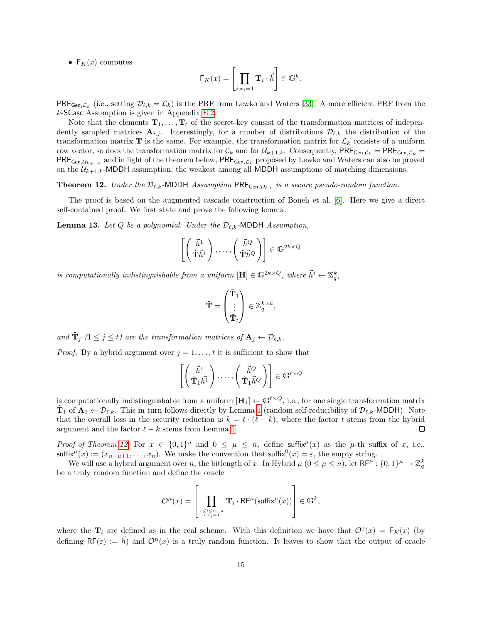<span id="page-16-2"></span>•  $F_K(x)$  computes

$$
\mathsf{F}_K(x) = \left[ \prod_{i:x_i=1} \mathbf{T}_i \cdot \vec{h} \right] \in \mathbb{G}^k.
$$

 $\mathsf{PRF}_{\mathsf{Gen},\mathcal{L}_k}$  (i.e., setting  $\mathcal{D}_{\ell,k} = \mathcal{L}_k$ ) is the PRF from Lewko and Waters [\[33\]](#page-27-13). A more efficient PRF from the k-SCasc Assumption is given in Appendix [E.2.](#page-36-0)

Note that the elements  $\mathbf{T}_1, \ldots, \mathbf{T}_t$  of the secret-key consist of the transformation matrices of independently sampled matrices  $A_{i,j}$ . Interestingly, for a number of distributions  $\mathcal{D}_{\ell,k}$  the distribution of the transformation matrix  $\mathbf T$  is the same. For example, the transformation matrix for  $\mathcal L_k$  consists of a uniform row vector, so does the transformation matrix for  $\mathcal{C}_k$  and for  $\mathcal{U}_{k+1,k}$ . Consequently, PRF<sub>Gen, $\mathcal{C}_k$ </sub> = PRF<sub>Gen, $\mathcal{L}_k$ </sub> =  $PRF_{Gen, U_{k+1,k}}$  and in light of the theorem below,  $PRF_{Gen, L_k}$  proposed by Lewko and Waters can also be proved on the  $\mathcal{U}_{k+1,k}$ -MDDH assumption, the weakest among all MDDH assumptions of matching dimensions.

<span id="page-16-0"></span>**Theorem 12.** Under the  $\mathcal{D}_{\ell,k}$ -MDDH Assumption PRF<sub>Gen, $\mathcal{D}_{\ell,k}$  is a secure pseudo-random function.</sub>

The proof is based on the augmented cascade construction of Boneh et al. [\[6\]](#page-25-6). Here we give a direct self-contained proof. We first state and prove the following lemma.

<span id="page-16-1"></span>**Lemma 13.** Let Q be a polynomial. Under the  $\mathcal{D}_{\ell,k}$ -MDDH Assumption,

$$
\left[\begin{pmatrix} \vec{h}^1 \\ \hat{\mathbf{T}} \vec{h}^1 \end{pmatrix}, \dots, \begin{pmatrix} \vec{h}^Q \\ \hat{\mathbf{T}} \vec{h}^Q \end{pmatrix}\right] \in \mathbb{G}^{2k \times Q}
$$

is computationally indistinguishable from a uniform  $[\mathbf{H}] \in \mathbb{G}^{2k \times Q}$ , where  $\vec{h}^i \leftarrow \mathbb{Z}_q^k$ ,

$$
\hat{\mathbf{T}} = \begin{pmatrix} \hat{\mathbf{T}}_1 \\ \vdots \\ \hat{\mathbf{T}}_t \end{pmatrix} \in \mathbb{Z}_q^{k \times k},
$$

and  $\hat{\mathbf{T}}_j$  ( $1 \leq j \leq t$ ) are the transformation matrices of  $\mathbf{A}_j \leftarrow \mathcal{D}_{\ell,k}$ .

*Proof.* By a hybrid argument over  $j = 1, \ldots, t$  it is sufficient to show that

$$
\left[ \left( \begin{array}{c} \vec{h}^1 \\ \hat{\mathbf{T}}_1 \vec{h}^1 \end{array} \right), \dots, \left( \begin{array}{c} \vec{h}^Q \\ \hat{\mathbf{T}}_1 \vec{h}^Q \end{array} \right) \right] \in \mathbb{G}^{\ell \times Q}
$$

is computationally indistinguishable from a uniform  $[\mathbf{H}_1] \leftarrow \mathbb{G}^{\ell \times Q}$ , i.e., for one single transformation matrix  $\mathbf{T}_1$  of  $\mathbf{A}_1 \leftarrow \mathcal{D}_{\ell,k}$ . This in turn follows directly by Lemma [1](#page-8-4) (random self-reducibility of  $\mathcal{D}_{\ell,k}$ -MDDH). Note that the overall loss in the security reduction is  $k = t \cdot (\ell - k)$ , where the factor t stems from the hybrid argument and the factor  $\ell - k$  stems from Lemma [1.](#page-8-4)  $\Box$ 

Proof of Theorem [12.](#page-16-0) For  $x \in \{0,1\}^n$  and  $0 \leq \mu \leq n$ , define suffix<sup> $\mu(x)$ </sup> as the  $\mu$ -th suffix of x, i.e., suffix<sup> $\mu(x) := (x_{n-\mu+1}, \ldots, x_n)$ . We make the convention that suffix<sup>0</sup> $(x) = \varepsilon$ , the empty string.</sup>

We will use a hybrid argument over n, the bitlength of x. In Hybrid  $\mu$   $(0 \le \mu \le n)$ , let  $\mathsf{RF}^{\mu}: \{0,1\}^{\mu} \to \mathbb{Z}_q^k$ be a truly random function and define the oracle

$$
\mathcal{O}^\mu(x)=\left[\prod_{\substack{1\leq i\leq n-\mu\\ i:x_i=1}}\mathbf{T}_i\cdot\mathsf{RF}^\mu(\textsf{suffix}^\mu(x))\right]\in\mathbb{G}^k,
$$

where the  $\mathbf{T}_i$  are defined as in the real scheme. With this definition we have that  $\mathcal{O}^0(x) = \mathsf{F}_K(x)$  (by defining  $\mathsf{RF}(\varepsilon) := \vec{h}$  and  $\mathcal{O}^n(x)$  is a truly random function. It leaves to show that the output of oracle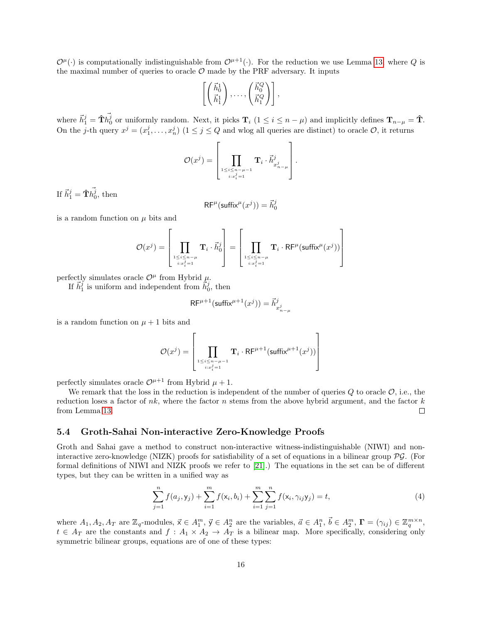<span id="page-17-2"></span> $\mathcal{O}^{\mu}(\cdot)$  is computationally indistinguishable from  $\mathcal{O}^{\mu+1}(\cdot)$ . For the reduction we use Lemma [13,](#page-16-1) where Q is the maximal number of queries to oracle  $\mathcal O$  made by the PRF adversary. It inputs

$$
\left[\begin{pmatrix} \vec{h}_0^1 \\ \vec{h}_1^1 \end{pmatrix}, \ldots, \begin{pmatrix} \vec{h}_0^Q \\ \vec{h}_1^Q \end{pmatrix}\right],
$$

where  $\vec{h}_1^j = \hat{\mathbf{T}} \vec{h}_0^j$  or uniformly random. Next, it picks  $\mathbf{T}_i$  ( $1 \leq i \leq n - \mu$ ) and implicitly defines  $\mathbf{T}_{n-\mu} = \hat{\mathbf{T}}$ . On the j-th query  $x^j = (x_1^j, \ldots, x_n^j)$   $(1 \le j \le Q)$  and wlog all queries are distinct) to oracle  $\mathcal{O}$ , it returns

$$
\mathcal{O}(x^j) = \left[ \prod_{\substack{1 \leq i \leq n-\mu-1 \\ i : x_i^j = 1}} \mathbf{T}_i \cdot \vec{h}_{x_{n-\mu}^j}^j \right].
$$

If  $\vec{h}_1^j = \mathbf{\hat{T}} \vec{h_0^j}$ , then

$$
\mathsf{RF}^\mu(\mathsf{suffix}^\mu(x^j)) = \vec{h}_0^j
$$

is a random function on  $\mu$  bits and

$$
\mathcal{O}(x^j) = \left[\prod_{\substack{1 \leq i \leq n-\mu \\ i:x_i^j=1}} \mathbf{T}_i \cdot \vec{h}_0^j\right] = \left[\prod_{\substack{1 \leq i \leq n-\mu \\ i:x_i^j=1}} \mathbf{T}_i \cdot \mathsf{RF}^{\mu}(\textsf{suffix}^{\mu}(x^j))\right]
$$

perfectly simulates oracle  $\mathcal{O}^{\mu}$  from Hybrid  $\mu$ .

If  $\vec{h}_1^j$  is uniform and independent from  $\dot{\vec{h}}_0^j$ , then

$$
\mathsf{RF}^{\mu+1}(\textsf{suffix}^{\mu+1}(x^j)) = \vec{h}^j_{x^j_{n-\mu}}
$$

is a random function on  $\mu + 1$  bits and

$$
\mathcal{O}(x^j) = \left[\prod_{\substack{1 \leq i \leq n-\mu-1 \\ i:x_i^j=1}} \mathbf{T}_i \cdot \mathsf{RF}^{\mu+1}(\mathsf{suffix}^{\mu+1}(x^j))\right]
$$

perfectly simulates oracle  $\mathcal{O}^{\mu+1}$  from Hybrid  $\mu+1$ .

We remark that the loss in the reduction is independent of the number of queries  $Q$  to oracle  $\mathcal{O}$ , i.e., the reduction loses a factor of  $nk$ , where the factor n stems from the above hybrid argument, and the factor  $k$ from Lemma [13.](#page-16-1)  $\Box$ 

#### <span id="page-17-0"></span>5.4 Groth-Sahai Non-interactive Zero-Knowledge Proofs

Groth and Sahai gave a method to construct non-interactive witness-indistinguishable (NIWI) and noninteractive zero-knowledge (NIZK) proofs for satisfiability of a set of equations in a bilinear group PG. (For formal definitions of NIWI and NIZK proofs we refer to [\[21\]](#page-26-3).) The equations in the set can be of different types, but they can be written in a unified way as

<span id="page-17-1"></span>
$$
\sum_{j=1}^{n} f(a_j, y_j) + \sum_{i=1}^{m} f(x_i, b_i) + \sum_{i=1}^{m} \sum_{j=1}^{n} f(x_i, \gamma_{ij} y_j) = t,
$$
\n(4)

where  $A_1, A_2, A_T$  are  $\mathbb{Z}_q$ -modules,  $\vec{x} \in A_1^m$ ,  $\vec{y} \in A_2^n$  are the variables,  $\vec{a} \in A_1^n$ ,  $\vec{b} \in A_2^m$ ,  $\mathbf{\Gamma} = (\gamma_{ij}) \in \mathbb{Z}_q^{m \times n}$ ,  $t \in A_T$  are the constants and  $f: A_1 \times A_2 \to A_T$  is a bilinear map. More specifically, considering only symmetric bilinear groups, equations are of one of these types: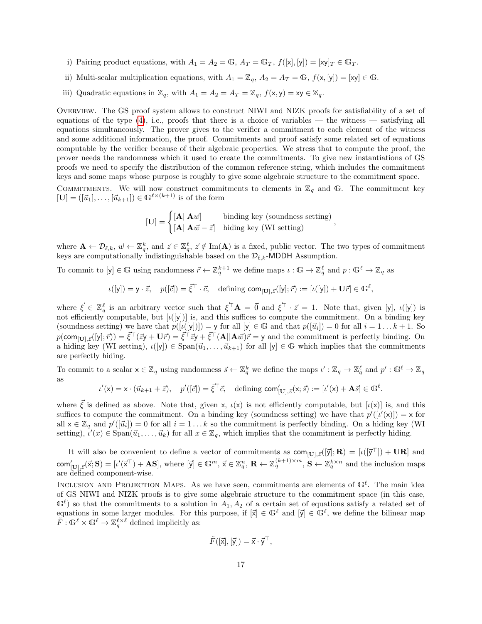- i) Pairing product equations, with  $A_1 = A_2 = \mathbb{G}$ ,  $A_T = \mathbb{G}_T$ ,  $f([x], [y]) = [xy]_T \in \mathbb{G}_T$ .
- ii) Multi-scalar multiplication equations, with  $A_1 = \mathbb{Z}_q$ ,  $A_2 = A_T = \mathbb{G}$ ,  $f(x, y] = [xy] \in \mathbb{G}$ .
- iii) Quadratic equations in  $\mathbb{Z}_q$ , with  $A_1 = A_2 = A_T = \mathbb{Z}_q$ ,  $f(\mathsf{x}, \mathsf{y}) = \mathsf{x}\mathsf{y} \in \mathbb{Z}_q$ .

Overview. The GS proof system allows to construct NIWI and NIZK proofs for satisfiability of a set of equations of the type  $(4)$ , i.e., proofs that there is a choice of variables — the witness — satisfying all equations simultaneously. The prover gives to the verifier a commitment to each element of the witness and some additional information, the proof. Commitments and proof satisfy some related set of equations computable by the verifier because of their algebraic properties. We stress that to compute the proof, the prover needs the randomness which it used to create the commitments. To give new instantiations of GS proofs we need to specify the distribution of the common reference string, which includes the commitment keys and some maps whose purpose is roughly to give some algebraic structure to the commitment space.

COMMITMENTS. We will now construct commitments to elements in  $\mathbb{Z}_q$  and G. The commitment key  $[\mathbf{U}] = ([\vec{u}_1], \dots, [\vec{u}_{k+1}]) \in \mathbb{G}^{\ell \times (k+1)}$  is of the form

$$
[\mathbf{U}] = \begin{cases} [\mathbf{A} || \mathbf{A}\vec{w}] & \text{binding key (soundness setting)}\\ [\mathbf{A} || \mathbf{A}\vec{w} - \vec{z}] & \text{hiding key (WI setting)} \end{cases}
$$

,

where  $\mathbf{A} \leftarrow \mathcal{D}_{\ell,k}, \ \vec{w} \leftarrow \mathbb{Z}_q^k$ , and  $\vec{z} \in \mathbb{Z}_q^{\ell}, \ \vec{z} \notin \text{Im}(\mathbf{A})$  is a fixed, public vector. The two types of commitment keys are computationally indistinguishable based on the  $\mathcal{D}_{\ell,k}$ -MDDH Assumption.

To commit to  $[y] \in \mathbb{G}$  using randomness  $\vec{r} \leftarrow \mathbb{Z}_q^{k+1}$  we define maps  $\iota : \mathbb{G} \to \mathbb{Z}_q^{\ell}$  and  $p : \mathbb{G}^{\ell} \to \mathbb{Z}_q$  as

$$
\iota([y]) = y \cdot \vec{z}, \quad p([\vec{c}]) = \vec{\xi}^{\top} \cdot \vec{c}, \quad \text{defining } \text{com}_{[\mathbf{U}], \vec{z}}([y]; \vec{r}) := [\iota([y]) + \mathbf{U}\vec{r}] \in \mathbb{G}^{\ell},
$$

where  $\vec{\xi} \in \mathbb{Z}_q^{\ell}$  is an arbitrary vector such that  $\vec{\xi}^{\top} \mathbf{A} = \vec{0}$  and  $\vec{\xi}^{\top} \cdot \vec{z} = 1$ . Note that, given [y],  $\iota([y])$  is not efficiently computable, but  $[\iota([y])]$  is, and this suffices to compute the commitment. On a binding key (soundness setting) we have that  $p([i([y]]) = y$  for all  $[y] \in \mathbb{G}$  and that  $p([\vec{u}_i]) = 0$  for all  $i = 1...k + 1$ . So  $p(\text{com}_{[\mathbf{U}],\vec{z}}([\mathbf{y}];\vec{r})) = \vec{\xi}^{\top}(\vec{z}\mathbf{y} + \mathbf{U}\vec{r}) = \vec{\xi}^{\top}\vec{z}\mathbf{y} + \vec{\xi}^{\top}(\mathbf{A}||\mathbf{A}\vec{w})\vec{r} = \mathbf{y}$  and the commitment is perfectly binding. On a hiding key (WI setting),  $\iota([y]) \in \text{Span}(\vec{u}_1, \ldots, \vec{u}_{k+1})$  for all  $[y] \in \mathbb{G}$  which implies that the commitments are perfectly hiding.

To commit to a scalar  $x \in \mathbb{Z}_q$  using randomness  $\vec{s} \leftarrow \mathbb{Z}_q^k$  we define the maps  $\iota' : \mathbb{Z}_q \to \mathbb{Z}_q^\ell$  and  $p' : \mathbb{G}^\ell \to \mathbb{Z}_q$ as

 $u'(\mathsf{x}) = \mathsf{x} \cdot (\vec{u}_{k+1} + \vec{z}), \quad p'([\vec{c}]) = \vec{\xi}^\top \vec{c}, \quad \text{defining } \mathsf{com}_{[\mathbf{U}], \vec{z}}'(\mathsf{x}; \vec{s}) := [u'(\mathsf{x}) + \mathbf{A}\vec{s}] \in \mathbb{G}^\ell.$ 

where  $\vec{\xi}$  is defined as above. Note that, given x,  $\iota(x)$  is not efficiently computable, but  $[\iota(x)]$  is, and this suffices to compute the commitment. On a binding key (soundness setting) we have that  $p'([i'(x)]) = x$  for all  $x \in \mathbb{Z}_q$  and  $p'([\vec{u}_i]) = 0$  for all  $i = 1...k$  so the commitment is perfectly binding. On a hiding key (WI setting),  $\hat{i}'(x) \in \text{Span}(\vec{u}_1, \dots, \vec{u}_k)$  for all  $x \in \mathbb{Z}_q$ , which implies that the commitment is perfectly hiding.

It will also be convenient to define a vector of commitments as  $\text{com}_{[\mathbf{U}],\vec{z}}([\vec{y}];\mathbf{R}) = [\iota([\vec{y}^{\top}]) + \mathbf{U}\mathbf{R}]$  and  $\mathsf{com}_{[\mathbf{U}],\vec{z}}'(\vec{\mathsf{x}};\mathbf{S}) = [\iota'(\vec{\mathsf{x}}^\top) + \mathbf{AS}],$  where  $[\vec{\mathsf{y}}] \in \mathbb{G}^m$ ,  $\vec{\mathsf{x}} \in \mathbb{Z}_q^n$ ,  $\mathbf{R} \leftarrow \mathbb{Z}_q^{(k+1)\times m}$ ,  $\mathbf{S} \leftarrow \mathbb{Z}_q^{k\times n}$  and the inclusion maps are defined component-wise.

INCLUSION AND PROJECTION MAPS. As we have seen, commitments are elements of  $\mathbb{G}^{\ell}$ . The main idea of GS NIWI and NIZK proofs is to give some algebraic structure to the commitment space (in this case,  $\mathbb{G}^{\ell}$  so that the commitments to a solution in  $A_1, A_2$  of a certain set of equations satisfy a related set of equations in some larger modules. For this purpose, if  $[\vec{x}] \in \mathbb{G}^{\ell}$  and  $[\vec{y}] \in \mathbb{G}^{\ell}$ , we define the bilinear map  $\tilde{F}: \mathbb{G}^{\ell} \times \mathbb{G}^{\ell} \to \mathbb{Z}_q^{\ell \times \ell}$  defined implicitly as:

$$
\tilde{F}([\vec{x}], [\vec{y}]) = \vec{x} \cdot \vec{y}^{\top},
$$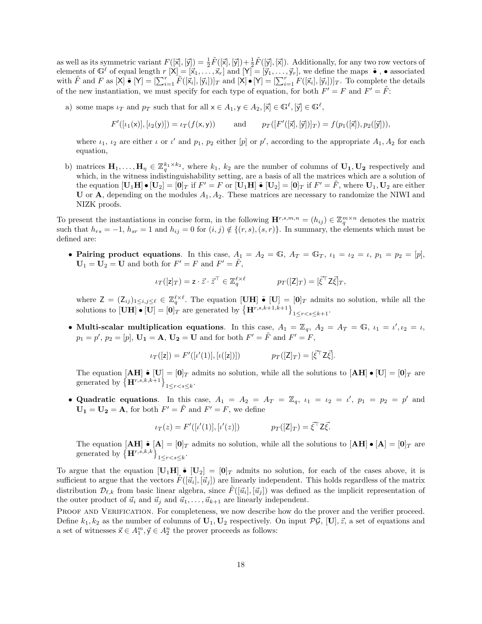as well as its symmetric variant  $F([\vec{x}], [\vec{y}]) = \frac{1}{2}\tilde{F}([\vec{x}], [\vec{y}]) + \frac{1}{2}\tilde{F}([\vec{y}], [\vec{x}])$ . Additionally, for any two row vectors of elements of  $\mathbb{G}^{\ell}$  of equal length  $r[\mathsf{X}] = [\vec{x}_1, \ldots, \vec{x}_r]$  and  $[\mathsf{Y}] = [\vec{y}_1, \ldots, \vec{y}_r]$ , we define the maps  $\tilde{\bullet}$ ,  $\bullet$  associated with  $\tilde{F}$  and  $F$  as  $[X] \bullet [Y] = [\sum_{i=1}^r \tilde{F}([\vec{x}_i], [\vec{y}_i])]_T$  and  $[X] \bullet [Y] = [\sum_{i=1}^r F([\vec{x}_i], [\vec{y}_i])]_T$ . To complete the details of the new instantiation, we must specify for each type of equation, for both  $F' = F$  and  $F' = \tilde{F}$ :

a) some maps  $\iota_T$  and  $p_T$  such that for all  $x \in A_1, y \in A_2, [\overline{x}] \in \mathbb{G}^{\ell}, [\overline{y}] \in \mathbb{G}^{\ell}$ ,

$$
F'([\iota_1(x)], [\iota_2(y)]) = \iota_T(f(x, y))
$$
 and  $p_T([\overline{F}'([\overline{x}], [\overline{y}])]_T) = f(p_1([\overline{x}]), p_2([\overline{y}]))$ ,

where  $\iota_1, \iota_2$  are either  $\iota$  or  $\iota'$  and  $p_1, p_2$  either [p] or p', according to the appropriate  $A_1, A_2$  for each equation,

b) matrices  $\mathbf{H}_1, \ldots, \mathbf{H}_\eta \in \mathbb{Z}_q^{k_1 \times k_2}$ , where  $k_1, k_2$  are the number of columns of  $\mathbf{U}_1, \mathbf{U}_2$  respectively and which, in the witness indistinguishability setting, are a basis of all the matrices which are a solution of the equation  $[\mathbf{U}_1 \mathbf{H}] \bullet [\mathbf{U}_2] = [\mathbf{0}]_T$  if  $F' = F$  or  $[\mathbf{U}_1 \mathbf{H}] \bullet [\mathbf{U}_2] = [\mathbf{0}]_T$  if  $F' = \tilde{F}$ , where  $\mathbf{U}_1, \mathbf{U}_2$  are either U or  $\bf{A}$ , depending on the modules  $A_1, A_2$ . These matrices are necessary to randomize the NIWI and NIZK proofs.

To present the instantiations in concise form, in the following  $\mathbf{H}^{r,s,m,n} = (h_{ij}) \in \mathbb{Z}_q^{m \times n}$  denotes the matrix such that  $h_{rs} = -1$ ,  $h_{sr} = 1$  and  $h_{ij} = 0$  for  $(i, j) \notin \{(r, s), (s, r)\}.$  In summary, the elements which must be defined are:

• Pairing product equations. In this case,  $A_1 = A_2 = \mathbb{G}$ ,  $A_T = \mathbb{G}_T$ ,  $\iota_1 = \iota_2 = \iota$ ,  $p_1 = p_2 = [p]$ ,  $U_1 = U_2 = U$  and both for  $F' = F$  and  $F' = \tilde{F}$ ,

$$
\iota_T([z]_T) = \mathbf{z} \cdot \vec{z} \cdot \vec{z}^\top \in \mathbb{Z}_q^{\ell \times \ell} \qquad \qquad p_T([Z]_T) = [\vec{\xi}^\top \mathbf{Z} \vec{\xi}]_T,
$$

where  $Z = (Z_{ij})_{1 \leq i,j \leq \ell} \in \mathbb{Z}_q^{\ell \times \ell}$ . The equation  $[\mathbf{U}\mathbf{H}] \tilde{\bullet} [\mathbf{U}] = [\mathbf{0}]_T$  admits no solution, while all the solutions to  $[\mathbf{UH}] \bullet [\mathbf{U}] = [\mathbf{0}]_T$  are generated by  ${ \{ \mathbf{H}^{r,s,k+1,k+1} \} }_{1 \leq r < s \leq k+1}$ .

• Multi-scalar multiplication equations. In this case,  $A_1 = \mathbb{Z}_q$ ,  $A_2 = A_T = \mathbb{G}$ ,  $\iota_1 = \iota', \iota_2 = \iota$ ,  $p_1 = p'$ ,  $p_2 = [p]$ ,  $\mathbf{U_1} = \mathbf{A}$ ,  $\mathbf{U_2} = \mathbf{U}$  and for both  $F' = \tilde{F}$  and  $F' = \tilde{F}$ ,

$$
\iota_T([z]) = F'([\iota'(1)], [\iota([z])]) \qquad \qquad p_T([Z]_T) = [\vec{\xi}^\top Z \vec{\xi}].
$$

The equation  $[AH] \bullet [U] = [0]_T$  admits no solution, while all the solutions to  $[AH] \bullet [U] = [0]_T$  are generated by  $\{\mathbf H^{r,s,k,k+1}\}_{1 \leq r < s \leq k}$ .

• Quadratic equations. In this case,  $A_1 = A_2 = A_T = \mathbb{Z}_q$ ,  $\iota_1 = \iota_2 = \iota'$ ,  $p_1 = p_2 = p'$  and  $U_1 = U_2 = A$ , for both  $F' = \tilde{F}$  and  $F' = F$ , we define

$$
\iota_T(z) = F'([\iota'(1)], [\iota'(z)]) \qquad \qquad p_T([\mathsf{Z}]_T) = \vec{\xi}^\top \mathsf{Z} \vec{\xi}.
$$

The equation  $[AH] \bullet [A] = [0]_T$  admits no solution, while all the solutions to  $[AH] \bullet [A] = [0]_T$  are generated by  ${\{\mathbf H}^{r,s,k,k}\}_{1 \leq r < s \leq k}$ .

To argue that the equation  $[\mathbf{U}_1\mathbf{H}] \bullet [\mathbf{U}_2] = [\mathbf{0}]_T$  admits no solution, for each of the cases above, it is sufficient to argue that the vectors  $F([\vec{u}_i], [\vec{u}_j])$  are linearly independent. This holds regardless of the matrix distribution  $\mathcal{D}_{\ell,k}$  from basic linear algebra, since  $\tilde{F}([\vec{u}_i], [\vec{u}_j])$  was defined as the implicit representation of the outer product of  $\vec{u}_i$  and  $\vec{u}_j$  and  $\vec{u}_1, \ldots, \vec{u}_{k+1}$  are linearly independent.

PROOF AND VERIFICATION. For completeness, we now describe how do the prover and the verifier proceed. Define  $k_1, k_2$  as the number of columns of  $\mathbf{U}_1, \mathbf{U}_2$  respectively. On input  $\mathcal{PG}, [\mathbf{U}], \vec{z}$ , a set of equations and a set of witnesses  $\vec{x} \in A_1^m, \vec{y} \in A_2^n$  the prover proceeds as follows: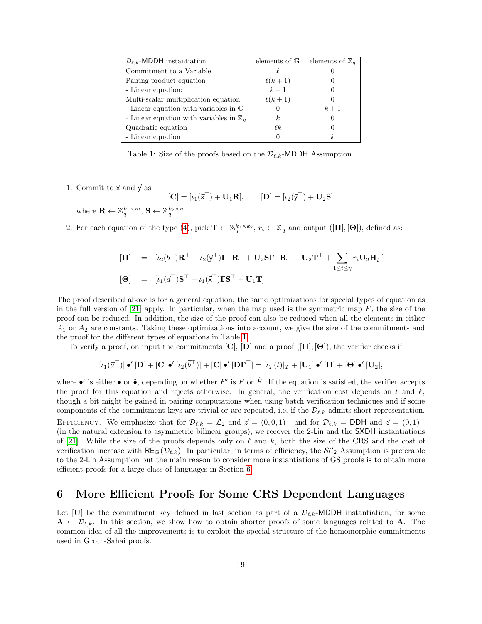<span id="page-20-2"></span>

| $\mathcal{D}_{\ell,k}$ -MDDH instantiation         | elements of $\mathbb G$ | elements of $\mathbb{Z}_q$ |
|----------------------------------------------------|-------------------------|----------------------------|
| Commitment to a Variable                           |                         |                            |
| Pairing product equation                           | $\ell(k+1)$             |                            |
| - Linear equation:                                 | $k+1$                   |                            |
| Multi-scalar multiplication equation               | $\ell(k+1)$             |                            |
| - Linear equation with variables in G              |                         | $k+1$                      |
| - Linear equation with variables in $\mathbb{Z}_q$ | k.                      | $\left( \right)$           |
| Quadratic equation                                 | $\ell k$                |                            |
| - Linear equation                                  |                         | k.                         |

<span id="page-20-1"></span>Table 1: Size of the proofs based on the  $\mathcal{D}_{\ell,k}$ -MDDH Assumption.

1. Commit to  $\vec{x}$  and  $\vec{y}$  as

 $[\mathbf{C}] = [\iota_1(\vec{\mathsf{x}}^\top) + \mathbf{U}_1\mathbf{R}], \qquad [\mathbf{D}] = [\iota_2(\vec{\mathsf{y}}^\top) + \mathbf{U}_2\mathbf{S}]$ 

where  $\mathbf{R} \leftarrow \mathbb{Z}_q^{k_1 \times m}, \, \mathbf{S} \leftarrow \mathbb{Z}_q^{k_2 \times n}.$ 

2. For each equation of the type [\(4\)](#page-17-1), pick  $\mathbf{T} \leftarrow \mathbb{Z}_q^{k_1 \times k_2}$ ,  $r_i \leftarrow \mathbb{Z}_q$  and output  $([\mathbf{\Pi}], [\mathbf{\Theta}])$ , defined as:

$$
\begin{array}{rcl}\n[\mathbf{\Pi}] & := & [\iota_2(\vec{b}^{\top})\mathbf{R}^{\top} + \iota_2(\vec{y}^{\top})\mathbf{\Gamma}^{\top}\mathbf{R}^{\top} + \mathbf{U}_2\mathbf{S}\mathbf{\Gamma}^{\top}\mathbf{R}^{\top} - \mathbf{U}_2\mathbf{T}^{\top} + \sum_{1 \leq i \leq \eta} r_i \mathbf{U}_2 \mathbf{H}_i^{\top}]\n\end{array}
$$
\n
$$
\begin{array}{rcl}\n[\mathbf{\Theta}] & := & [\iota_1(\vec{a}^{\top})\mathbf{S}^{\top} + \iota_1(\vec{x}^{\top})\mathbf{\Gamma}\mathbf{S}^{\top} + \mathbf{U}_1\mathbf{T}]\n\end{array}
$$

The proof described above is for a general equation, the same optimizations for special types of equation as in the full version of [\[21\]](#page-26-3) apply. In particular, when the map used is the symmetric map  $F$ , the size of the proof can be reduced. In addition, the size of the proof can also be reduced when all the elements in either  $A_1$  or  $A_2$  are constants. Taking these optimizations into account, we give the size of the commitments and the proof for the different types of equations in Table [1.](#page-20-1)

To verify a proof, on input the commitments  $[C], [D]$  and a proof  $([T], [\Theta])$ , the verifier checks if

$$
[\iota_1(\vec{a}^{\top})] \bullet' [\mathbf{D}] + [\mathbf{C}] \bullet' [\iota_2(\vec{b}^{\top})] + [\mathbf{C}] \bullet' [\mathbf{D}\mathbf{\Gamma}^{\top}] = [\iota_T(t)]_T + [\mathbf{U}_1] \bullet' [\mathbf{\Pi}] + [\mathbf{\Theta}] \bullet' [\mathbf{U}_2],
$$

where  $\bullet'$  is either  $\bullet$  or  $\tilde{\bullet}$ , depending on whether F' is F or  $\tilde{F}$ . If the equation is satisfied, the verifier accepts the proof for this equation and rejects otherwise. In general, the verification cost depends on  $\ell$  and k, though a bit might be gained in pairing computations when using batch verification techniques and if some components of the commitment keys are trivial or are repeated, i.e. if the  $\mathcal{D}_{\ell,k}$  admits short representation. EFFICIENCY. We emphasize that for  $\mathcal{D}_{\ell,k} = \mathcal{L}_2$  and  $\vec{z} = (0, 0, 1)^{\top}$  and for  $\mathcal{D}_{\ell,k} = \text{DDH}$  and  $\vec{z} = (0, 1)^{\top}$ (in the natural extension to asymmetric bilinear groups), we recover the 2-Lin and the SXDH instantiations of [\[21\]](#page-26-3). While the size of the proofs depends only on  $\ell$  and k, both the size of the CRS and the cost of verification increase with  $RE_{\mathbb{G}}(\mathcal{D}_{\ell,k})$ . In particular, in terms of efficiency, the  $SC_2$  Assumption is preferable to the 2-Lin Assumption but the main reason to consider more instantiations of GS proofs is to obtain more efficient proofs for a large class of languages in Section [6.](#page-20-0)

### <span id="page-20-0"></span>6 More Efficient Proofs for Some CRS Dependent Languages

Let [U] be the commitment key defined in last section as part of a  $\mathcal{D}_{\ell,k}$ -MDDH instantiation, for some  $A \leftarrow \mathcal{D}_{\ell,k}$ . In this section, we show how to obtain shorter proofs of some languages related to A. The common idea of all the improvements is to exploit the special structure of the homomorphic commitments used in Groth-Sahai proofs.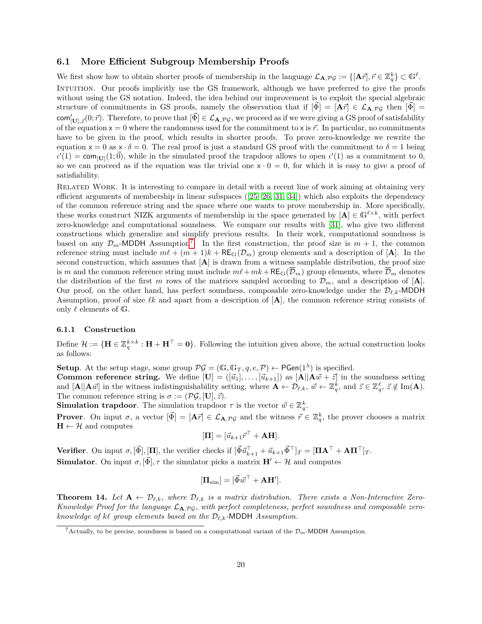#### <span id="page-21-3"></span><span id="page-21-0"></span>6.1 More Efficient Subgroup Membership Proofs

We first show how to obtain shorter proofs of membership in the language  $\mathcal{L}_{\mathbf{A},\mathcal{PG}} := \{ [\mathbf{A}\vec{r}], \vec{r} \in \mathbb{Z}_q^k \} \subset \mathbb{G}^{\ell}$ . INTUITION. Our proofs implicitly use the GS framework, although we have preferred to give the proofs without using the GS notation. Indeed, the idea behind our improvement is to exploit the special algebraic structure of commitments in GS proofs, namely the observation that if  $[\bar{\Phi}] = [\mathbf{A}\bar{r}] \in \mathcal{L}_{\mathbf{A},\mathcal{PG}}$  then  $[\Phi] =$  $\text{com}_{[\mathbf{U}],\vec{z}}^{\prime}(0;\vec{r})$ . Therefore, to prove that  $[\vec{\Phi}] \in \mathcal{L}_{\mathbf{A},\mathcal{PG}},$  we proceed as if we were giving a GS proof of satisfability of the equation  $x = 0$  where the randomness used for the commitment to x is  $\vec{r}$ . In particular, no commitments have to be given in the proof, which results in shorter proofs. To prove zero-knowledge we rewrite the equation  $x = 0$  as  $x \cdot \delta = 0$ . The real proof is just a standard GS proof with the commitment to  $\delta = 1$  being  $u'(1) = \text{com}_{[U]}(1;\vec{0})$ , while in the simulated proof the trapdoor allows to open  $u'(1)$  as a commitment to 0, so we can proceed as if the equation was the trivial one  $x \cdot 0 = 0$ , for which it is easy to give a proof of satisfiability.

RELATED WORK. It is interesting to compare in detail with a recent line of work aiming at obtaining very efficient arguments of membership in linear subspaces  $(25, 26, 31, 34)$  $(25, 26, 31, 34)$  $(25, 26, 31, 34)$  $(25, 26, 31, 34)$  which also exploits the dependency of the common reference string and the space where one wants to prove membership in. More specifically, these works construct NIZK arguments of membership in the space generated by  $[A] \in \mathbb{G}^{\ell \times k}$ , with perfect zero-knowledge and computational soundness. We compare our results with [\[31\]](#page-26-11), who give two different constructions which generalize and simplify previous results. In their work, computational soundness is based on any  $\mathcal{D}_m$ -MDDH Assumption<sup>[7](#page-21-1)</sup>. In the first construction, the proof size is  $m + 1$ , the common reference string must include  $m l + (m + 1)k + \text{RE}_G(\mathcal{D}_m)$  group elements and a description of [A]. In the second construction, which assumes that  $[A]$  is drawn from a witness samplable distribution, the proof size is m and the common reference string must include  $m\ell+mk +\text{RE}_G(\overline{\mathcal{D}}_m)$  group elements, where  $\overline{\mathcal{D}}_m$  denotes the distribution of the first m rows of the matrices sampled according to  $\mathcal{D}_m$ , and a description of [A]. Our proof, on the other hand, has perfect soundness, composable zero-knowledge under the  $\mathcal{D}_{\ell,k}$ -MDDH Assumption, proof of size  $\ell k$  and apart from a description of  $[A]$ , the common reference string consists of only  $\ell$  elements of G.

#### 6.1.1 Construction

Define  $\mathcal{H} := \{ \mathbf{H} \in \mathbb{Z}_q^{k \times k} : \mathbf{H} + \mathbf{H}^\top = \mathbf{0} \}.$  Following the intuition given above, the actual construction looks as follows:

**Setup**. At the setup stage, some group  $\mathcal{PG} = (\mathbb{G}, \mathbb{G}_T, q, e, \mathcal{P}) \leftarrow \mathsf{PGen}(1^{\lambda})$  is specified.

**Common reference string.** We define  $[\mathbf{U}] = ([\vec{u}_1], \dots, [\vec{u}_{k+1}])$  as  $[\mathbf{A}||\mathbf{A}\vec{w} + \vec{z}]$  in the soundness setting and  $[\mathbf{A} || \mathbf{A}\vec{w}]$  in the witness indistinguishability setting, where  $\mathbf{A} \leftarrow \mathcal{D}_{\ell,k}$ ,  $\vec{w} \leftarrow \mathbb{Z}_q^k$ , and  $\vec{z} \in \mathbb{Z}_q^{\ell}$ ,  $\vec{z} \notin \text{Im}(\mathbf{A})$ . The common reference string is  $\sigma := (\mathcal{PG}, [\mathbf{U}], \vec{z}).$ 

**Simulation trapdoor**. The simulation trapdoor  $\tau$  is the vector  $\vec{w} \in \mathbb{Z}_q^k$ .

**Prover**. On input  $\sigma$ , a vector  $[\vec{\Phi}] = [\mathbf{A}\vec{r}] \in \mathcal{L}_{\mathbf{A},\mathcal{PG}}$  and the witness  $\vec{r} \in \mathbb{Z}_q^k$ , the prover chooses a matrix  $H \leftarrow H$  and computes

$$
[\mathbf{\Pi}] = [\vec{u}_{k+1}\vec{r}^\top + \mathbf{A}\mathbf{H}].
$$

**Verifier**. On input  $\sigma$ ,  $[\vec{\Phi}]$ ,  $[\Pi]$ , the verifier checks if  $[\vec{\Phi} \vec{u}_{k+1}^{\top} + \vec{u}_{k+1} \vec{\Phi}^{\top}]_T = [\Pi \mathbf{A}^{\top} + \mathbf{A} \Pi^{\top}]_T$ . **Simulator**. On input  $\sigma$ ,  $[\vec{\Phi}], \tau$  the simulator picks a matrix  $\mathbf{H}' \leftarrow \mathcal{H}$  and computes

$$
[\Pi_{\text{sim}}] = [\vec{\Phi} \vec{w}^\top + \mathbf{A} \mathbf{H}'].
$$

<span id="page-21-2"></span>**Theorem 14.** Let  $A \leftarrow \mathcal{D}_{\ell,k}$ , where  $\mathcal{D}_{\ell,k}$  is a matrix distribution. There exists a Non-Interactive Zero-Knowledge Proof for the language  $\mathcal{L}_{A,PG}$ , with perfect completeness, perfect soundness and composable zeroknowledge of kl group elements based on the  $\mathcal{D}_{\ell,k}$ -MDDH Assumption.

<span id="page-21-1"></span><sup>&</sup>lt;sup>7</sup>Actually, to be precise, soundness is based on a computational variant of the  $\mathcal{D}_m$ -MDDH Assumption.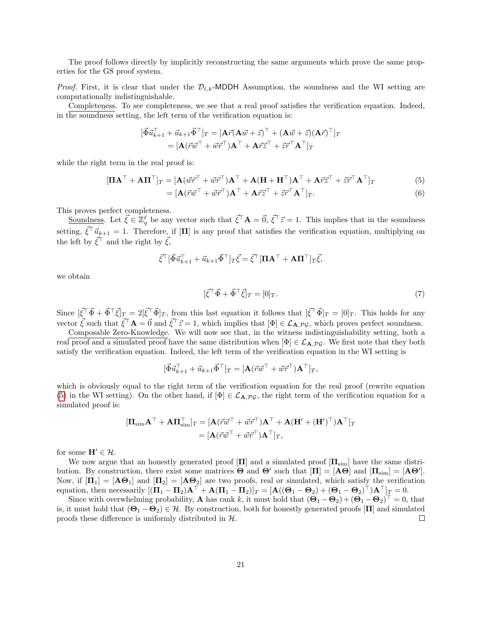The proof follows directly by implicitly reconstructing the same arguments which prove the same properties for the GS proof system.

*Proof.* First, it is clear that under the  $\mathcal{D}_{\ell,k}$ -MDDH Assumption, the soundness and the WI setting are computationally indistinguishable.

Completeness. To see completeness, we see that a real proof satisfies the verification equation. Indeed, in the soundness setting, the left term of the verification equation is:

$$
\begin{aligned} [\vec{\Phi} \vec{u}_{k+1}^{\top} + \vec{u}_{k+1} \vec{\Phi}^{\top}]_T &= [\mathbf{A} \vec{r} (\mathbf{A} \vec{w} + \vec{z})^{\top} + (\mathbf{A} \vec{w} + \vec{z}) (\mathbf{A} \vec{r})^{\top}]_T \\ &= [\mathbf{A} (\vec{r} \vec{w}^{\top} + \vec{w} \vec{r}^{\top}) \mathbf{A}^{\top} + \mathbf{A} \vec{r} \vec{z}^{\top} + \vec{z} \vec{r}^{\top} \mathbf{A}^{\top}]_T \end{aligned}
$$

while the right term in the real proof is:

$$
[\Pi \mathbf{A}^{\top} + \mathbf{A} \Pi^{\top}]_T = [\mathbf{A}(\vec{w}\vec{r}^{\top} + \vec{w}\vec{r}^{\top})\mathbf{A}^{\top} + \mathbf{A}(\mathbf{H} + \mathbf{H}^{\top})\mathbf{A}^{\top} + \mathbf{A}\vec{r}\vec{z}^{\top} + \vec{z}\vec{r}^{\top}\mathbf{A}^{\top}]_T
$$
(5)

$$
= [\mathbf{A}(\vec{r}\vec{w}^{\top} + \vec{w}\vec{r}^{\top})\mathbf{A}^{\top} + \mathbf{A}\vec{r}\vec{z}^{\top} + \vec{z}\vec{r}^{\top}\mathbf{A}^{\top}]_{T}.
$$
\n(6)

This proves perfect completeness.

Soundness. Let  $\vec{\xi} \in \mathbb{Z}_q^{\ell}$  be any vector such that  $\vec{\xi}^{\top} \mathbf{A} = \vec{0}, \vec{\xi}^{\top} \vec{z} = 1$ . This implies that in the soundness setting,  $\vec{\xi}^\top \vec{u}_{k+1} = 1$ . Therefore, if [**Π**] is any proof that satisfies the verification equation, multiplying on the left by  $\vec{\xi}^{\top}$  and the right by  $\vec{\xi}$ ,

$$
\vec{\xi}^{\top} [\vec{\Phi} \vec{u}_{k+1}^{\top} + \vec{u}_{k+1} \vec{\Phi}^{\top}]_T \vec{\xi} = \vec{\xi}^{\top} [\Pi \mathbf{A}^{\top} + \mathbf{A} \Pi^{\top}]_T \vec{\xi},
$$

we obtain

<span id="page-22-0"></span>
$$
[\vec{\xi}^{\top}\vec{\Phi} + \vec{\Phi}^{\top}\vec{\xi}]_T = [0]_T. \tag{7}
$$

Since  $[\vec{\xi}^\top \vec{\Phi} + \vec{\Phi}^\top \vec{\xi}]_T = 2[\vec{\xi}^\top \vec{\Phi}]_T$ , from this last equation it follows that  $[\vec{\xi}^\top \vec{\Phi}]_T = [0]_T$ . This holds for any vector  $\vec{\xi}$  such that  $\vec{\xi}^{\top} \mathbf{A} = \vec{0}$  and  $\vec{\xi}^{\top} \vec{z} = 1$ , which implies that  $[\Phi] \in \mathcal{L}_{\mathbf{A}, \mathcal{PG}}$ , which proves perfect soundness.

Composable Zero-Knowledge. We will now see that, in the witness indistinguishability setting, both a real proof and a simulated proof have the same distribution when  $[\Phi] \in \mathcal{L}_{A, \mathcal{PG}}$ . We first note that they both satisfy the verification equation. Indeed, the left term of the verification equation in the WI setting is

$$
[\vec{\Phi} \vec{u}_{k+1}^{\top} + \vec{u}_{k+1} \vec{\Phi}^{\top}]_T = [\mathbf{A} (\vec{r} \vec{w}^{\top} + \vec{w} \vec{r}^{\top}) \mathbf{A}^{\top}]_T,
$$

which is obviously equal to the right term of the verification equation for the real proof (rewrite equation [\(5\)](#page-22-0) in the WI setting). On the other hand, if  $[\Phi] \in \mathcal{L}_{A,PG}$ , the right term of the verification equation for a simulated proof is:

$$
\begin{aligned} [\mathbf{\Pi}_{\text{sim}}\mathbf{A}^{\top}+\mathbf{A}\mathbf{\Pi}_{\text{sim}}^{\top}]_{T} &= [\mathbf{A}(\vec{r}\vec{w}^{\top}+\vec{w}\vec{r}^{\top})\mathbf{A}^{\top}+\mathbf{A}(\mathbf{H}'+(\mathbf{H}')^{\top})\mathbf{A}^{\top}]_{T} \\ &= [\mathbf{A}(\vec{r}\vec{w}^{\top}+\vec{w}\vec{r}^{\top})\mathbf{A}^{\top}]_{T}, \end{aligned}
$$

for some  $\mathbf{H}' \in \mathcal{H}$ .

We now argue that an honestly generated proof  $[\Pi]$  and a simulated proof  $[\Pi_{sim}]$  have the same distribution. By construction, there exist some matrices  $\Theta$  and  $\Theta'$  such that  $[\Pi] = [\mathbf{A}\Theta]$  and  $[\Pi_{\text{sim}}] = [\mathbf{A}\Theta']$ . Now, if  $[\Pi_1] = [\mathbf{A}\Theta_1]$  and  $[\Pi_2] = [\mathbf{A}\Theta_2]$  are two proofs, real or simulated, which satisfy the verification equation, then necessarily  $[(\mathbf{\Pi}_1 - \mathbf{\Pi}_2) \mathbf{A}^{\top} + \mathbf{A}(\mathbf{\Pi}_1 - \mathbf{\Pi}_2)]_T = [\mathbf{A}((\mathbf{\Theta}_1 - \mathbf{\Theta}_2) + (\mathbf{\Theta}_1 - \mathbf{\Theta}_2)^{\top}) \mathbf{A}^{\top}]_T = 0.$ 

Since with overwhelming probability, **A** has rank k, it must hold that  $(\mathbf{\Theta}_1 - \mathbf{\Theta}_2) + (\mathbf{\Theta}_1 - \mathbf{\Theta}_2)^T = 0$ , that is, it must hold that  $(\Theta_1 - \Theta_2) \in \mathcal{H}$ . By construction, both for honestly generated proofs  $[\Pi]$  and simulated proofs these difference is uniformly distributed in  $H$ .  $\Box$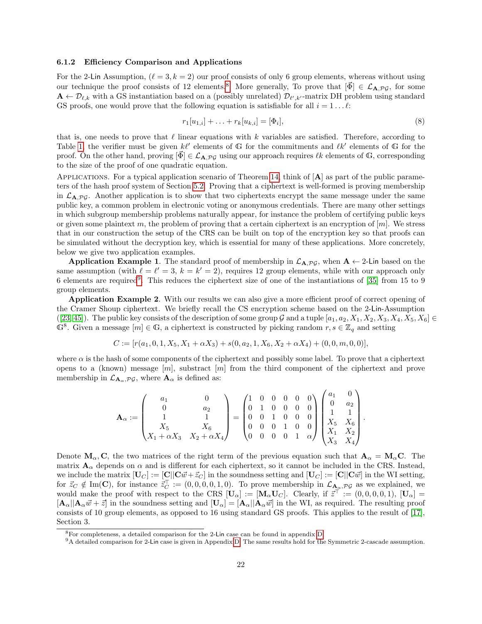#### <span id="page-23-2"></span>6.1.2 Efficiency Comparison and Applications

For the 2-Lin Assumption,  $(\ell = 3, k = 2)$  our proof consists of only 6 group elements, whereas without using our technique the proof consists of 12 elements.<sup>[8](#page-23-0)</sup> More generally, To prove that  $[\vec{\Phi}] \in \mathcal{L}_{\mathbf{A},\mathcal{PG}}$ , for some  $\mathbf{A} \leftarrow \mathcal{D}_{\ell,k}$  with a GS instantiation based on a (possibly unrelated)  $\mathcal{D}_{\ell',k'}$ -matrix DH problem using standard GS proofs, one would prove that the following equation is satisfiable for all  $i = 1 \dots \ell$ :

$$
r_1[u_{1,i}] + \ldots + r_k[u_{k,i}] = [\Phi_i],\tag{8}
$$

.

that is, one needs to prove that  $\ell$  linear equations with k variables are satisfied. Therefore, according to Table [1,](#page-20-1) the verifier must be given  $k\ell'$  elements of G for the commitments and  $\ell k'$  elements of G for the proof. On the other hand, proving  $[\vec{\Phi}] \in \mathcal{L}_{A, \mathcal{PG}}$  using our approach requires  $\ell k$  elements of G, corresponding to the size of the proof of one quadratic equation.

APPLICATIONS. For a typical application scenario of Theorem [14,](#page-21-2) think of  $[A]$  as part of the public parameters of the hash proof system of Section [5.2.](#page-15-0) Proving that a ciphertext is well-formed is proving membership in  $\mathcal{L}_{A,PG}$ . Another application is to show that two ciphertexts encrypt the same message under the same public key, a common problem in electronic voting or anonymous credentials. There are many other settings in which subgroup membership problems naturally appear, for instance the problem of certifying public keys or given some plaintext m, the problem of proving that a certain ciphertext is an encryption of  $[m]$ . We stress that in our construction the setup of the CRS can be built on top of the encryption key so that proofs can be simulated without the decryption key, which is essential for many of these applications. More concretely, below we give two application examples.

Application Example 1. The standard proof of membership in  $\mathcal{L}_{A,PG}$ , when  $A \leftarrow 2$ -Lin based on the same assumption (with  $\ell = \ell' = 3, k = k' = 2$ ), requires 12 group elements, while with our approach only 6 elements are required<sup>[9](#page-23-1)</sup>. This reduces the ciphertext size of one of the instantiations of [\[35\]](#page-27-10) from 15 to 9 group elements.

Application Example 2. With our results we can also give a more efficient proof of correct opening of the Cramer Shoup ciphertext. We briefly recall the CS encryption scheme based on the 2-Lin-Assumption ([\[23,](#page-26-4) [45\]](#page-27-2)). The public key consists of the description of some group G and a tuple  $[a_1, a_2, X_1, X_2, X_3, X_4, X_5, X_6] \in$  $\mathbb{G}^8$ . Given a message  $[m] \in \mathbb{G}$ , a ciphertext is constructed by picking random  $r, s \in \mathbb{Z}_q$  and setting

$$
C := [r(a_1, 0, 1, X_5, X_1 + \alpha X_3) + s(0, a_2, 1, X_6, X_2 + \alpha X_4) + (0, 0, m, 0, 0)],
$$

where  $\alpha$  is the hash of some components of the ciphertext and possibly some label. To prove that a ciphertext opens to a (known) message  $[m]$ , substract  $[m]$  from the third component of the ciphertext and prove membership in  $\mathcal{L}_{\mathbf{A}_{\alpha},\mathcal{PG}},$  where  $\mathbf{A}_{\alpha}$  is defined as:

$$
\mathbf{A}_{\alpha} := \begin{pmatrix} a_1 & 0 \\ 0 & a_2 \\ 1 & 1 \\ X_5 & X_6 \\ X_1 + \alpha X_3 & X_2 + \alpha X_4 \end{pmatrix} = \begin{pmatrix} 1 & 0 & 0 & 0 & 0 & 0 \\ 0 & 1 & 0 & 0 & 0 & 0 \\ 0 & 0 & 1 & 0 & 0 & 0 \\ 0 & 0 & 0 & 1 & 0 & 0 \\ 0 & 0 & 0 & 0 & 1 & \alpha \end{pmatrix} \begin{pmatrix} a_1 & 0 \\ 0 & a_2 \\ 1 & 1 \\ X_5 & X_6 \\ X_1 & X_2 \\ X_3 & X_4 \end{pmatrix}
$$

Denote  $\mathbf{M}_{\alpha}, \mathbf{C}$ , the two matrices of the right term of the previous equation such that  $\mathbf{A}_{\alpha} = \mathbf{M}_{\alpha} \mathbf{C}$ . The matrix  $\mathbf{A}_{\alpha}$  depends on  $\alpha$  and is different for each ciphertext, so it cannot be included in the CRS. Instead, we include the matrix  $[\mathbf{U}_C] := [\mathbf{C}||\mathbf{C}\vec{w} + \vec{z}_C]$  in the soundness setting and  $[\mathbf{U}_C] := [\mathbf{C}||\mathbf{C}\vec{w}]$  in the WI setting, for  $\vec{z}_C \notin \text{Im}(\mathbf{C})$ , for instance  $\vec{z}_C^{\top} := (0, 0, 0, 0, 1, 0)$ . To prove membership in  $\mathcal{L}_{\mathbf{A}_{\mathbf{a}},\mathcal{P} \mathcal{G}}$  as we explained, we would make the proof with respect to the CRS  $[\mathbf{U}_{\alpha}] := [\mathbf{M}_{\alpha} \mathbf{U}_{C}]$ . Clearly, if  $\vec{z}^{\top} := (0,0,0,0,1)$ ,  $[\mathbf{U}_{\alpha}] =$  $[\mathbf{A}_{\alpha}||\mathbf{A}_{\alpha}\vec{w}+\vec{z}]$  in the soundness setting and  $[\mathbf{U}_{\alpha}]=[\mathbf{A}_{\alpha}||\mathbf{A}_{\alpha}\vec{w}]$  in the WI, as required. The resulting proof consists of 10 group elements, as opposed to 16 using standard GS proofs. This applies to the result of [\[17\]](#page-26-8), Section 3.

<span id="page-23-0"></span><sup>8</sup>For completeness, a detailed comparison for the 2-Lin case can be found in appendix [D.](#page-34-0)

<span id="page-23-1"></span><sup>&</sup>lt;sup>9</sup>A detailed comparison for 2-Lin case is given in Appendix [D.](#page-34-0) The same results hold for the Symmetric 2-cascade assumption.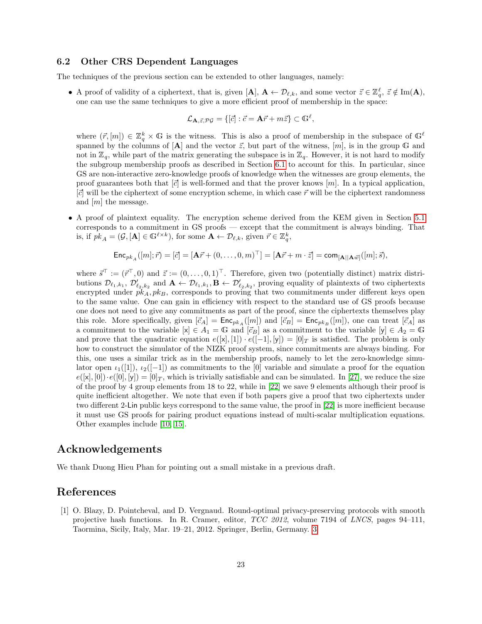#### <span id="page-24-2"></span><span id="page-24-0"></span>6.2 Other CRS Dependent Languages

The techniques of the previous section can be extended to other languages, namely:

• A proof of validity of a ciphertext, that is, given  $[\mathbf{A}], \mathbf{A} \leftarrow \mathcal{D}_{\ell,k}$ , and some vector  $\vec{z} \in \mathbb{Z}_q^{\ell}, \ \vec{z} \notin \text{Im}(\mathbf{A}),$ one can use the same techniques to give a more efficient proof of membership in the space:

$$
\mathcal{L}_{\mathbf{A},\vec{z},\mathcal{PG}} = \{ [\vec{c}] : \vec{c} = \mathbf{A}\vec{r} + m\vec{z} \} \subset \mathbb{G}^{\ell},
$$

where  $(\vec{r}, [m]) \in \mathbb{Z}_q^k \times \mathbb{G}$  is the witness. This is also a proof of membership in the subspace of  $\mathbb{G}^{\ell}$ spanned by the columns of  $[A]$  and the vector  $\vec{z}$ , but part of the witness,  $[m]$ , is in the group  $\mathbb{G}$  and not in  $\mathbb{Z}_q$ , while part of the matrix generating the subspace is in  $\mathbb{Z}_q$ . However, it is not hard to modify the subgroup membership proofs as described in Section [6.1](#page-21-0) to account for this. In particular, since GS are non-interactive zero-knowledge proofs of knowledge when the witnesses are group elements, the proof guarantees both that  $[\vec{c}]$  is well-formed and that the prover knows  $[m]$ . In a typical application,  $[\vec{c}]$  will be the ciphertext of some encryption scheme, in which case  $\vec{r}$  will be the ciphertext randomness and [m] the message.

• A proof of plaintext equality. The encryption scheme derived from the KEM given in Section [5.1](#page-14-1) corresponds to a commitment in GS proofs — except that the commitment is always binding. That is, if  $pk_A = (\mathcal{G}, [\mathbf{A}] \in \mathbb{G}^{\ell \times k})$ , for some  $\mathbf{A} \leftarrow \mathcal{D}_{\ell,k}$ , given  $\vec{r} \in \mathbb{Z}_q^k$ ,

$$
\mathrm{Enc}_{pk_A}([m];\vec{r}) = [\vec{c}] = [\mathbf{A}\vec{r} + (0,\ldots,0,m)^\top] = [\mathbf{A}\vec{r} + m \cdot \vec{z}] = \mathrm{com}_{[\mathbf{A}||\mathbf{A}\vec{w}]}([m];\vec{s}),
$$

where  $\vec{s}^{\top} := (\vec{r}^{\top}, 0)$  and  $\vec{z} := (0, \ldots, 0, 1)^{\top}$ . Therefore, given two (potentially distinct) matrix distributions  $\mathcal{D}_{\ell_1,k_1}, \mathcal{D}'_{\ell_2,k_2}$  and  $\mathbf{A} \leftarrow \mathcal{D}_{\ell_1,k_1}, \mathbf{B} \leftarrow \mathcal{D}'_{\ell_2,k_2}$ , proving equality of plaintexts of two ciphertexts encrypted under  $pk_A, pk_B$ , corresponds to proving that two commitments under different keys open to the same value. One can gain in efficiency with respect to the standard use of GS proofs because one does not need to give any commitments as part of the proof, since the ciphertexts themselves play this role. More specifically, given  $[\vec{c}_A] = \text{Enc}_{pk_A}([m])$  and  $[\vec{c}_B] = \text{Enc}_{pk_B}([m])$ , one can treat  $[\vec{c}_A]$  as a commitment to the variable  $[x] \in A_1 = \mathbb{G}$  and  $[\vec{c}_B]$  as a commitment to the variable  $[y] \in A_2 = \mathbb{G}$ and prove that the quadratic equation  $e([x], [1]) \cdot e([-1], [y]) = [0]_T$  is satisfied. The problem is only how to construct the simulator of the NIZK proof system, since commitments are always binding. For this, one uses a similar trick as in the membership proofs, namely to let the zero-knowledge simulator open  $\iota_1([1])$ ,  $\iota_2([-1])$  as commitments to the [0] variable and simulate a proof for the equation  $e([x], [0]) \cdot e([0], [y]) = [0]_T$ , which is trivially satisfiable and can be simulated. In [\[27\]](#page-26-13), we reduce the size of the proof by 4 group elements from 18 to 22, while in [\[22\]](#page-26-12) we save 9 elements although their proof is quite inefficient altogether. We note that even if both papers give a proof that two ciphertexts under two different 2-Lin public keys correspond to the same value, the proof in [\[22\]](#page-26-12) is more inefficient because it must use GS proofs for pairing product equations instead of multi-scalar multiplication equations. Other examples include [\[10,](#page-25-10) [15\]](#page-25-11).

### Acknowledgements

We thank Duong Hieu Phan for pointing out a small mistake in a previous draft.

# References

<span id="page-24-1"></span>[1] O. Blazy, D. Pointcheval, and D. Vergnaud. Round-optimal privacy-preserving protocols with smooth projective hash functions. In R. Cramer, editor, TCC 2012, volume 7194 of LNCS, pages 94–111, Taormina, Sicily, Italy, Mar. 19–21, 2012. Springer, Berlin, Germany. [3](#page-4-1)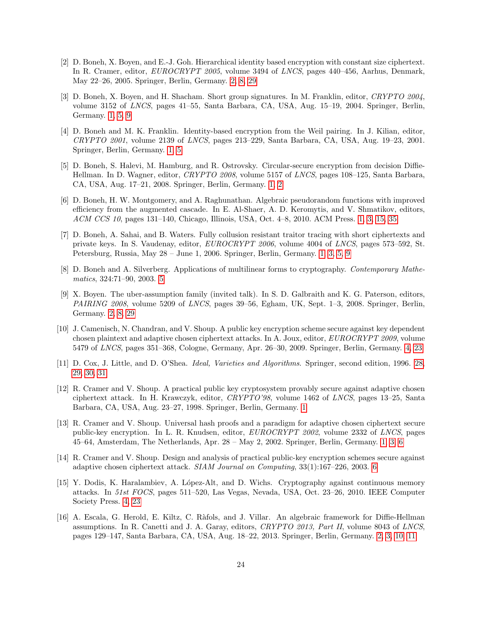- <span id="page-25-7"></span>[2] D. Boneh, X. Boyen, and E.-J. Goh. Hierarchical identity based encryption with constant size ciphertext. In R. Cramer, editor, EUROCRYPT 2005, volume 3494 of LNCS, pages 440–456, Aarhus, Denmark, May 22–26, 2005. Springer, Berlin, Germany. [2,](#page-1-0) [8,](#page-9-4) [29](#page-30-1)
- <span id="page-25-3"></span>[3] D. Boneh, X. Boyen, and H. Shacham. Short group signatures. In M. Franklin, editor, CRYPTO 2004, volume 3152 of LNCS, pages 41–55, Santa Barbara, CA, USA, Aug. 15–19, 2004. Springer, Berlin, Germany. [1,](#page-0-0) [5,](#page-6-2) [9](#page-10-3)
- <span id="page-25-2"></span>[4] D. Boneh and M. K. Franklin. Identity-based encryption from the Weil pairing. In J. Kilian, editor, CRYPTO 2001, volume 2139 of LNCS, pages 213–229, Santa Barbara, CA, USA, Aug. 19–23, 2001. Springer, Berlin, Germany. [1,](#page-0-0) [5](#page-6-2)
- <span id="page-25-4"></span>[5] D. Boneh, S. Halevi, M. Hamburg, and R. Ostrovsky. Circular-secure encryption from decision Diffie-Hellman. In D. Wagner, editor, CRYPTO 2008, volume 5157 of LNCS, pages 108–125, Santa Barbara, CA, USA, Aug. 17–21, 2008. Springer, Berlin, Germany. [1,](#page-0-0) [2](#page-1-0)
- <span id="page-25-6"></span>[6] D. Boneh, H. W. Montgomery, and A. Raghunathan. Algebraic pseudorandom functions with improved efficiency from the augmented cascade. In E. Al-Shaer, A. D. Keromytis, and V. Shmatikov, editors, ACM CCS 10, pages 131–140, Chicago, Illinois, USA, Oct. 4–8, 2010. ACM Press. [1,](#page-0-0) [3,](#page-4-1) [15,](#page-16-2) [35](#page-36-1)
- <span id="page-25-5"></span>[7] D. Boneh, A. Sahai, and B. Waters. Fully collusion resistant traitor tracing with short ciphertexts and private keys. In S. Vaudenay, editor, EUROCRYPT 2006, volume 4004 of LNCS, pages 573–592, St. Petersburg, Russia, May 28 – June 1, 2006. Springer, Berlin, Germany. [1,](#page-0-0) [3,](#page-4-1) [5,](#page-6-2) [9](#page-10-3)
- <span id="page-25-12"></span>[8] D. Boneh and A. Silverberg. Applications of multilinear forms to cryptography. Contemporary Mathematics, 324:71–90, 2003. [5](#page-6-2)
- <span id="page-25-8"></span>[9] X. Boyen. The uber-assumption family (invited talk). In S. D. Galbraith and K. G. Paterson, editors, PAIRING 2008, volume 5209 of LNCS, pages 39–56, Egham, UK, Sept. 1–3, 2008. Springer, Berlin. Germany. [2,](#page-1-0) [8,](#page-9-4) [29](#page-30-1)
- <span id="page-25-10"></span>[10] J. Camenisch, N. Chandran, and V. Shoup. A public key encryption scheme secure against key dependent chosen plaintext and adaptive chosen ciphertext attacks. In A. Joux, editor, EUROCRYPT 2009, volume 5479 of LNCS, pages 351–368, Cologne, Germany, Apr. 26–30, 2009. Springer, Berlin, Germany. [4,](#page-5-3) [23](#page-24-2)
- <span id="page-25-14"></span>[11] D. Cox, J. Little, and D. O'Shea. Ideal, Varieties and Algorithms. Springer, second edition, 1996. [28,](#page-29-1) [29,](#page-30-1) [30,](#page-31-3) [31](#page-32-0)
- <span id="page-25-0"></span>[12] R. Cramer and V. Shoup. A practical public key cryptosystem provably secure against adaptive chosen ciphertext attack. In H. Krawczyk, editor, CRYPTO'98, volume 1462 of LNCS, pages 13–25, Santa Barbara, CA, USA, Aug. 23–27, 1998. Springer, Berlin, Germany. [1](#page-0-0)
- <span id="page-25-1"></span>[13] R. Cramer and V. Shoup. Universal hash proofs and a paradigm for adaptive chosen ciphertext secure public-key encryption. In L. R. Knudsen, editor, EUROCRYPT 2002, volume 2332 of LNCS, pages 45–64, Amsterdam, The Netherlands, Apr. 28 – May 2, 2002. Springer, Berlin, Germany. [1,](#page-0-0) [3,](#page-4-1) [6](#page-7-6)
- <span id="page-25-13"></span>[14] R. Cramer and V. Shoup. Design and analysis of practical public-key encryption schemes secure against adaptive chosen ciphertext attack. SIAM Journal on Computing, 33(1):167–226, 2003. [6](#page-7-6)
- <span id="page-25-11"></span>[15] Y. Dodis, K. Haralambiev, A. López-Alt, and D. Wichs. Cryptography against continuous memory attacks. In 51st FOCS, pages 511–520, Las Vegas, Nevada, USA, Oct. 23–26, 2010. IEEE Computer Society Press. [4,](#page-5-3) [23](#page-24-2)
- <span id="page-25-9"></span>[16] A. Escala, G. Herold, E. Kiltz, C. R`afols, and J. Villar. An algebraic framework for Diffie-Hellman assumptions. In R. Canetti and J. A. Garay, editors, CRYPTO 2013, Part II, volume 8043 of LNCS, pages 129–147, Santa Barbara, CA, USA, Aug. 18–22, 2013. Springer, Berlin, Germany. [2,](#page-1-0) [3,](#page-4-1) [10,](#page-11-2) [11](#page-12-4)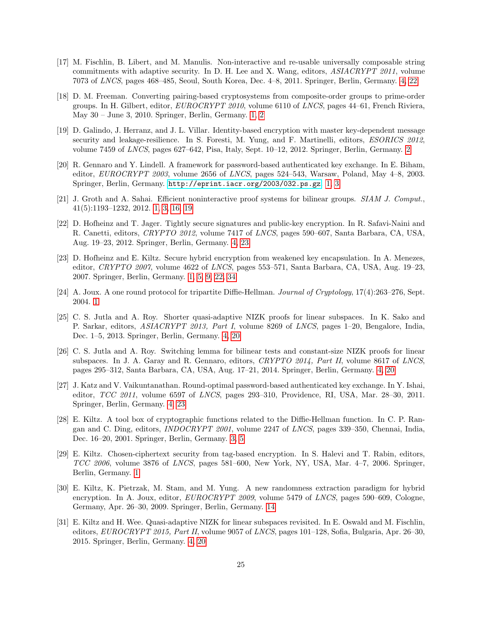- <span id="page-26-8"></span>[17] M. Fischlin, B. Libert, and M. Manulis. Non-interactive and re-usable universally composable string commitments with adaptive security. In D. H. Lee and X. Wang, editors, ASIACRYPT 2011, volume 7073 of LNCS, pages 468–485, Seoul, South Korea, Dec. 4–8, 2011. Springer, Berlin, Germany. [4,](#page-5-3) [22](#page-23-2)
- <span id="page-26-5"></span>[18] D. M. Freeman. Converting pairing-based cryptosystems from composite-order groups to prime-order groups. In H. Gilbert, editor, EUROCRYPT 2010, volume 6110 of LNCS, pages 44–61, French Riviera, May 30 – June 3, 2010. Springer, Berlin, Germany. [1,](#page-0-0) [2](#page-1-0)
- <span id="page-26-6"></span>[19] D. Galindo, J. Herranz, and J. L. Villar. Identity-based encryption with master key-dependent message security and leakage-resilience. In S. Foresti, M. Yung, and F. Martinelli, editors, *ESORICS* 2012, volume 7459 of LNCS, pages 627–642, Pisa, Italy, Sept. 10–12, 2012. Springer, Berlin, Germany. [2](#page-1-0)
- <span id="page-26-0"></span>[20] R. Gennaro and Y. Lindell. A framework for password-based authenticated key exchange. In E. Biham, editor,  $EUROCRYPT 2003$ , volume 2656 of  $LNCS$ , pages 524–543, Warsaw, Poland, May 4–8, 2003. Springer, Berlin, Germany. <http://eprint.iacr.org/2003/032.ps.gz>. [1,](#page-0-0) [3](#page-4-1)
- <span id="page-26-3"></span>[21] J. Groth and A. Sahai. Efficient noninteractive proof systems for bilinear groups. SIAM J. Comput., 41(5):1193–1232, 2012. [1,](#page-0-0) [3,](#page-4-1) [16,](#page-17-2) [19](#page-20-2)
- <span id="page-26-12"></span>[22] D. Hofheinz and T. Jager. Tightly secure signatures and public-key encryption. In R. Safavi-Naini and R. Canetti, editors, CRYPTO 2012, volume 7417 of LNCS, pages 590–607, Santa Barbara, CA, USA, Aug. 19–23, 2012. Springer, Berlin, Germany. [4,](#page-5-3) [23](#page-24-2)
- <span id="page-26-4"></span>[23] D. Hofheinz and E. Kiltz. Secure hybrid encryption from weakened key encapsulation. In A. Menezes, editor, CRYPTO 2007, volume 4622 of LNCS, pages 553–571, Santa Barbara, CA, USA, Aug. 19–23, 2007. Springer, Berlin, Germany. [1,](#page-0-0) [5,](#page-6-2) [9,](#page-10-3) [22,](#page-23-2) [34](#page-35-2)
- <span id="page-26-1"></span>[24] A. Joux. A one round protocol for tripartite Diffie-Hellman. Journal of Cryptology, 17(4):263–276, Sept. 2004. [1](#page-0-0)
- <span id="page-26-9"></span>[25] C. S. Jutla and A. Roy. Shorter quasi-adaptive NIZK proofs for linear subspaces. In K. Sako and P. Sarkar, editors, ASIACRYPT 2013, Part I, volume 8269 of LNCS, pages 1–20, Bengalore, India, Dec. 1–5, 2013. Springer, Berlin, Germany. [4,](#page-5-3) [20](#page-21-3)
- <span id="page-26-10"></span>[26] C. S. Jutla and A. Roy. Switching lemma for bilinear tests and constant-size NIZK proofs for linear subspaces. In J. A. Garay and R. Gennaro, editors, CRYPTO 2014, Part II, volume 8617 of LNCS, pages 295–312, Santa Barbara, CA, USA, Aug. 17–21, 2014. Springer, Berlin, Germany. [4,](#page-5-3) [20](#page-21-3)
- <span id="page-26-13"></span>[27] J. Katz and V. Vaikuntanathan. Round-optimal password-based authenticated key exchange. In Y. Ishai, editor, TCC 2011, volume 6597 of LNCS, pages 293–310, Providence, RI, USA, Mar. 28–30, 2011. Springer, Berlin, Germany. [4,](#page-5-3) [23](#page-24-2)
- <span id="page-26-7"></span>[28] E. Kiltz. A tool box of cryptographic functions related to the Diffie-Hellman function. In C. P. Rangan and C. Ding, editors, INDOCRYPT 2001, volume 2247 of LNCS, pages 339–350, Chennai, India, Dec. 16–20, 2001. Springer, Berlin, Germany. [3,](#page-4-1) [5](#page-6-2)
- <span id="page-26-2"></span>[29] E. Kiltz. Chosen-ciphertext security from tag-based encryption. In S. Halevi and T. Rabin, editors, TCC 2006, volume 3876 of LNCS, pages 581–600, New York, NY, USA, Mar. 4–7, 2006. Springer, Berlin, Germany. [1](#page-0-0)
- <span id="page-26-14"></span>[30] E. Kiltz, K. Pietrzak, M. Stam, and M. Yung. A new randomness extraction paradigm for hybrid encryption. In A. Joux, editor, *EUROCRYPT 2009*, volume 5479 of *LNCS*, pages 590–609, Cologne, Germany, Apr. 26–30, 2009. Springer, Berlin, Germany. [14](#page-15-3)
- <span id="page-26-11"></span>[31] E. Kiltz and H. Wee. Quasi-adaptive NIZK for linear subspaces revisited. In E. Oswald and M. Fischlin, editors, EUROCRYPT 2015, Part II, volume 9057 of LNCS, pages 101–128, Sofia, Bulgaria, Apr. 26–30, 2015. Springer, Berlin, Germany. [4,](#page-5-3) [20](#page-21-3)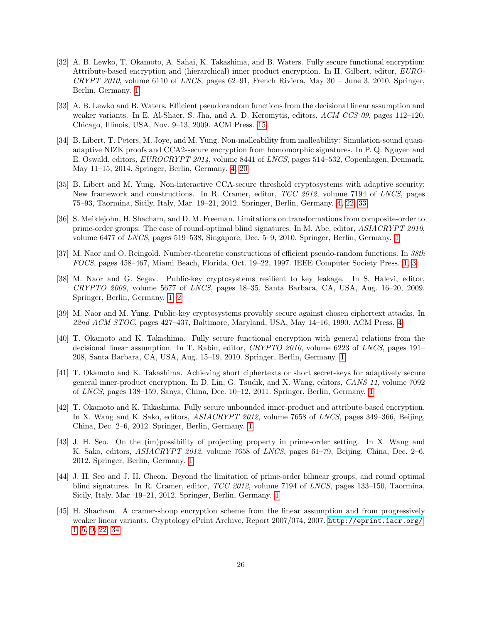- <span id="page-27-7"></span>[32] A. B. Lewko, T. Okamoto, A. Sahai, K. Takashima, and B. Waters. Fully secure functional encryption: Attribute-based encryption and (hierarchical) inner product encryption. In H. Gilbert, editor, EURO-CRYPT 2010, volume 6110 of LNCS, pages 62–91, French Riviera, May  $30$  – June 3, 2010. Springer, Berlin, Germany. [1](#page-0-0)
- <span id="page-27-13"></span>[33] A. B. Lewko and B. Waters. Efficient pseudorandom functions from the decisional linear assumption and weaker variants. In E. Al-Shaer, S. Jha, and A. D. Keromytis, editors, ACM CCS 09, pages 112–120, Chicago, Illinois, USA, Nov. 9–13, 2009. ACM Press. [15](#page-16-2)
- <span id="page-27-11"></span>[34] B. Libert, T. Peters, M. Joye, and M. Yung. Non-malleability from malleability: Simulation-sound quasiadaptive NIZK proofs and CCA2-secure encryption from homomorphic signatures. In P. Q. Nguyen and E. Oswald, editors, EUROCRYPT 2014, volume 8441 of LNCS, pages 514–532, Copenhagen, Denmark, May 11–15, 2014. Springer, Berlin, Germany. [4,](#page-5-3) [20](#page-21-3)
- <span id="page-27-10"></span>[35] B. Libert and M. Yung. Non-interactive CCA-secure threshold cryptosystems with adaptive security: New framework and constructions. In R. Cramer, editor, TCC 2012, volume 7194 of LNCS, pages 75–93, Taormina, Sicily, Italy, Mar. 19–21, 2012. Springer, Berlin, Germany. [4,](#page-5-3) [22,](#page-23-2) [33](#page-34-1)
- <span id="page-27-3"></span>[36] S. Meiklejohn, H. Shacham, and D. M. Freeman. Limitations on transformations from composite-order to prime-order groups: The case of round-optimal blind signatures. In M. Abe, editor, ASIACRYPT 2010, volume 6477 of LNCS, pages 519–538, Singapore, Dec. 5–9, 2010. Springer, Berlin, Germany. [1](#page-0-0)
- <span id="page-27-0"></span>[37] M. Naor and O. Reingold. Number-theoretic constructions of efficient pseudo-random functions. In 38th FOCS, pages 458–467, Miami Beach, Florida, Oct. 19–22, 1997. IEEE Computer Society Press. [1,](#page-0-0) [3](#page-4-1)
- <span id="page-27-1"></span>[38] M. Naor and G. Segev. Public-key cryptosystems resilient to key leakage. In S. Halevi, editor, CRYPTO 2009, volume 5677 of LNCS, pages 18–35, Santa Barbara, CA, USA, Aug. 16–20, 2009. Springer, Berlin, Germany. [1,](#page-0-0) [2](#page-1-0)
- <span id="page-27-12"></span>[39] M. Naor and M. Yung. Public-key cryptosystems provably secure against chosen ciphertext attacks. In 22nd ACM STOC, pages 427–437, Baltimore, Maryland, USA, May 14–16, 1990. ACM Press. [4](#page-5-3)
- <span id="page-27-6"></span>[40] T. Okamoto and K. Takashima. Fully secure functional encryption with general relations from the decisional linear assumption. In T. Rabin, editor, CRYPTO 2010, volume 6223 of LNCS, pages 191– 208, Santa Barbara, CA, USA, Aug. 15–19, 2010. Springer, Berlin, Germany. [1](#page-0-0)
- <span id="page-27-8"></span>[41] T. Okamoto and K. Takashima. Achieving short ciphertexts or short secret-keys for adaptively secure general inner-product encryption. In D. Lin, G. Tsudik, and X. Wang, editors, CANS 11, volume 7092 of LNCS, pages 138–159, Sanya, China, Dec. 10–12, 2011. Springer, Berlin, Germany. [1](#page-0-0)
- <span id="page-27-9"></span>[42] T. Okamoto and K. Takashima. Fully secure unbounded inner-product and attribute-based encryption. In X. Wang and K. Sako, editors, ASIACRYPT 2012, volume 7658 of LNCS, pages 349–366, Beijing, China, Dec. 2–6, 2012. Springer, Berlin, Germany. [1](#page-0-0)
- <span id="page-27-4"></span>[43] J. H. Seo. On the (im)possibility of projecting property in prime-order setting. In X. Wang and K. Sako, editors, ASIACRYPT 2012, volume 7658 of LNCS, pages 61–79, Beijing, China, Dec. 2–6, 2012. Springer, Berlin, Germany. [1](#page-0-0)
- <span id="page-27-5"></span>[44] J. H. Seo and J. H. Cheon. Beyond the limitation of prime-order bilinear groups, and round optimal blind signatures. In R. Cramer, editor, TCC 2012, volume 7194 of LNCS, pages 133–150, Taormina, Sicily, Italy, Mar. 19–21, 2012. Springer, Berlin, Germany. [1](#page-0-0)
- <span id="page-27-2"></span>[45] H. Shacham. A cramer-shoup encryption scheme from the linear assumption and from progressively weaker linear variants. Cryptology ePrint Archive, Report 2007/074, 2007. <http://eprint.iacr.org/>. [1,](#page-0-0) [5,](#page-6-2) [9,](#page-10-3) [22,](#page-23-2) [34](#page-35-2)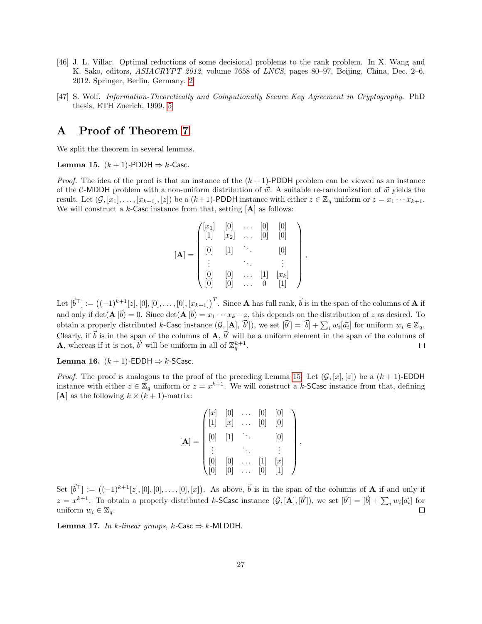- <span id="page-28-1"></span>[46] J. L. Villar. Optimal reductions of some decisional problems to the rank problem. In X. Wang and K. Sako, editors, ASIACRYPT 2012, volume 7658 of LNCS, pages 80–97, Beijing, China, Dec. 2–6, 2012. Springer, Berlin, Germany. [2](#page-1-0)
- <span id="page-28-2"></span>[47] S. Wolf. Information-Theoretically and Computionally Secure Key Agreement in Cryptography. PhD thesis, ETH Zuerich, 1999. [5](#page-6-2)

## <span id="page-28-0"></span>A Proof of Theorem [7](#page-11-1)

We split the theorem in several lemmas.

<span id="page-28-3"></span>Lemma 15.  $(k + 1)$ -PDDH  $\Rightarrow k$ -Casc.

*Proof.* The idea of the proof is that an instance of the  $(k + 1)$ -PDDH problem can be viewed as an instance of the C-MDDH problem with a non-uniform distribution of  $\vec{w}$ . A suitable re-randomization of  $\vec{w}$  yields the result. Let  $(G, [x_1], \ldots, [x_{k+1}], [z])$  be a  $(k+1)$ -PDDH instance with either  $z \in \mathbb{Z}_q$  uniform or  $z = x_1 \cdots x_{k+1}$ . We will construct a  $k$ -Casc instance from that, setting  $[A]$  as follows:

$$
[\mathbf{A}] = \begin{pmatrix} [x_1] & [0] & \dots & [0] & [0] \\ [1] & [x_2] & \dots & [0] & [0] \\ [0] & [1] & \ddots & & [0] \\ \vdots & & \ddots & & \vdots \\ [0] & [0] & \dots & [1] & [x_k] \\ [0] & [0] & \dots & 0 & [1] \end{pmatrix}
$$

,

Let  $[\vec{b}^{\top}] := ((-1)^{k+1}[z], [0], [0], \ldots, [0], [x_{k+1}])^{T}$ . Since **A** has full rank,  $\vec{b}$  is in the span of the columns of **A** if and only if  $\det(\mathbf{A}||\vec{b}) = 0$ . Since  $\det(\mathbf{A}||\vec{b}) = x_1 \cdots x_k - z$ , this depends on the distribution of z as desired. To obtain a properly distributed k-Casc instance  $(G, [\mathbf{A}], [\vec{b}'])$ , we set  $[\vec{b}] = [\vec{b}] + \sum_i w_i [\vec{a_i}]$  for uniform  $w_i \in \mathbb{Z}_q$ . Clearly, if  $\vec{b}$  is in the span of the columns of  $\mathbf{A}, \vec{b}'$  will be a uniform element in the span of the columns of **A**, whereas if it is not,  $\vec{b}'$  will be uniform in all of  $\mathbb{Z}_q^{k+1}$ .

Lemma 16.  $(k + 1)$ -EDDH  $\Rightarrow$  k-SCasc.

*Proof.* The proof is analogous to the proof of the preceding Lemma [15.](#page-28-3) Let  $(G, [x], [z])$  be a  $(k + 1)$ -EDDH instance with either  $z \in \mathbb{Z}_q$  uniform or  $z = x^{k+1}$ . We will construct a k-SCasc instance from that, defining  $[A]$  as the following  $k \times (k+1)$ -matrix:

$$
[\mathbf{A}] = \begin{pmatrix} [x] & [0] & \cdots & [0] & [0] \\ [1] & [x] & \cdots & [0] & [0] \\ [0] & [1] & \ddots & & [0] \\ \vdots & & \ddots & & \vdots \\ [0] & [0] & \cdots & [1] & [x] \\ [0] & [0] & \cdots & [0] & [1] \end{pmatrix},
$$

Set  $[\vec{b}^{\top}] := ((-1)^{k+1}[z], [0], [0], \ldots, [0], [x])$ . As above,  $\vec{b}$  is in the span of the columns of **A** if and only if  $z = x^{k+1}$ . To obtain a properly distributed k-SCasc instance  $(\mathcal{G}, [\mathbf{A}], [\vec{b}'])$ , we set  $[\vec{b}] = [\vec{b}] + \sum_i w_i [\vec{a_i}]$  for uniform  $w_i \in \mathbb{Z}_q$ .  $\Box$ 

Lemma 17. In k-linear groups, k-Casc  $\Rightarrow$  k-MLDDH.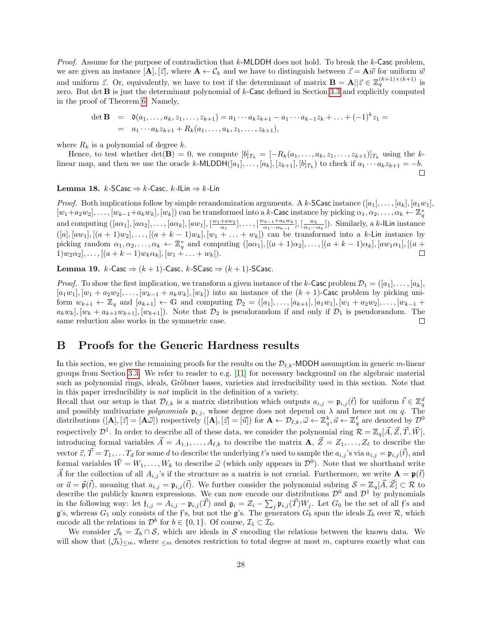<span id="page-29-1"></span>*Proof.* Assume for the purpose of contradiction that k-MLDDH does not hold. To break the k-Casc problem, we are given an instance  $[\mathbf{A}], [\vec{z}]$ , where  $\mathbf{A} \leftarrow \mathcal{C}_k$  and we have to distinguish between  $\vec{z} = \mathbf{A}\vec{w}$  for uniform  $\vec{w}$ and uniform  $\vec{z}$ . Or, equivalently, we have to test if the determinant of matrix  $\mathbf{B} = \mathbf{A} || \vec{z} \in \mathbb{Z}_q^{(k+1)\times (k+1)}$  is zero. But det B is just the determinant polynomial of k-Casc defined in Section [3.3](#page-9-0) and explicitly computed in the proof of Theorem [6.](#page-11-3) Namely,

det **B** = 
$$
\mathfrak{d}(a_1, ..., a_k, z_1, ..., z_{k+1}) = a_1 \cdots a_k z_{k+1} - a_1 \cdots a_{k-1} z_k + ... + (-1)^k z_1 =
$$
  
=  $a_1 \cdots a_k z_{k+1} + R_k(a_1, ..., a_k, z_1, ..., z_{k+1}),$ 

where  $R_k$  is a polynomial of degree k.

Hence, to test whether det(**B**) = 0, we compute  $[b]_{T_k} = [-R_k(a_1, \ldots, a_k, z_1, \ldots, z_{k+1})]_{T_k}$  using the klinear map, and then we use the oracle k-MLDDH $([a_1], \ldots, [a_k], [z_{k+1}], [b]_{T_k})$  to check if  $a_1 \cdots a_k z_{k+1} = -b$ .  $\Box$ 

#### Lemma 18.  $k$ -SCasc  $\Rightarrow$   $k$ -Casc,  $k$ -ILin  $\Rightarrow$   $k$ -Lin

*Proof.* Both implications follow by simple rerandomization arguments. A k-SCasc instance  $([a_1], \ldots, [a_k], [a_1w_1],$  $[w_1+a_2w_2], \ldots, [w_{k-1}+a_kw_k], [w_k])$  can be transformed into a k-Casc instance by picking  $\alpha_1, \alpha_2, \ldots, \alpha_k \leftarrow \mathbb{Z}_q^*$ and computing  $([a\alpha_1], [a\alpha_2], \ldots, [a\alpha_k], [a w_1], [\frac{w_1 + aw_2}{\alpha_1}, \ldots, [\frac{w_{k-1} + a_k w_k}{\alpha_1 \cdots \alpha_{k-1}}]$  $\frac{a_{k-1}+a_kw_k}{\alpha_1\cdots\alpha_{k-1}}$ ,  $\left[\frac{w_k}{\alpha_1\cdots\alpha_k}\right]$ . Similarly, a k-ILin instance  $([a], [aw_1], [(a + 1)w_2], \ldots, [(a + k - 1)w_k], [w_1 + \ldots + w_k])$  can be transformed into a k-Lin instance by picking random  $\alpha_1, \alpha_2, \ldots, \alpha_k \leftarrow \mathbb{Z}_q^*$  and computing  $([a\alpha_1], [(a+1)\alpha_2], \ldots, [(a+k-1)\alpha_k], [a w_1 \alpha_1], [(a+1)\alpha_2]$  $1)w_2\alpha_2], \ldots, [(a + k - 1)w_k\alpha_k], [w_1 + \ldots + w_k]).$  $\Box$ 

Lemma 19.  $k$ -Casc  $\Rightarrow$   $(k + 1)$ -Casc,  $k$ -SCasc  $\Rightarrow$   $(k + 1)$ -SCasc.

*Proof.* To show the first implication, we transform a given instance of the k-Casc problem  $\mathcal{D}_1 = ([a_1], \ldots, [a_k],$  $[a_1w_1], [w_1 + a_2w_2], \ldots, [w_{k-1} + a_kw_k], [w_k]$  into an instance of the  $(k + 1)$ -Casc problem by picking uniform  $w_{k+1} \leftarrow \mathbb{Z}_q$  and  $[a_{k+1}] \leftarrow \mathbb{G}$  and computing  $\mathcal{D}_2 = ([a_1], \ldots, [a_{k+1}], [a_1w_1], [w_1 + a_2w_2], \ldots, [w_{k-1} + a_kw_k]$  $a_kw_k$ ,  $[w_k + a_{k+1}w_{k+1}]$ ,  $[w_{k+1}]$ ). Note that  $\mathcal{D}_2$  is pseudorandom if and only if  $\mathcal{D}_1$  is pseudorandom. The same reduction also works in the symmetric case.  $\Box$ 

### <span id="page-29-0"></span>B Proofs for the Generic Hardness results

In this section, we give the remaining proofs for the results on the  $\mathcal{D}_{\ell,k}$ -MDDH assumption in generic m-linear groups from Section [3.3.](#page-9-0) We refer to reader to e.g. [\[11\]](#page-25-14) for necessary background on the algebraic material such as polynomial rings, ideals, Gröbner bases, varieties and irreducibility used in this section. Note that in this paper irreducibility is not implicit in the definition of a variety.

Recall that our setup is that  $\mathcal{D}_{\ell,k}$  is a matrix distribution which outputs  $a_{i,j} = \mathfrak{p}_{i,j}(\vec{t})$  for uniform  $\vec{t} \in \mathbb{Z}_q^d$ and possibly multivariate *polynomials*  $\mathfrak{p}_{i,j}$ , whose degree does not depend on  $\lambda$  and hence not on q. The distributions  $([\mathbf{A}], [\vec{z}] = [\mathbf{A}\vec{\omega}])$  respectively  $([\mathbf{A}], [\vec{z}] = [\vec{u}])$  for  $\mathbf{A} \leftarrow \mathcal{D}_{\ell,k}, \vec{\omega} \leftarrow \mathbb{Z}_q^k, \vec{u} \leftarrow \mathbb{Z}_q^{\ell}$  are denoted by  $\mathcal{D}^0$ respectively  $\mathcal{D}^1$ . In order to describe all of these data, we consider the polynomial ring  $\mathcal{R} = \mathbb{Z}_q[\vec{A}, \vec{Z}, \vec{T}, \vec{W}]$ , introducing formal variables  $\vec{A} = A_{1,1}, \ldots, A_{\ell,k}$  to describe the matrix  $\mathbf{A}, \vec{Z} = Z_1, \ldots, Z_\ell$  to describe the vector  $\vec{z}, \vec{T} = T_1, \ldots T_d$  for some d to describe the underlying t's used to sample the  $a_{i,j}$ 's via  $a_{i,j} = \mathfrak{p}_{i,j}(\vec{t})$ , and formal variables  $\vec{W} = W_1, \ldots, W_k$  to describe  $\vec{\omega}$  (which only appears in  $\mathcal{D}^0$ ). Note that we shorthand write A for the collection of all  $A_{i,j}$ 's if the structure as a matrix is not crucial. Furthermore, we write  $A = \mathfrak{p}(t)$ or  $\vec{a} = \vec{\mathfrak{p}}(\vec{t})$ , meaning that  $a_{i,j} = \mathfrak{p}_{i,j}(\vec{t})$ . We further consider the polynomial subring  $S = \mathbb{Z}_q[\vec{A}, \vec{Z}] \subset \mathcal{R}$  to describe the publicly known expressions. We can now encode our distributions  $\mathcal{D}^0$  and  $\mathcal{D}^1$  by polynomials in the following way: let  $f_{i,j} = A_{i,j} - \mathfrak{p}_{i,j}(\vec{T})$  and  $\mathfrak{g}_i = Z_i - \sum_j \mathfrak{p}_{i,j}(\vec{T})W_j$ . Let  $G_0$  be the set of all f's and g's, whereas  $G_1$  only consists of the f's, but not the g's. The generators  $G_b$  span the ideals  $\mathcal{I}_b$  over  $\mathcal{R}$ , which encode all the relations in  $\mathcal{D}^b$  for  $b \in \{0, 1\}$ . Of course,  $\mathcal{I}_1 \subset \mathcal{I}_0$ .

We consider  $\mathcal{J}_b = \mathcal{I}_b \cap \mathcal{S}$ , which are ideals in S encoding the relations between the known data. We will show that  $(\mathcal{J}_b)_{\leq m}$ , where  $_{\leq m}$  denotes restriction to total degree at most m, captures exactly what can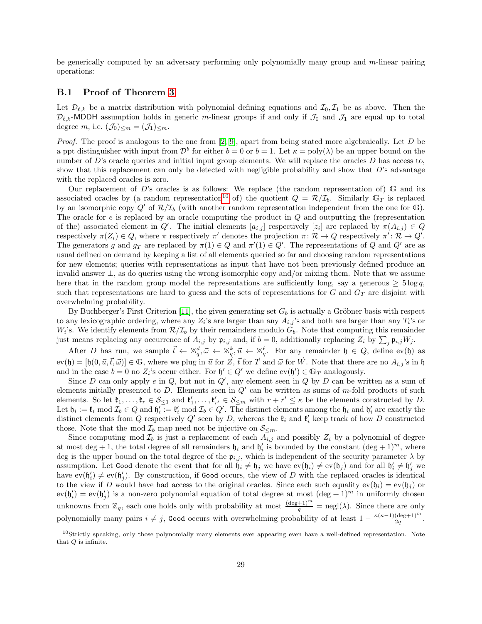<span id="page-30-1"></span>be generically computed by an adversary performing only polynomially many group and  $m$ -linear pairing operations:

### <span id="page-30-0"></span>B.1 Proof of Theorem [3](#page-9-1)

Let  $\mathcal{D}_{\ell,k}$  be a matrix distribution with polynomial defining equations and  $\mathcal{I}_0, \mathcal{I}_1$  be as above. Then the  $\mathcal{D}_{\ell,k}$ -MDDH assumption holds in generic m-linear groups if and only if  $\mathcal{J}_0$  and  $\mathcal{J}_1$  are equal up to total degree m, i.e.  $(\mathcal{J}_0)_{\leq m} = (\mathcal{J}_1)_{\leq m}$ .

*Proof.* The proof is analogous to the one from [\[2,](#page-25-7) [9\]](#page-25-8), apart from being stated more algebraically. Let  $D$  be a ppt distinguisher with input from  $\mathcal{D}^b$  for either  $b = 0$  or  $b = 1$ . Let  $\kappa = \text{poly}(\lambda)$  be an upper bound on the number of  $D$ 's oracle queries and initial input group elements. We will replace the oracles  $D$  has access to, show that this replacement can only be detected with negligible probability and show that  $D$ 's advantage with the replaced oracles is zero.

Our replacement of D's oracles is as follows: We replace (the random representation of)  $\mathbb{G}$  and its associated oracles by (a random representation<sup>[10](#page-30-2)</sup> of) the quotient  $Q = \mathcal{R}/\mathcal{I}_b$ . Similarly  $\mathbb{G}_T$  is replaced by an isomorphic copy  $Q'$  of  $\mathcal{R}/\mathcal{I}_b$  (with another random representation independent from the one for  $\mathbb{G}$ ). The oracle for  $e$  is replaced by an oracle computing the product in  $Q$  and outputting the (representation of the) associated element in Q'. The initial elements  $[a_{i,j}]$  respectively  $[z_i]$  are replaced by  $\pi(A_{i,j}) \in Q$ respectively  $\pi(Z_i) \in Q$ , where  $\pi$  respectively  $\pi'$  denotes the projection  $\pi \colon \mathcal{R} \to Q$  respectively  $\pi' \colon \mathcal{R} \to Q'$ . The generators g and  $g_T$  are replaced by  $\pi(1) \in Q$  and  $\pi'(1) \in Q'$ . The representations of Q and Q' are as usual defined on demand by keeping a list of all elements queried so far and choosing random representations for new elements; queries with representations as input that have not been previously defined produce an invalid answer ⊥, as do queries using the wrong isomorphic copy and/or mixing them. Note that we assume here that in the random group model the representations are sufficiently long, say a generous  $\geq 5 \log q$ , such that representations are hard to guess and the sets of representations for  $G$  and  $G_T$  are disjoint with overwhelming probability.

By Buchberger's First Criterion [\[11\]](#page-25-14), the given generating set  $G_b$  is actually a Gröbner basis with respect to any lexicographic ordering, where any  $Z_i$ 's are larger than any  $A_{i,j}$ 's and both are larger than any  $T_i$ 's or  $W_i$ 's. We identify elements from  $\mathcal{R}/\mathcal{I}_b$  by their remainders modulo  $G_b$ . Note that computing this remainder just means replacing any occurrence of  $A_{i,j}$  by  $\mathfrak{p}_{i,j}$  and, if  $b=0$ , additionally replacing  $Z_i$  by  $\sum_j \mathfrak{p}_{i,j} W_j$ .

After D has run, we sample  $\vec{t} \leftarrow \mathbb{Z}_q^d, \vec{\omega} \leftarrow \mathbb{Z}_q^k, \vec{u} \leftarrow \mathbb{Z}_q^\ell$ . For any remainder  $\mathfrak{h} \in Q$ , define ev(h) as  $ev(\mathfrak{h}) = [\mathfrak{h}(0, \vec{u}, \vec{t}, \vec{\omega})] \in \mathbb{G}$ , where we plug in  $\vec{u}$  for  $\vec{Z}$ ,  $\vec{t}$  for  $\vec{T}$  and  $\vec{\omega}$  for  $\vec{W}$ . Note that there are no  $A_{i,j}$ 's in  $\mathfrak{h}$ and in the case  $b = 0$  no  $Z_i$ 's occur either. For  $\mathfrak{h}' \in Q'$  we define  $ev(\mathfrak{h}') \in \mathbb{G}_T$  analogously.

Since D can only apply  $e$  in  $Q$ , but not in  $Q'$ , any element seen in  $Q$  by D can be written as a sum of elements initially presented to  $D$ . Elements seen in  $Q'$  can be written as sums of m-fold products of such elements. So let  $\mathfrak{k}_1,\ldots,\mathfrak{k}_r \in \mathcal{S}_{\leq 1}$  and  $\mathfrak{k}'_1,\ldots,\mathfrak{k}'_{r'} \in \mathcal{S}_{\leq m}$  with  $r + r' \leq \kappa$  be the elements constructed by D. Let  $\mathfrak{h}_i := \mathfrak{k}_i \bmod \mathcal{I}_b \in Q$  and  $\mathfrak{h}'_i := \mathfrak{k}'_i \bmod \mathcal{I}_b \in Q'.$  The distinct elements among the  $\mathfrak{h}_i$  and  $\mathfrak{h}'_i$  are exactly the distinct elements from Q respectively  $Q'$  seen by D, whereas the  $\mathfrak{k}_i$  and  $\mathfrak{k}'_i$  keep track of how D constructed those. Note that the mod  $\mathcal{I}_b$  map need not be injective on  $\mathcal{S}_{\leq m}$ .

Since computing mod  $\mathcal{I}_b$  is just a replacement of each  $A_{i,j}$  and possibly  $Z_i$  by a polynomial of degree at most deg + 1, the total degree of all remainders  $\mathfrak{h}_i$  and  $\mathfrak{h}'_i$  is bounded by the constant  $(\text{deg} + 1)^m$ , where deg is the upper bound on the total degree of the  $\mathfrak{p}_{i,j}$ , which is independent of the security parameter  $\lambda$  by assumption. Let Good denote the event that for all  $\mathfrak{h}_i \neq \mathfrak{h}_j$  we have  $ev(\mathfrak{h}_i) \neq ev(\mathfrak{h}_j)$  and for all  $\mathfrak{h}'_i \neq \mathfrak{h}'_j$  we have  $ev(\mathfrak{h}'_i) \neq ev(\mathfrak{h}'_j)$ . By construction, if Good occurs, the view of D with the replaced oracles is identical to the view if D would have had access to the original oracles. Since each such equality  $ev(\mathfrak{h}_i) = ev(\mathfrak{h}_j)$  or  $ev(\mathfrak{h}'_i) = ev(\mathfrak{h}'_j)$  is a non-zero polynomial equation of total degree at most  $(\deg + 1)^m$  in uniformly chosen unknowns from  $\mathbb{Z}_q$ , each one holds only with probability at most  $\frac{(\text{deg}+1)^m}{q} = \text{negl}(\lambda)$ . Since there are only polynomially many pairs  $i \neq j$ , Good occurs with overwhelming probability of at least  $1 - \frac{\kappa(\kappa-1)(\deg+1)^m}{2a}$  $\frac{\frac{(\text{deg}+1)}{2q}}$ .

<span id="page-30-2"></span> $10$ Strictly speaking, only those polynomially many elements ever appearing even have a well-defined representation. Note that  $\boldsymbol{Q}$  is infinite.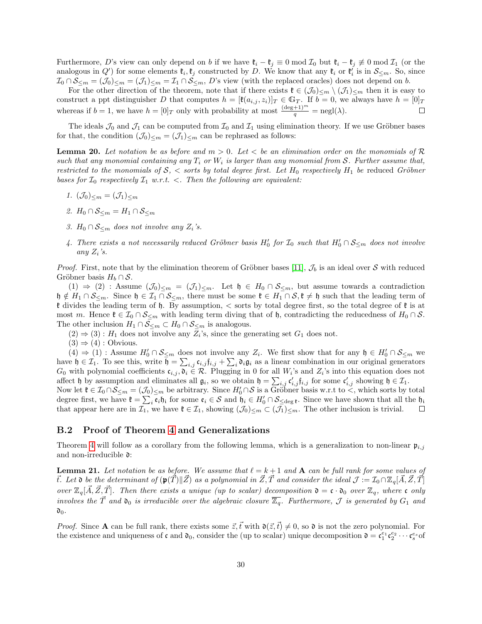<span id="page-31-3"></span>Furthermore, D's view can only depend on b if we have  $\mathfrak{k}_i - \mathfrak{k}_j \equiv 0 \mod \mathcal{I}_0$  but  $\mathfrak{k}_i - \mathfrak{k}_j \not\equiv 0 \mod \mathcal{I}_1$  (or the analogous in  $Q'$  for some elements  $\mathfrak{k}_i, \mathfrak{k}_j$  constructed by D. We know that any  $\mathfrak{k}_i$  or  $\mathfrak{k}'_i$  is in  $\mathcal{S}_{\leq m}$ . So, since  $\mathcal{I}_0 \cap \mathcal{S}_{\leq m} = (\mathcal{J}_0)_{\leq m} = (\mathcal{J}_1)_{\leq m} = \mathcal{I}_1 \cap \mathcal{S}_{\leq m}$ , D's view (with the replaced oracles) does not depend on b.

For the other direction of the theorem, note that if there exists  $\mathfrak{k} \in (\mathcal{J}_0)_{\leq m} \setminus (\mathcal{J}_1)_{\leq m}$  then it is easy to construct a ppt distinguisher D that computes  $h = [\mathfrak{k}(a_{i,j}, z_i)]_T \in \mathbb{G}_T$ . If  $b = 0$ , we always have  $h = [0]_T$ whereas if  $b = 1$ , we have  $h = [0]_T$  only with probability at most  $\frac{(\deg + 1)^m}{q} = \text{negl}(\lambda)$ .  $\Box$ 

The ideals  $\mathcal{J}_0$  and  $\mathcal{J}_1$  can be computed from  $\mathcal{I}_0$  and  $\mathcal{I}_1$  using elimination theory. If we use Gröbner bases for that, the condition  $(\mathcal{J}_0)_{\leq m} = (\mathcal{J}_1)_{\leq m}$  can be rephrased as follows:

<span id="page-31-1"></span>**Lemma 20.** Let notation be as before and  $m > 0$ . Let  $\lt$  be an elimination order on the monomials of  $\mathcal{R}$ such that any monomial containing any  $T_i$  or  $W_i$  is larger than any monomial from S. Further assume that, restricted to the monomials of  $S$ ,  $\lt$  sorts by total degree first. Let  $H_0$  respectively  $H_1$  be reduced Gröbner bases for  $\mathcal{I}_0$  respectively  $\mathcal{I}_1$  w.r.t. <. Then the following are equivalent:

- 1.  $(\mathcal{J}_0)_{\leq m} = (\mathcal{J}_1)_{\leq m}$
- 2.  $H_0 \cap S_{\leq m} = H_1 \cap S_{\leq m}$
- 3. H<sub>0</sub> ∩  $S_{\leq m}$  does not involve any  $Z_i$ 's.
- 4. There exists a not necessarily reduced Gröbner basis  $H'_0$  for  $\mathcal{I}_0$  such that  $H'_0 \cap \mathcal{S}_{\leq m}$  does not involve any  $Z_i$ 's.

*Proof.* First, note that by the elimination theorem of Gröbner bases [\[11\]](#page-25-14),  $\mathcal{J}_b$  is an ideal over S with reduced Gröbner basis  $H_b \cap S$ .

 $(1) \Rightarrow (2)$ : Assume  $(\mathcal{J}_0)_{\leq m} = (\mathcal{J}_1)_{\leq m}$ . Let  $\mathfrak{h} \in H_0 \cap \mathcal{S}_{\leq m}$ , but assume towards a contradiction  $\mathfrak{h} \notin H_1 \cap \mathcal{S}_{\leq m}$ . Since  $\mathfrak{h} \in \mathcal{I}_1 \cap \mathcal{S}_{\leq m}$ , there must be some  $\mathfrak{k} \in H_1 \cap \mathcal{S}, \mathfrak{k} \neq \mathfrak{h}$  such that the leading term of  $\mathfrak k$  divides the leading term of  $\mathfrak h$ . By assumption,  $\lt$  sorts by total degree first, so the total degree of  $\mathfrak k$  is at most m. Hence  $\mathfrak{k} \in \mathcal{I}_0 \cap \mathcal{S}_{\leq m}$  with leading term diving that of  $\mathfrak{h}$ , contradicting the reducedness of  $H_0 \cap \mathcal{S}_{\leq m}$ The other inclusion  $H_1 \cap \mathcal{S}_{\leq m} \subset H_0 \cap \mathcal{S}_{\leq m}$  is analogous.

 $(2) \Rightarrow (3) : H_1$  does not involve any  $Z_i$ 's, since the generating set  $G_1$  does not.

 $(3) \Rightarrow (4)$ : Obvious.

 $(4) \Rightarrow (1)$ : Assume  $H'_0 \cap \mathcal{S}_{\leq m}$  does not involve any  $Z_i$ . We first show that for any  $\mathfrak{h} \in H'_0 \cap \mathcal{S}_{\leq m}$  we have  $\mathfrak{h} \in \mathcal{I}_1$ . To see this, write  $\mathfrak{h} = \sum_{i,j} \mathfrak{c}_{i,j} \mathfrak{f}_{i,j} + \sum_i \mathfrak{d}_i \mathfrak{g}_i$  as a linear combination in our original generators  $G_0$  with polynomial coefficients  $\mathfrak{c}_{i,j}, \mathfrak{d}_i \in \mathcal{R}$ . Plugging in 0 for all  $W_i$ 's and  $Z_i$ 's into this equation does not affect h by assumption and eliminates all  $\mathfrak{g}_i$ , so we obtain  $\mathfrak{h} = \sum_{i,j} \mathfrak{c}'_{i,j} \mathfrak{f}_{i,j}$  for some  $\mathfrak{c}'_{i,j}$  showing  $\mathfrak{h} \in \mathcal{I}_1$ .

Now let  $\mathfrak{k} \in \mathcal{I}_0 \cap \mathcal{S}_{\leq m} = (\mathcal{J}_0)_{\leq m}$  be arbitrary. Since  $H'_0 \cap \mathcal{S}$  is a Gröbner basis w.r.t to  $\lt$ , which sorts by total degree first, we have  $\mathfrak{k} = \sum_i \bar{\mathfrak{e}}_i \mathfrak{h}_i$  for some  $\mathfrak{e}_i \in S$  and  $\mathfrak{h}_i \in H'_0 \cap \mathcal{S}_{\leq \text{deg } \mathfrak{k}}$ . Since we have shown that all the  $\mathfrak{h}_i$ that appear here are in  $\mathcal{I}_1$ , we have  $\mathfrak{k} \in \mathcal{I}_1$ , showing  $(\mathcal{J}_0)_{\leq m} \subset (\mathcal{J}_1)_{\leq m}$ . The other inclusion is trivial.  $\Box$ 

#### <span id="page-31-0"></span>B.2 Proof of Theorem [4](#page-9-2) and Generalizations

Theorem [4](#page-9-2) will follow as a corollary from the following lemma, which is a generalization to non-linear  $\mathfrak{p}_{i,j}$ and non-irreducible d:

<span id="page-31-2"></span>**Lemma 21.** Let notation be as before. We assume that  $\ell = k + 1$  and **A** can be full rank for some values of  $\vec{t}$ . Let  $\mathfrak d$  be the determinant of  $(\mathfrak p(T)\|Z)$  as a polynomial in  $Z, T$  and consider the ideal  $\mathcal J := \mathcal I_0 \cap \mathbb Z_q[A, Z, T]$ over  $\mathbb{Z}_q[\vec{A}, \vec{Z}, \vec{T}]$ . Then there exists a unique (up to scalar) decomposition  $\mathfrak{d} = \mathfrak{c} \cdot \mathfrak{d}_0$  over  $\mathbb{Z}_q$ , where  $\mathfrak{c}$  only involves the  $\vec{T}$  and  $\mathfrak{d}_0$  is irreducible over the algebraic closure  $\overline{\mathbb{Z}_q}$ . Furthermore,  $\mathcal J$  is generated by  $G_1$  and  $\mathfrak{d}_0$ .

*Proof.* Since **A** can be full rank, there exists some  $\vec{z}, \vec{t}$  with  $\mathfrak{d}(\vec{z}, \vec{t}) \neq 0$ , so  $\mathfrak{d}$  is not the zero polynomial. For the existence and uniqueness of  $\mathfrak c$  and  $\mathfrak d_0$ , consider the (up to scalar) unique decomposition  $\mathfrak d = \mathfrak c_1^{e_1} \mathfrak c_2^{e_2} \cdots \mathfrak c_s^{e_s}$  of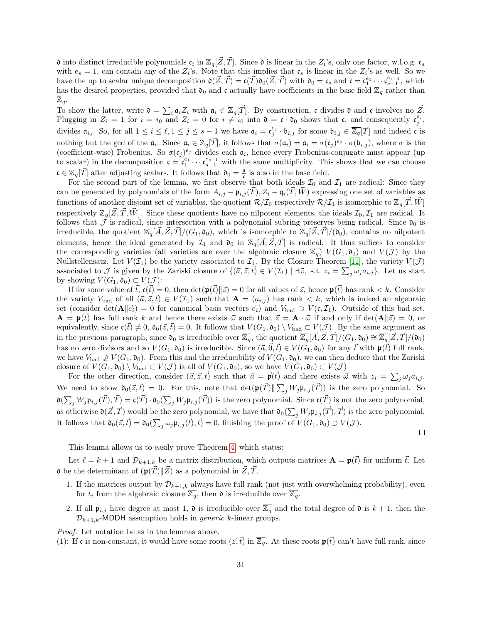<span id="page-32-0"></span> $\mathfrak d$  into distinct irreducible polynomials  $\mathfrak c_i$  in  $\overline{\mathbb Z_q}[\vec Z, \vec T]$ . Since  $\mathfrak d$  is linear in the  $Z_i$ 's, only one factor, w.l.o.g.  $\mathfrak c_s$ with  $e_s = 1$ , can contain any of the  $Z_i$ 's. Note that this implies that  $\mathfrak{c}_s$  is linear in the  $Z_i$ 's as well. So we have the up to scalar unique decomposition  $\mathfrak{d}(\vec{Z}, \vec{T}) = \mathfrak{c}(\vec{T})\mathfrak{d}_0(\vec{Z}, \vec{T})$  with  $\mathfrak{d}_0 = \mathfrak{c}_s$  and  $\mathfrak{c} = \mathfrak{c}_1^{e_1} \cdots \mathfrak{c}_{s-1}^{e_{s-1}}$ , which has the desired properties, provided that  $\mathfrak{d}_0$  and c actually have coefficients in the base field  $\mathbb{Z}_q$  rather than  $\mathbb{Z}_q$ .

To show the latter, write  $\mathfrak{d} = \sum_i \mathfrak{a}_i Z_i$  with  $\mathfrak{a}_i \in \mathbb{Z}_q[\vec{T}]$ . By construction, c divides  $\mathfrak{d}$  and c involves no  $\vec{Z}$ . Plugging in  $Z_i = 1$  for  $i = i_0$  and  $Z_i = 0$  for  $i \neq i_0$  into  $\mathfrak{d} = \mathfrak{c} \cdot \mathfrak{d}_0$  shows that  $\mathfrak{c}$ , and consequently  $\mathfrak{c}^{e_j}_j$ , divides  $\mathfrak{a}_{i_0}$ . So, for all  $1 \leq i \leq \ell, 1 \leq j \leq s-1$  we have  $\mathfrak{a}_i = \mathfrak{c}_j^{e_j} \cdot \mathfrak{b}_{i,j}$  for some  $\mathfrak{b}_{i,j} \in \overline{\mathbb{Z}_q}[\vec{T}]$  and indeed  $\mathfrak{c}$  is nothing but the gcd of the  $\mathfrak{a}_i$ . Since  $\mathfrak{a}_i \in \mathbb{Z}_q[\vec{T}]$ , it follows that  $\sigma(\mathfrak{a}_i) = \mathfrak{a}_i = \sigma(\mathfrak{c}_j)^{e_j} \cdot \sigma(\mathfrak{b}_{i,j})$ , where  $\sigma$  is the (coefficient-wise) Frobenius. So  $\sigma(\mathfrak{c}_j)^{e_j}$  divides each  $\mathfrak{a}_i$ , hence every Frobenius-conjugate must appear (up to scalar) in the decomposition  $\mathfrak{c} = \mathfrak{c}_1^{e_1} \cdots \mathfrak{c}_{s-1}^{e_{s-1}}$  with the same multiplicity. This shows that we can choose  $\mathfrak{c} \in \mathbb{Z}_q[\vec{T}]$  after adjusting scalars. It follows that  $\mathfrak{d}_0 = \frac{\mathfrak{d}}{\mathfrak{c}}$  is also in the base field.

For the second part of the lemma, we first observe that both ideals  $\mathcal{I}_0$  and  $\mathcal{I}_1$  are radical: Since they can be generated by polynomials of the form  $A_{i,j} - \mathfrak{p}_{i,j}(\vec{T}), Z_i - \mathfrak{q}_i(\vec{T}, \vec{W})$  expressing one set of variables as functions of another disjoint set of variables, the quotient  $\mathcal{R}/\mathcal{I}_0$  respectively  $\mathcal{R}/\mathcal{I}_1$  is isomorphic to  $\mathbb{Z}_q[T, W]$ respectively  $\mathbb{Z}_q[\vec{Z}, \vec{T}, \vec{W}]$ . Since these quotients have no nilpotent elements, the ideals  $\mathcal{I}_0, \mathcal{I}_1$  are radical. It follows that  $\mathcal J$  is radical, since intersection with a polynomial subring preserves being radical. Since  $\mathfrak{d}_0$  is irreducible, the quotient  $\mathbb{Z}_q[A, Z, T]/(G_1, \mathfrak{d}_0)$ , which is isomorphic to  $\mathbb{Z}_q[Z, T]/(\mathfrak{d}_0)$ , contains no nilpotent elements, hence the ideal generated by  $\mathcal{I}_1$  and  $\mathfrak{d}_0$  in  $\mathbb{Z}_q[\vec{A}, \vec{Z}, \vec{T}]$  is radical. It thus suffices to consider the corresponding varieties (all varieties are over the algebraic closure  $\overline{Z_q}$ )  $V(G_1, \mathfrak{d}_0)$  and  $V(\mathcal{J})$  by the Nullstellensatz. Let  $V(\mathcal{I}_1)$  be the variety associated to  $\mathcal{I}_1$ . By the Closure Theorem [\[11\]](#page-25-14), the variety  $V(\mathcal{J})$ associated to J is given by the Zariski closure of  $\{(\vec{a}, \vec{z}, \vec{t}) \in V(\mathcal{I}_1) \mid \exists \vec{\omega}, \text{ s.t. } z_i = \sum_j \omega_j a_{i,j}\}\.$  Let us start by showing  $V(G_1, \mathfrak{d}_0) \subset V(\mathcal{J})$ :

If for some value of  $\vec{t}$ ,  $c(\vec{t}) = 0$ , then  $\det(\mathbf{p}(\vec{t})||\vec{z}) = 0$  for all values of  $\vec{z}$ , hence  $\mathbf{p}(\vec{t})$  has rank  $\lt k$ . Consider the variety  $V_{bad}$  of all  $(\vec{a}, \vec{z}, \vec{t}) \in V(\mathcal{I}_1)$  such that  $\mathbf{A} = (a_{i,j})$  has rank  $\lt k$ , which is indeed an algebraic set (consider det( $\mathbf{A}||\vec{e_i} = 0$  for canonical basis vectors  $\vec{e_i}$ ) and  $V_{bad} \supset V(\mathfrak{c}, \mathcal{I}_1)$ . Outside of this bad set,  $\mathbf{A} = \mathbf{p}(\vec{t})$  has full rank k and hence there exists  $\vec{\omega}$  such that  $\vec{z} = \mathbf{A} \cdot \vec{\omega}$  if and only if  $\det(\mathbf{A}||\vec{z}) = 0$ , or equivalently, since  $c(\vec{t}) \neq 0$ ,  $\mathfrak{d}_0(\vec{z}, \vec{t}) = 0$ . It follows that  $V(G_1, \mathfrak{d}_0) \setminus V_{bad} \subset V(\mathcal{J})$ . By the same argument as in the previous paragraph, since  $\mathfrak{d}_0$  is irreducible over  $\overline{\mathbb{Z}_q}$ , the quotient  $\overline{\mathbb{Z}_q}[\vec{A}, \vec{Z}, \vec{T}]/(G_1, \mathfrak{d}_0) \cong \overline{\mathbb{Z}_q}[\vec{Z}, \vec{T}]/(\mathfrak{d}_0)$ has no zero divisors and so  $V(G_1, \mathfrak{d}_0)$  is irreducible. Since  $(\vec{a}, \vec{0}, \vec{t}) \in V(G_1, \mathfrak{d}_0)$  for any  $\vec{t}$  with  $\mathfrak{p}(\vec{t})$  full rank, we have  $V_{bad} \not\supseteq V(G_1, \mathfrak{d}_0)$ . From this and the irreducibility of  $V(G_1, \mathfrak{d}_0)$ , we can then deduce that the Zariski closure of  $V(G_1, \mathfrak{d}_0) \setminus V_{bad} \subset V(\mathcal{J})$  is all of  $V(G_1, \mathfrak{d}_0)$ , so we have  $V(G_1, \mathfrak{d}_0) \subset V(\mathcal{J})$ 

For the other direction, consider  $(\vec{a}, \vec{z}, \vec{t})$  such that  $\vec{a} = \vec{p}(\vec{t})$  and there exists  $\vec{\omega}$  with  $z_i = \sum_j \omega_j a_{i,j}$ . We need to show  $\mathfrak{d}_0(\vec{z}, \vec{t}) = 0$ . For this, note that  $\det(\mathfrak{p}(\vec{T}) \|\sum_j W_j \mathfrak{p}_{i,j}(\vec{T}))$  is the zero polynomial. So  $\mathfrak{d}(\sum_j W_j \mathfrak{p}_{i,j}(\vec{T}), \vec{T}) = \mathfrak{c}(\vec{T}) \cdot \mathfrak{d}_0(\sum_j W_j \mathfrak{p}_{i,j}(\vec{T}))$  is the zero polynomial. Since  $\mathfrak{c}(\vec{T})$  is not the zero polynomial, as otherwise  $\mathfrak{d}(\vec{Z}, \vec{T})$  would be the zero polynomial, we have that  $\mathfrak{d}_0(\sum_j W_j \mathfrak{p}_{i,j}(\vec{T}), \vec{T})$  is the zero polynomial. It follows that  $\mathfrak{d}_0(\vec{z}, \vec{t}) = \mathfrak{d}_0(\sum_j \omega_j \mathfrak{p}_{i,j}(\vec{t}), \vec{t}) = 0$ , finishing the proof of  $V(G_1, \mathfrak{d}_0) \supset V(\mathcal{J})$ .

 $\Box$ 

This lemma allows us to easily prove Theorem [4,](#page-9-2) which states:

Let  $\ell = k + 1$  and  $\mathcal{D}_{k+1,k}$  be a matrix distribution, which outputs matrices  $\mathbf{A} = \mathbf{p}(\vec{t})$  for uniform  $\vec{t}$ . Let  $\mathfrak d$  be the determinant of  $(\mathfrak p(\vec T)\|\vec Z)$  as a polynomial in  $\vec Z, \vec T$ .

- 1. If the matrices output by  $\mathcal{D}_{k+1,k}$  always have full rank (not just with overwhelming probability), even for  $t_i$  from the algebraic closure  $\overline{\mathbb{Z}_q}$ , then  $\mathfrak d$  is irreducible over  $\overline{\mathbb{Z}_q}$ .
- 2. If all  $\mathfrak{p}_{i,j}$  have degree at most 1,  $\mathfrak{d}$  is irreducible over  $\overline{\mathbb{Z}_q}$  and the total degree of  $\mathfrak{d}$  is  $k+1$ , then the  $\mathcal{D}_{k+1,k}$ -MDDH assumption holds in *generic k*-linear groups.

Proof. Let notation be as in the lemmas above.

(1): If c is non-constant, it would have some roots  $(\vec{z}, \vec{t})$  in  $\overline{\mathbb{Z}_q}$ . At these roots  $\mathfrak{p}(\vec{t})$  can't have full rank, since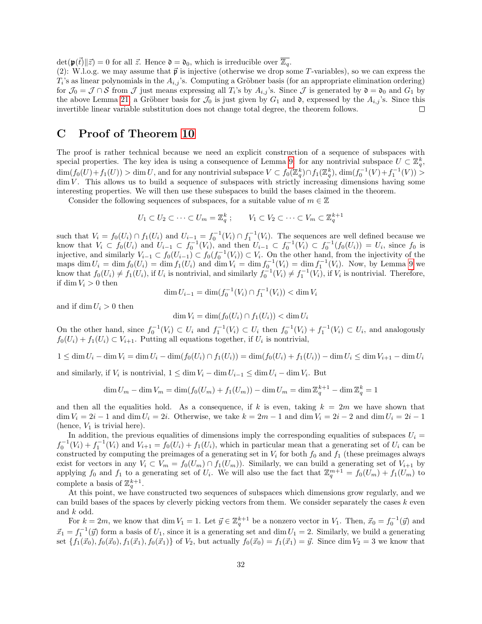$\det(\mathbf{p}(\vec{t})||\vec{z}) = 0$  for all  $\vec{z}$ . Hence  $\mathfrak{d} = \mathfrak{d}_0$ , which is irreducible over  $\overline{\mathbb{Z}_q}$ .

(2): W.l.o.g. we may assume that  $\vec{p}$  is injective (otherwise we drop some T-variables), so we can express the  $T_i$ 's as linear polynomials in the  $A_{i,j}$ 's. Computing a Gröbner basis (for an appropriate elimination ordering) for  $\mathcal{J}_0 = \mathcal{J} \cap \mathcal{S}$  from  $\mathcal{J}$  just means expressing all  $T_i$ 's by  $A_{i,j}$ 's. Since  $\mathcal{J}$  is generated by  $\mathfrak{d} = \mathfrak{d}_0$  and  $G_1$  by the above Lemma [21,](#page-31-2) a Gröbner basis for  $\mathcal{J}_0$  is just given by  $G_1$  and  $\mathfrak{d}$ , expressed by the  $A_{i,j}$ 's. Since this invertible linear variable substitution does not change total degree, the theorem follows. П

## <span id="page-33-0"></span>C Proof of Theorem [10](#page-13-1)

The proof is rather technical because we need an explicit construction of a sequence of subspaces with special properties. The key idea is using a consequence of Lemma [9:](#page-13-3) for any nontrivial subspace  $U \subset \mathbb{Z}_q^k$ ,  $\dim(f_0(U)+f_1(U)) > \dim U$ , and for any nontrivial subspace  $V \subset f_0(\mathbb{Z}_q^k) \cap f_1(\mathbb{Z}_q^k)$ ,  $\dim(f_0^{-1}(V)+f_1^{-1}(V)) >$  $\dim V$ . This allows us to build a sequence of subspaces with strictly increasing dimensions having some interesting properties. We will then use these subspaces to build the bases claimed in the theorem.

Consider the following sequences of subspaces, for a suitable value of  $m \in \mathbb{Z}$ 

$$
U_1 \subset U_2 \subset \cdots \subset U_m = \mathbb{Z}_q^k \; ; \qquad V_1 \subset V_2 \subset \cdots \subset V_m \subset \mathbb{Z}_q^{k+1}
$$

such that  $V_i = f_0(U_i) \cap f_1(U_i)$  and  $U_{i-1} = f_0^{-1}(V_i) \cap f_1^{-1}(V_i)$ . The sequences are well defined because we know that  $V_i \text{ }\subset f_0(U_i)$  and  $U_{i-1} \subset f_0^{-1}(V_i)$ , and then  $U_{i-1} \subset f_0^{-1}(V_i) \subset f_0^{-1}(f_0(U_i)) = U_i$ , since  $f_0$  is injective, and similarly  $V_{i-1} \subset f_0(U_{i-1}) \subset f_0(f_0^{-1}(V_i)) \subset V_i$ . On the other hand, from the injectivity of the maps  $\dim U_i = \dim f_0(U_i) = \dim f_1(U_i)$  and  $\dim V_i = \dim f_0^{-1}(V_i) = \dim f_1^{-1}(V_i)$ . Now, by Lemma [9](#page-13-3) we know that  $f_0(U_i) \neq f_1(U_i)$ , if  $U_i$  is nontrivial, and similarly  $f_0^{-1}(V_i) \neq f_1^{-1}(V_i)$ , if  $V_i$  is nontrivial. Therefore, if  $\dim V_i > 0$  then

$$
\dim U_{i-1} = \dim(f_0^{-1}(V_i) \cap f_1^{-1}(V_i)) < \dim V_i
$$

and if dim  $U_i > 0$  then

$$
\dim V_i = \dim(f_0(U_i) \cap f_1(U_i)) < \dim U_i
$$

On the other hand, since  $f_0^{-1}(V_i) \subset U_i$  and  $f_1^{-1}(V_i) \subset U_i$  then  $f_0^{-1}(V_i) + f_1^{-1}(V_i) \subset U_i$ , and analogously  $f_0(U_i) + f_1(U_i) \subset V_{i+1}$ . Putting all equations together, if  $U_i$  is nontrivial,

$$
1 \leq \dim U_i - \dim V_i = \dim U_i - \dim (f_0(U_i) \cap f_1(U_i)) = \dim (f_0(U_i) + f_1(U_i)) - \dim U_i \leq \dim V_{i+1} - \dim U_i
$$

and similarly, if  $V_i$  is nontrivial,  $1 \le \dim V_i - \dim U_{i-1} \le \dim U_i - \dim V_i$ . But

$$
\dim U_m - \dim V_m = \dim(f_0(U_m) + f_1(U_m)) - \dim U_m = \dim \mathbb{Z}_q^{k+1} - \dim \mathbb{Z}_q^k = 1
$$

and then all the equalities hold. As a consequence, if k is even, taking  $k = 2m$  we have shown that  $\dim V_i = 2i - 1$  and  $\dim U_i = 2i$ . Otherwise, we take  $k = 2m - 1$  and  $\dim V_i = 2i - 2$  and  $\dim U_i = 2i - 1$ (hence,  $V_1$  is trivial here).

In addition, the previous equalities of dimensions imply the corresponding equalities of subspaces  $U_i =$  $f_0^{-1}(V_i) + f_1^{-1}(V_i)$  and  $V_{i+1} = f_0(U_i) + f_1(U_i)$ , which in particular mean that a generating set of  $U_i$  can be constructed by computing the preimages of a generating set in  $V_i$  for both  $f_0$  and  $f_1$  (these preimages always exist for vectors in any  $V_i \subset V_m = f_0(U_m) \cap f_1(U_m)$ . Similarly, we can build a generating set of  $V_{i+1}$  by applying  $f_0$  and  $f_1$  to a generating set of  $U_i$ . We will also use the fact that  $\mathbb{Z}_q^{m+1} = f_0(U_m) + f_1(U_m)$  to complete a basis of  $\mathbb{Z}_q^{k+1}$ .

At this point, we have constructed two sequences of subspaces which dimensions grow regularly, and we can build bases of the spaces by cleverly picking vectors from them. We consider separately the cases  $k$  even and k odd.

For  $k = 2m$ , we know that dim  $V_1 = 1$ . Let  $\vec{y} \in \mathbb{Z}_q^{k+1}$  be a nonzero vector in  $V_1$ . Then,  $\vec{x}_0 = f_0^{-1}(\vec{y})$  and  $\vec{x}_1 = f_1^{-1}(\vec{y})$  form a basis of  $U_1$ , since it is a generating set and dim  $U_1 = 2$ . Similarly, we build a generating set  $\{f_1(\vec{x}_0), f_0(\vec{x}_0), f_1(\vec{x}_1), f_0(\vec{x}_1)\}$  of  $V_2$ , but actually  $f_0(\vec{x}_0) = f_1(\vec{x}_1) = \vec{y}$ . Since dim  $V_2 = 3$  we know that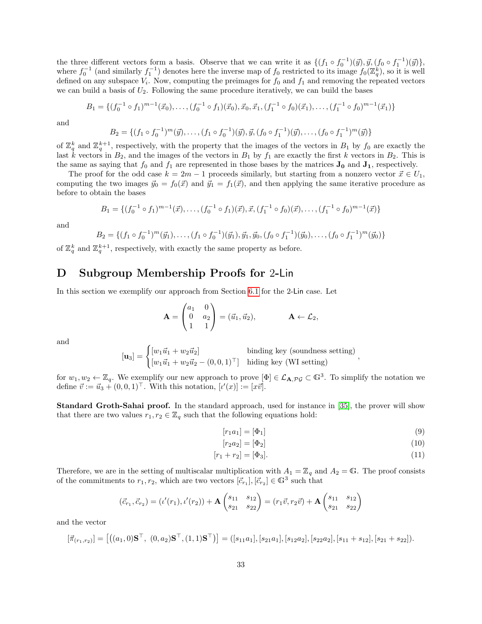<span id="page-34-1"></span>the three different vectors form a basis. Observe that we can write it as  $\{(f_1 \circ f_0^{-1})(\vec{y}), \vec{y}, (f_0 \circ f_1^{-1})(\vec{y})\},\$ where  $f_0^{-1}$  (and similarly  $f_1^{-1}$ ) denotes here the inverse map of  $f_0$  restricted to its image  $f_0(\mathbb{Z}_q^k)$ , so it is well defined on any subspace  $V_i$ . Now, computing the preimages for  $f_0$  and  $f_1$  and removing the repeated vectors we can build a basis of  $U_2$ . Following the same procedure iteratively, we can build the bases

$$
B_1 = \{ (f_0^{-1} \circ f_1)^{m-1}(\vec{x}_0), \dots, (f_0^{-1} \circ f_1)(\vec{x}_0), \vec{x}_0, \vec{x}_1, (f_1^{-1} \circ f_0)(\vec{x}_1), \dots, (f_1^{-1} \circ f_0)^{m-1}(\vec{x}_1) \}
$$

and

$$
B_2 = \{ (f_1 \circ f_0^{-1})^m(\vec{y}), \dots, (f_1 \circ f_0^{-1})(\vec{y}), \vec{y}, (f_0 \circ f_1^{-1})(\vec{y}), \dots, (f_0 \circ f_1^{-1})^m(\vec{y}) \}
$$

of  $\mathbb{Z}_q^k$  and  $\mathbb{Z}_q^{k+1}$ , respectively, with the property that the images of the vectors in  $B_1$  by  $f_0$  are exactly the last k vectors in  $B_2$ , and the images of the vectors in  $B_1$  by  $f_1$  are exactly the first k vectors in  $B_2$ . This is the same as saying that  $f_0$  and  $f_1$  are represented in those bases by the matrices  $J_0$  and  $J_1$ , respectively.

The proof for the odd case  $k = 2m - 1$  proceeds similarly, but starting from a nonzero vector  $\vec{x} \in U_1$ , computing the two images  $\vec{y}_0 = f_0(\vec{x})$  and  $\vec{y}_1 = f_1(\vec{x})$ , and then applying the same iterative procedure as before to obtain the bases

$$
B_1 = \{ (f_0^{-1} \circ f_1)^{m-1}(\vec{x}), \dots, (f_0^{-1} \circ f_1)(\vec{x}), \vec{x}, (f_1^{-1} \circ f_0)(\vec{x}), \dots, (f_1^{-1} \circ f_0)^{m-1}(\vec{x}) \}
$$

and

$$
B_2 = \{ (f_1 \circ f_0^{-1})^m (\vec{y}_1), \dots, (f_1 \circ f_0^{-1}) (\vec{y}_1), \vec{y}_1, \vec{y}_0, (f_0 \circ f_1^{-1}) (\vec{y}_0), \dots, (f_0 \circ f_1^{-1})^m (\vec{y}_0) \}
$$

of  $\mathbb{Z}_q^k$  and  $\mathbb{Z}_q^{k+1}$ , respectively, with exactly the same property as before.

# <span id="page-34-0"></span>D Subgroup Membership Proofs for 2-Lin

In this section we exemplify our approach from Section [6.1](#page-21-0) for the 2-Lin case. Let

$$
\mathbf{A} = \begin{pmatrix} a_1 & 0 \\ 0 & a_2 \\ 1 & 1 \end{pmatrix} = (\vec{u}_1, \vec{u}_2), \qquad \mathbf{A} \leftarrow \mathcal{L}_2,
$$

and

$$
\begin{aligned}\n[\mathbf{u}_3] &= \begin{cases}\n[w_1\vec{u}_1 + w_2\vec{u}_2] & \text{binding key (soundness setting)} \\
[w_1\vec{u}_1 + w_2\vec{u}_2 - (0, 0, 1)^\top] & \text{hiding key (WI setting)}\n\end{cases},\n\end{aligned}
$$

for  $w_1, w_2 \leftarrow \mathbb{Z}_q$ . We exemplify our new approach to prove  $[\Phi] \in \mathcal{L}_{\mathbf{A}, \mathcal{PG}} \subset \mathbb{G}^3$ . To simplify the notation we define  $\vec{v} := \vec{u}_3 + (0, 0, 1)^\top$ . With this notation,  $[\iota'(x)] := [x\vec{v}]$ .

Standard Groth-Sahai proof. In the standard approach, used for instance in [\[35\]](#page-27-10), the prover will show that there are two values  $r_1, r_2 \in \mathbb{Z}_q$  such that the following equations hold:

$$
[r_1 a_1] = [\Phi_1] \tag{9}
$$

$$
[r_2 a_2] = [\Phi_2] \tag{10}
$$

$$
[r_1 + r_2] = [\Phi_3]. \tag{11}
$$

Therefore, we are in the setting of multiscalar multiplication with  $A_1 = \mathbb{Z}_q$  and  $A_2 = \mathbb{G}$ . The proof consists of the commitments to  $r_1, r_2$ , which are two vectors  $[\vec{c}_{r_1}], [\vec{c}_{r_2}] \in \mathbb{G}^3$  such that

$$
(\vec{c}_{r_1}, \vec{c}_{r_2}) = (\iota'(r_1), \iota'(r_2)) + \mathbf{A} \begin{pmatrix} s_{11} & s_{12} \\ s_{21} & s_{22} \end{pmatrix} = (r_1\vec{v}, r_2\vec{v}) + \mathbf{A} \begin{pmatrix} s_{11} & s_{12} \\ s_{21} & s_{22} \end{pmatrix}
$$

and the vector

$$
[\vec{\pi}_{(r_1,r_2)}] = [((a_1,0)\mathbf{S}^\top, (0,a_2)\mathbf{S}^\top, (1,1)\mathbf{S}^\top)] = ([s_{11}a_1], [s_{21}a_1], [s_{12}a_2], [s_{22}a_2], [s_{11}+s_{12}], [s_{21}+s_{22}]).
$$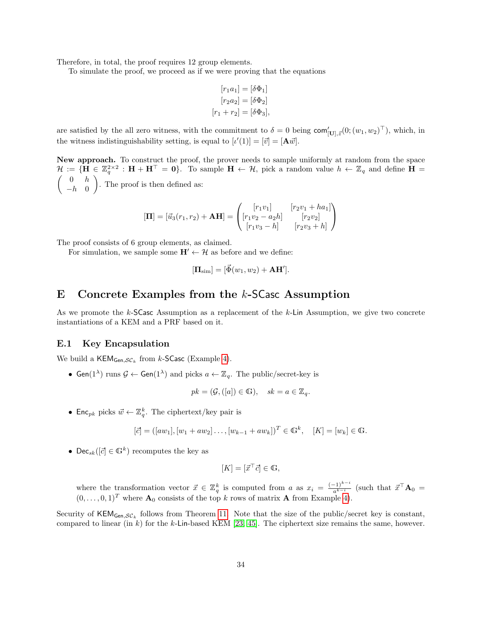<span id="page-35-2"></span>Therefore, in total, the proof requires 12 group elements.

To simulate the proof, we proceed as if we were proving that the equations

$$
[r_1a_1] = [\delta\Phi_1]
$$

$$
[r_2a_2] = [\delta\Phi_2]
$$

$$
[r_1 + r_2] = [\delta\Phi_3],
$$

are satisfied by the all zero witness, with the commitment to  $\delta = 0$  being  $\text{com}_{[\mathbf{U}], \vec{z}}^{\prime}(0; (w_1, w_2)^{\top})$ , which, in the witness indistinguishability setting, is equal to  $[\iota'(1)] = [\vec{v}] = [\mathbf{A}\vec{w}]$ .

New approach. To construct the proof, the prover needs to sample uniformly at random from the space  $\mathcal{H} := \{ \mathbf{H} \in \mathbb{Z}_q^{2 \times 2} : \mathbf{H} + \mathbf{H}^{\top} = \mathbf{0} \}.$  To sample  $\mathbf{H} \leftarrow \mathcal{H}$ , pick a random value  $h \leftarrow \mathbb{Z}_q$  and define  $\mathbf{H} =$  $\begin{pmatrix} 0 & h \end{pmatrix}$  $-h$  0 . The proof is then defined as:

$$
[\mathbf{\Pi}] = [\vec{u}_3(r_1, r_2) + \mathbf{A}\mathbf{H}] = \begin{pmatrix} [r_1v_1] & [r_2v_1 + ha_1] \\ [r_1v_2 - a_2h] & [r_2v_2] \\ [r_1v_3 - h] & [r_2v_3 + h] \end{pmatrix}
$$

The proof consists of 6 group elements, as claimed.

For simulation, we sample some  $H' \leftarrow H$  as before and we define:

$$
[\mathbf{\Pi}_{\text{sim}}] = [\vec{\Phi}(w_1, w_2) + \mathbf{A}\mathbf{H}'].
$$

## <span id="page-35-0"></span>E Concrete Examples from the k-SCasc Assumption

As we promote the k-SCasc Assumption as a replacement of the k-Lin Assumption, we give two concrete instantiations of a KEM and a PRF based on it.

#### <span id="page-35-1"></span>E.1 Key Encapsulation

We build a  $\mathsf{KEM}_{\mathsf{Gen},\mathcal{SC}_k}$  from  $k\text{-}\mathsf{SCasc}$  (Example [4\)](#page-11-4).

• Gen( $1^{\lambda}$ ) runs  $\mathcal{G} \leftarrow$  Gen( $1^{\lambda}$ ) and picks  $a \leftarrow \mathbb{Z}_q$ . The public/secret-key is

$$
pk = (\mathcal{G}, ([a]) \in \mathbb{G}), \quad sk = a \in \mathbb{Z}_q.
$$

• Enc<sub>pk</sub> picks  $\vec{w} \leftarrow \mathbb{Z}_q^k$ . The ciphertext/key pair is

$$
[\vec{c}] = ([aw_1], [w_1 + aw_2] \dots, [w_{k-1} + aw_k])^T \in \mathbb{G}^k, \quad [K] = [w_k] \in \mathbb{G}.
$$

• Dec<sub>sk</sub>( $[\vec{c}] \in \mathbb{G}^k$ ) recomputes the key as

$$
[K] = [\vec{x}^\top \vec{c}] \in \mathbb{G},
$$

where the transformation vector  $\vec{x} \in \mathbb{Z}_q^k$  is computed from a as  $x_i = \frac{(-1)^{k-i}}{a^{k-i}}$  (such that  $\vec{x}^\top \mathbf{A}_0 =$  $(0, \ldots, 0, 1)^T$  where  $\mathbf{A}_0$  consists of the top k rows of matrix **A** from Example [4\)](#page-11-4).

Security of  $KEM_{Gen,SC_k}$  follows from Theorem [11.](#page-14-2) Note that the size of the public/secret key is constant, compared to linear (in k) for the k-Lin-based KEM [\[23,](#page-26-4) [45\]](#page-27-2). The ciphertext size remains the same, however.